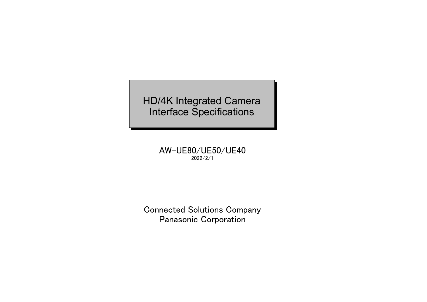HD/4K Integrated Camera Interface Specifications

> AW-UE80/UE50/UE40 2022/2/1

Connected Solutions Company Panasonic Corporation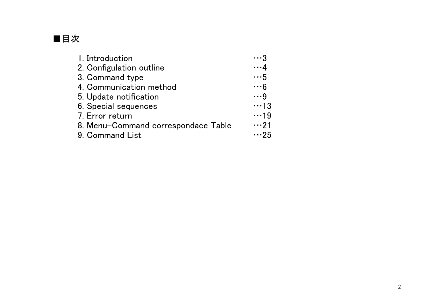

| 1. Introduction                     | . 3         |
|-------------------------------------|-------------|
| 2. Configulation outline            | $\cdots$ 4  |
| 3. Command type                     | $\cdots 5$  |
| 4. Communication method             | $\cdots 6$  |
| 5. Update notification              | $\cdots$ 9  |
| 6. Special sequences                | $\cdots$ 13 |
| 7. Error return                     | $\cdots$ 19 |
| 8. Menu-Command correspondace Table | $\cdots$ 21 |
| 9. Command List                     | $\cdots$ 25 |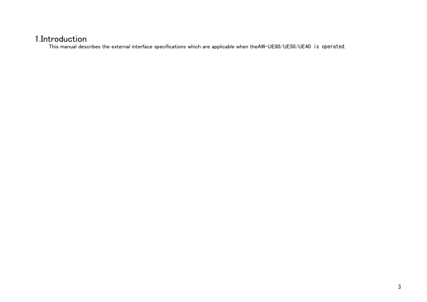# <span id="page-2-0"></span>1.Introduction

This manual describes the external interface specifications which are applicable when theAW-UE80/UE50/UE40 is operated.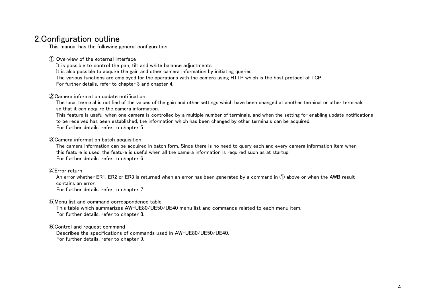# <span id="page-3-0"></span>2.Configuration outline

This manual has the following general configuration.

① Overview of the external interface

It is possible to control the pan, tilt and white balance adjustments.

It is also possible to acquire the gain and other camera information by initiating queries.

The various functions are employed for the operations with the camera using HTTP which is the host protocol of TCP.

[For further details, refer to chapter 3 and chapter 4.](#page-4-0)

#### ②Camera information update notification

The local terminal is notified of the values of the gain and other settings which have been changed at another terminal or other terminals so that it can acquire the camera information.

This feature is useful when one camera is controlled by a multiple number of terminals, and when the setting for enabling update notifications to be received has been established, the information which has been changed by other terminals can be acquired. [For further details, refer to chapter 5.](#page-8-0)

③Camera information batch acquisition

The camera information can be acquired in batch form. Since there is no need to query each and every camera information item when this feature is used, the feature is useful when all the camera information is required such as at startup. [For further details, refer to chapter 6.](#page-12-0)

#### ④Error return

An error whether ER1, ER2 or ER3 is returned when an error has been generated by a command in ① above or when the AWB result contains an error.

[For further details, refer to chapter 7.](#page-18-0)

⑤Menu list and command correspondence table

This table which summarizes AW-UE80/UE50/UE40 menu list and commands related to each menu item. [For further details, refer to chapter 8.](#page-20-0)

⑥Control and request command

Describes the specifications of commands used in AW-UE80/UE50/UE40. [For further details, refer to chapter 9.](#page-24-0)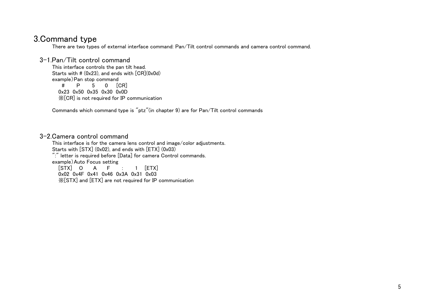# <span id="page-4-0"></span>3.Command type

There are two types of external interface command: Pan/Tilt control commands and camera control command.

## 3-1.Pan/Tilt control command

This interface controls the pan tilt head. Starts with  $\#$  (0x23), and ends with  $[CR](0x0d)$ example)Pan stop command<br>  $\#$  P 5 0 [ 5 0 [CR] 0x23 0x50 0x35 0x30 0x0D ※[CR] is not required for IP communication

[Commands which command type is "ptz"\(in chapter 9\) are for Pan/Tilt control commands](#page-24-0)

## 3-2.Camera control command

This interface is for the camera lens control and image/color adjustments. Starts with [STX] (0x02), and ends with [ETX] (0x03) ":" letter is required before [Data] for camera Control commands. example)Auto Focus setting  $[STX]$  O A F : 1  $[ETX]$ 

0x02 0x4F 0x41 0x46 0x3A 0x31 0x03 ※[STX] and [ETX] are not required for IP communication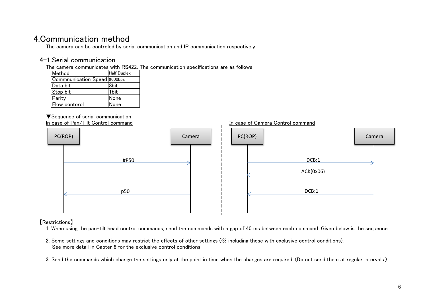# <span id="page-5-0"></span>4.Communication method

The camera can be controled by serial communication and IP communication respectively

# 4-1.Serial communication

The camera communicates with RS422. The communication specifications are as follows

| Method                       | <b>Half Duplex</b> |
|------------------------------|--------------------|
| Commnunication Speed 9600bps |                    |
| Data bit                     | 8bit               |
| Stop bit                     | 1bit               |
| Parity                       | None               |
| Flow contorol                | None               |

# ▼Sequence of serial communication



## 【Restrictions】

1. When using the pan-tilt head control commands, send the commands with a gap of 40 ms between each command. Given below is the sequence.

- 2. Some settings and conditions may restrict the effects of other settings (※ including those with exclusive control conditions). [See more detail in Capter 8 for the exclusive control conditions](#page-20-0)
- 3. Send the commands which change the settings only at the point in time when the changes are required. (Do not send them at regular intervals.)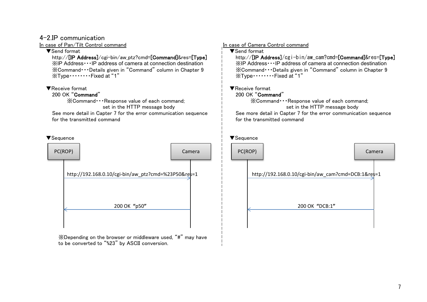## 4-2.IP communication

In case of Pan/Tilt Control command In case of Camera Control command

※IP Address・・・IP address of camera at connection destination ※IP Address・・・IP address of camera at connection destination<br>※Command・・・Details given in "Command" column in Chapter 9 ※Command・・・Details given in ※Command•••Details given in "Command" column in Chapter 9 ※Command•••Details given in "Command" column in Chapter 9<br>※Type•••••••••Fixed at "1"

[for the transmitted command](#page-18-0) for the transmitted command

▼Send format ▼Send format

http://[IP Address]/cgi-bin/aw\_ptz?cmd=[Command]&res=[Type] http://[IP Address]/cgi-bin/aw\_cam?cmd=[Command]&res=[Type] ※Type・・・・・・・・Fixed at "1" ※Type・・・・・・・・Fixed at "1"

# ▼Receive format ▼Receive format

## 200 OK "Command"

※Command・・・Response value of each command; ※Command・・・Response value of each command;

set in the HTTP message body set in the HTTP message body

See more detail in Capter 7 for the error communication sequence  $\frac{1}{1}$  See more detail in Capter 7 for the error communication sequence



※Depending on the browser or middleware used, "#" may have to be converted to "%23" by ASCII conversion.

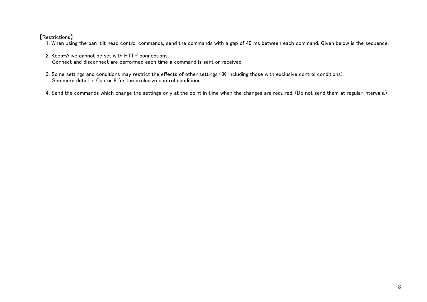## 【Restrictions】

- 1. When using the pan-tilt head control commands, send the commands with a gap of 40 ms between each command. Given below is the sequence.
- 2. Keep-Alive cannot be set with HTTP connections. Connect and disconnect are performed each time a command is sent or received.
- 3. Some settings and conditions may restrict the effects of other settings (※ including those with exclusive control conditions). [See more detail in Capter 8 for the exclusive control conditions](#page-20-0)

4. Send the commands which change the settings only at the point in time when the changes are required. (Do not send them at regular intervals.)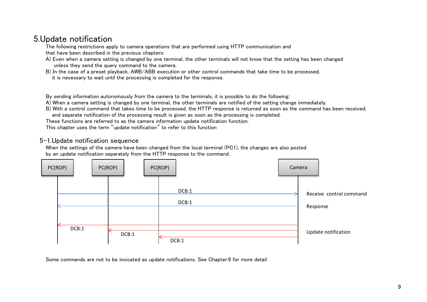# <span id="page-8-0"></span>5.Update notification

The following restrictions apply to camera operations that are performed using HTTP communication and that have been described in the previous chapters:

- A) Even when a camera setting is changed by one terminal, the other terminals will not know that the setting has been changed unless they send the query command to the camera.
- B) In the case of a preset playback, AWB/ABB execution or other control commands that take time to be processed, it is necessary to wait until the processing is completed for the response.

By sending information autonomously from the camera to the terminals, it is possible to do the following:

A) When a camera setting is changed by one terminal, the other terminals are notified of the setting change immediately.

B) With a control command that takes time to be processed, the HTTP response is returned as soon as the command has been received, and separate notification of the processing result is given as soon as the processing is completed.

These functions are referred to as the camera information update notification function.

This chapter uses the term "update notification" to refer to this function

## 5-1.Update notification sequence

When the settings of the camera have been changed from the local terminal (PC1), the changes are also posted by an update notification separately from the HTTP response to the command.



[Some commands are not to be incicated as update notifications. See Chapter:9 for more detail](#page-24-0)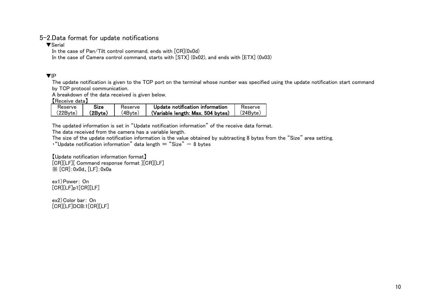# 5-2.Data format for update notifications

▼Serial

In the case of Pan/Tilt control command, ends with  $[CR](0x0d)$ 

In the case of Camera control command, starts with [STX] (0x02), and ends with [ETX] (0x03)

## ▼IP

The update notification is given to the TCP port on the terminal whose number was specified using the update notification start command by TCP protocol communication.

A breakdown of the data received is given below.

【Receive data】

| Reserve  | Size    | Reserve | Update notification information   | Reserve  |
|----------|---------|---------|-----------------------------------|----------|
| (22Byte) | .2Bvte) | ′4Byte, | (Variable length: Max. 504 bytes) | (24Bvte) |

The updated information is set in "Update notification information" of the receive data format.

The data received from the camera has a variable length.

The size of the update notification information is the value obtained by subtracting 8 bytes from the "Size" area setting.

• "Update notification information" data length  $=$  "Size"  $-$  8 bytes

【Update notification information format】 [CR][LF][ Command response format ][CR][LF] ※ [CR]:0x0d、[LF]:0x0a

ex1)Power: On [CR][LF]p1[CR][LF]

ex2)Color bar: On [CR][LF]DCB:1[CR][LF]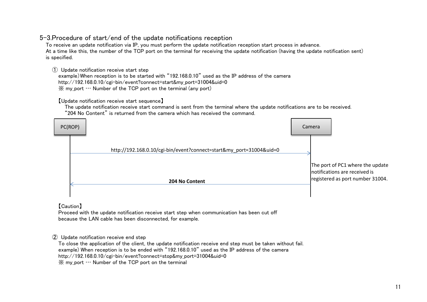# 5-3.Procedure of start/end of the update notifications reception

To receive an update notification via IP, you must perform the update notification reception start process in advance. At a time like this, the number of the TCP port on the terminal for receiving the update notification (having the update notification sent) is specified.

① Update notification receive start step

example)When reception is to be started with "192.168.0.10" used as the IP address of the camera http://192.168.0.10/cgi-bin/event?connect=start&my\_port=31004&uid=0  $\mathbb{X}$  my port  $\cdots$  Number of the TCP port on the terminal (any port)

【Update notification receive start sequence】

The update notification receive start command is sent from the terminal where the update notifications are to be received. "204 No Content" is returned from the camera which has received the command.



【Caution】

Proceed with the update notification receive start step when communication has been cut off because the LAN cable has been disconnected, for example.

## ② Update notification receive end step

To close the application of the client, the update notification receive end step must be taken without fail. example) When reception is to be ended with "192.168.0.10" used as the IP address of the camera http://192.168.0.10/cgi-bin/event?connect=stop&my\_port=31004&uid=0  $\mathbb{X}$  my port  $\cdots$  Number of the TCP port on the terminal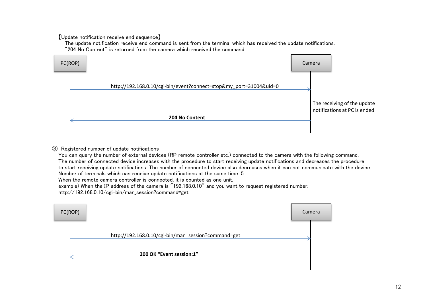【Update notification receive end sequence】

The update notification receive end command is sent from the terminal which has received the update notifications. "204 No Content" is returned from the camera which received the command.



### ③ Registered number of update notifications

You can query the number of external devices (RP remote controller etc.) connected to the camera with the following command. The number of connected device increases with the procedure to start receiving update notifications and decreases the procedure to start receiving update notifications. The number of connected device also decreases when it can not communicate with the device. Number of terminals which can receive update notifications at the same time: 5

When the remote camera controller is connected, it is counted as one unit.

example) When the IP address of the camera is "192.168.0.10" and you want to request registered number.

http://192.168.0.10/cgi-bin/man session?command=get

| PC(ROP) |                                                     | Camera |
|---------|-----------------------------------------------------|--------|
|         | http://192.168.0.10/cgi-bin/man_session?command=get |        |
|         | 200 OK "Event session:1"                            |        |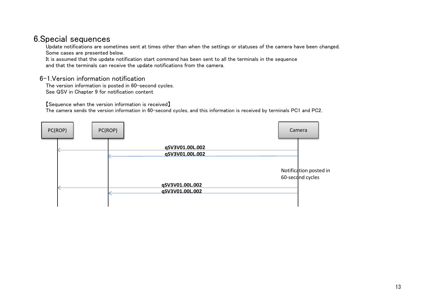# <span id="page-12-0"></span>6.Special sequences

Update notifications are sometimes sent at times other than when the settings or statuses of the camera have been changed. Some cases are presented below.

It is assumed that the update notification start command has been sent to all the terminals in the sequence and that the terminals can receive the update notifications from the camera.

# 6-1.Version information notification

The version information is posted in 60-second cycles. [See QSV in Chapter 9 for notification content](#page-56-0)

【Sequence when the version information is received】

The camera sends the version information in 60-second cycles, and this information is received by terminals PC1 and PC2.

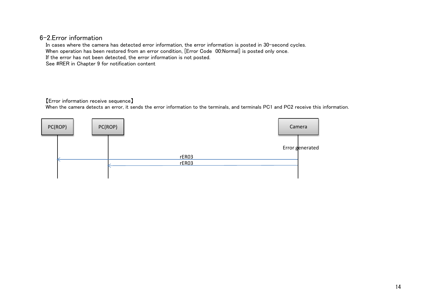## 6-2.Error information

In cases where the camera has detected error information, the error information is posted in 30-second cycles. When operation has been restored from an error condition, [Error Code 00:Normal] is posted only once. If the error has not been detected, the error information is not posted. [See #RER in Chapter 9 for notification content](#page-55-0)

#### 【Error information receive sequence】

When the camera detects an error, it sends the error information to the terminals, and terminals PC1 and PC2 receive this information.

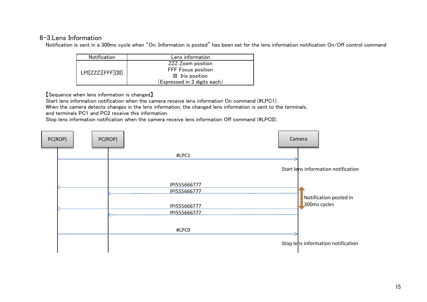## 6-3.Lens Information

Notification is sent in a 300ms cycle when "On: Information is posted" has been set for the lens information notification On/Off control command

| Notification       | Lens information             |
|--------------------|------------------------------|
|                    | <b>ZZZ Zoom position</b>     |
| LPI[ZZZ][FFF][III] | FFF Focus position           |
|                    | III Iris position            |
|                    | (Expressed in 3 digits each) |

【Sequence when lens information is changed】

Start lens information notification when the camera receive lens information On command (#LPC1).

When the camera detects changes in the lens information, the changed lens information is sent to the terminals,

and terminals PC1 and PC2 receive this information.

Stop lens information notification when the camera receive lens information Off command (#LPC0).

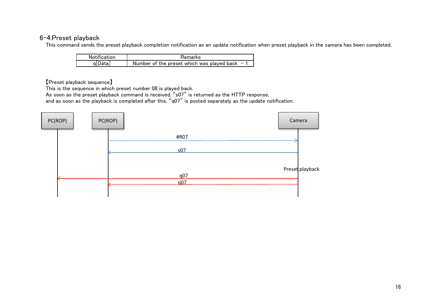# <span id="page-15-0"></span>6-4.Preset playback

This command sends the preset playback completion notification as an update notification when preset playback in the camera has been completed.

| Notification | <b>Remarks</b>                                 |
|--------------|------------------------------------------------|
| g Data       | Number of the preset which was played back $-$ |

【Preset playback sequence】

This is the sequence in which preset number 08 is played back.

As soon as the preset playback command is received, "s07" is returned as the HTTP response,

and as soon as the playback is completed after this, "q07" is posted separately as the update notification.

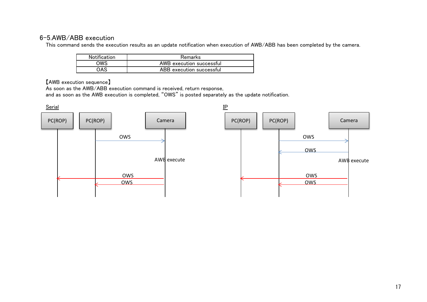# <span id="page-16-0"></span>6-5.AWB/ABB execution

This command sends the execution results as an update notification when execution of AWB/ABB has been completed by the camera.

| <b>Notification</b> | <b>Remarks</b>           |
|---------------------|--------------------------|
| OWS                 | AWB execution successful |
| OAS                 | ABB execution successful |

【AWB execution sequence】

As soon as the AWB/ABB execution command is received, return response,

and as soon as the AWB execution is completed, "OWS" is posted separately as the update notification.

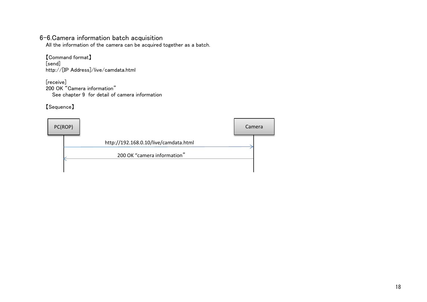# 6-6.Camera information batch acquisition

All the information of the camera can be acquired together as a batch.

【Command format】 [send] http://[IP Address]/live/camdata.html

[receive] 200 OK "Camera information" [See chapter 9 for detail of camera information](#page-24-0)

【Sequence】

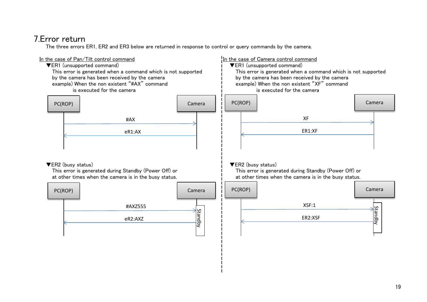# <span id="page-18-0"></span>7.Error return

The three errors ER1, ER2 and ER3 below are returned in response to control or query commands by the camera.

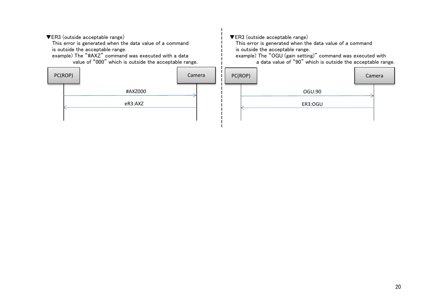▼ER3 (outside acceptable range) ▼ER3 (outside acceptable range)

This error is generated when the data value of a command This error is generated when the data value of a command is outside the acceptable range.<br>
example) The "#AXZ" command was executed with a data  $\begin{array}{ccc} | & \text{is outside the acceptable range.} \\ | & \text{example} \end{array}$  The "OGU (gain settin



The "#AXZ" command was executed with a data example) The "OGU (gain setting)" command was executed with value of "90" which is outside the acceptable range. a data value of "90" which is outside the acceptable range.

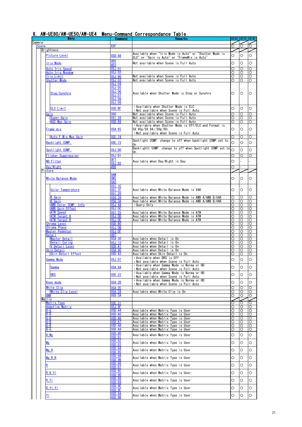# <span id="page-20-0"></span>8. AW-UE80/AW-UE50/AW-UE4 Menu-Command Correspondance Table Command Remarks UE80 UE50 UE40 Menu

|                 | Menu                                           | <b>Command</b>          | <b>Remarks</b>                                                                                  |          | UE80  UE50  UE40 |            |
|-----------------|------------------------------------------------|-------------------------|-------------------------------------------------------------------------------------------------|----------|------------------|------------|
| Camera<br>Scene |                                                | XSF                     |                                                                                                 | ∩        | ∩                | $\bigcirc$ |
|                 |                                                |                         |                                                                                                 |          |                  |            |
|                 | Brightness                                     |                         | Available when"Iris Mode is Auto″or"Shutter Mode is                                             |          |                  |            |
|                 | Picture Level                                  | OSD:48                  | ELC" or "Gain is Auto" or "FrameMix is Auto"                                                    | O        | O                | O          |
|                 |                                                | <u>ORS</u>              |                                                                                                 |          |                  |            |
|                 | Iris Mode                                      | #D3                     | Not available when Scene is Full Auto                                                           | O        | O                | O          |
|                 | Auto Iris Speed                                | 0SJ:01                  |                                                                                                 | Ω        | Ο                | O          |
|                 | <u> Auto Iris Wondow</u>                       | 0SJ:02                  |                                                                                                 | Ω        | O                | $\circ$    |
|                 | Iris Limit                                     | OSJ:90                  | Not available when Scene is Full Auto                                                           | Ο        | O                | O          |
|                 | <b>Shutter Mode</b>                            | <b>OSJ:03</b>           | Not available when Scene is Full Auto                                                           | O        | O                | $\circ$    |
|                 |                                                | <b>OSJ:04</b>           |                                                                                                 |          |                  |            |
|                 |                                                | 0SJ:05                  |                                                                                                 |          |                  |            |
|                 | Step/Synchro                                   | 0SJ:06                  | Available when Shutter Mode is Step or Synchro                                                  | O        | $\circ$          | $\circ$    |
|                 |                                                | OSJ:07                  |                                                                                                 |          |                  |            |
|                 |                                                | <b>OSJ:08</b>           |                                                                                                 |          |                  |            |
|                 |                                                | <b>OSJ:09</b>           |                                                                                                 |          |                  |            |
|                 | <b>ELC Limit</b>                               | OSD:BF                  | • Available when Shutter Mode is ELC                                                            | O        | O                | $\circ$    |
|                 |                                                |                         | • Not available when Scene is Full Auto                                                         |          |                  |            |
|                 | Gain                                           | 0GU                     | Not available when Scene is Full Auto                                                           | Ο        | O                | O          |
|                 | Super Gain<br><b>AGC Max Gain</b>              | OSI:28                  | Not available when Scene is Full Auto                                                           | O        | O                | O          |
|                 |                                                | OSD:69                  | Not available when Scene is Full Auto<br>• Available when Shutter Mode is Off/ELC and Format is | O        | O                | $\circ$    |
|                 | Frame mix                                      | 0SA:65                  | 59.95p/59.94i/50p/50i                                                                           | O        | $\circ$          | $\circ$    |
|                 |                                                |                         | • Not available when Scene is Full Auto                                                         |          |                  |            |
|                 | Auto F. Mix Max Gain                           | 0SE: 74                 |                                                                                                 | O        | O                | O          |
|                 |                                                |                         | Spotlight COMP, change to off when backlight COMP set to                                        |          |                  |            |
|                 | Backlight COMP.                                | <b>OSE:73</b>           | ()n                                                                                             | O        | O                | O          |
|                 |                                                |                         | Backlightt COMP, change to off when Spotlight COMP set to                                       |          |                  |            |
|                 | Spotlight COMP.                                | OSJ:DO                  | 0n.                                                                                             | $\Omega$ | O                | O          |
|                 | <b>Flicker Suppression</b>                     | OSJ:DI                  |                                                                                                 | Ο        | O                | Ω          |
|                 | <b>ND Filter</b>                               | 0FT                     |                                                                                                 | O        |                  |            |
|                 |                                                | OSJ:D2                  | Available when Day/Night is Day                                                                 |          |                  |            |
|                 | Day/Night                                      | #D6                     |                                                                                                 | O        |                  |            |
|                 | Picture                                        |                         |                                                                                                 |          |                  |            |
|                 |                                                | <b>OAW</b>              |                                                                                                 |          |                  |            |
|                 | White Balance Mode                             | <b>OWS</b>              |                                                                                                 | O        | O                | $\circ$    |
|                 |                                                | <b>OAS</b>              |                                                                                                 |          |                  |            |
|                 |                                                | <u> OSI : 1E</u>        |                                                                                                 |          |                  |            |
|                 | <u>Color Temperature</u>                       | OSI:1F                  | Available when White Balance Mode is VAR                                                        | O        | $\circ$          | $\circ$    |
|                 |                                                | 0SI:20                  |                                                                                                 |          |                  |            |
|                 | R Gain                                         | OSG:39                  | Available when White Balance Mode is AWB A/AWB B/VAR                                            | O        | O                | $\circ$    |
|                 | B Gain                                         | OSG:3A                  | Available when White Balance Mode is AWB A/AWB B/VAR                                            | Ω        | O                | $\circ$    |
|                 | <b>AWB Color TEMP.</b> Info<br>AWB Gain Offset | <b>OSJ:4A</b><br>OSJ:OC | •Query Only                                                                                     | O<br>O   | O<br>O           | O<br>O     |
|                 | <b>ATW Speed</b>                               | 0SI:25                  | Available when White Balance Mode is ATW                                                        | O        | O                | O          |
|                 | ATW Target R                                   | OSJ:OD                  | Available when White Balance Mode is ATW                                                        | Ο        | O                | O          |
|                 | ATW Target B                                   | OSJ:0E                  | Available when White Balance Mode is ATW                                                        | О        | O                | О          |
|                 | Chroma Level                                   | OSD:BO                  |                                                                                                 | O        | O                | O          |
|                 | <b>Chroma Phase</b>                            | OSJ:OB                  |                                                                                                 | O        | O                | O          |
|                 | Master Pedestal                                | OSJ:OF                  |                                                                                                 | O        | O                | O          |
|                 | Detail                                         | ODT                     |                                                                                                 | О        | O                | O          |
|                 | Master Detail                                  | 0SA:30                  | Available when Detail is On                                                                     | Ο        | O                | O          |
|                 | Detail Coring                                  | 0SJ:12                  | Available when Detail is On                                                                     | O        | O                | O          |
|                 | <b>V</b> Detail Level                          | OSD:A1                  | Available when Detail is On                                                                     | Ο        | O                | O          |
|                 | Skin Detail                                    | 0SA:40                  | Available when Detail is On                                                                     | Ο        | O                | O          |
|                 | Skin Detail Effect                             | OSD:A3                  | Available when Skin Detail is On                                                                | O        | O                | O          |
|                 | Gamma Mode                                     | OSJ: D7                 | • Available when DRS is Off                                                                     | O        | O                | O          |
|                 |                                                |                         | • Not available when Scene is Full Auto                                                         |          |                  |            |
|                 | <u>Gamma</u>                                   | OSA:6A                  | • Available when Gamma Mode is Norma or HD                                                      | O        | O                | O          |
|                 |                                                |                         | • Not available when Scene is Full Auto                                                         |          |                  |            |
|                 | <b>DRS</b>                                     | 0SE:33                  | • Available when Gamma Mode is Norma or HD                                                      | O        | O                | O          |
|                 |                                                |                         | • Not available when Scene is Full Auto                                                         |          |                  |            |
|                 | Knee mode                                      | 0SA: 2D                 | • Available when Gamma Mode is Norma or HD                                                      | O        | O                | O          |
|                 | White Clip                                     | OSA: 2E                 | •Not available when Scene is Full Auto                                                          | O        | O                | O          |
|                 | White Clip Level                               | <b>OSA:2A</b>           | Available when White Clip is On                                                                 | O        | O                | O          |
|                 | DNR                                            | OSD:3A                  |                                                                                                 | Ω        | Ω                | O          |
|                 | Matrix                                         |                         |                                                                                                 |          |                  |            |
|                 | Matrix Type                                    | 0SE:31                  |                                                                                                 | Ω        | O                | O          |
|                 | <u>Adaptive Matrix</u>                         | <u> OSJ: 4F</u>         |                                                                                                 | Ο        | O                | O          |
|                 | R-G                                            | OSD:A4                  | Available when Matrix Type is User                                                              | Ο        | Ο                | O          |
|                 | R-B                                            | OSD:A5                  | Available when Matrix Type is User                                                              | O        | O                | O          |
|                 | G-R                                            | OSD:A6                  | Available when Matrix Type is User                                                              | O        | O                | O          |
|                 | G-B                                            | <b>OSD: A7</b>          | Available when Matrix Type is User                                                              | O        | Ο                | O          |
|                 | B-R                                            | OSD:A8                  | Available when Matrix Type is User                                                              | O        | Ο                | O          |
|                 | B-G                                            | OSD:A9                  | Available when Matrix Type is User                                                              | O        | O                | O          |
|                 | B Mg                                           | <b>OSD:80</b>           | Available when Matrix Type is User                                                              | O        | O                | O          |
|                 |                                                | OSD:81                  |                                                                                                 |          |                  |            |
|                 | Mg                                             | OSD:82                  | Available when Matrix Type is User                                                              | O        | O                | O          |
|                 |                                                | OSD:83                  |                                                                                                 |          |                  |            |
|                 | <u>Mg R</u>                                    | OSD:84<br>0SD:85        | Available when Matrix Type is User                                                              | O        | O                | O          |
|                 |                                                | OSD:9A                  |                                                                                                 |          |                  |            |
|                 | Mg R R                                         | OSD:9B                  | Available when Matrix Type is User                                                              | O        | O                | O          |
|                 |                                                | <u>OSD:86</u>           |                                                                                                 |          |                  |            |
|                 | <u>K</u>                                       | OSD:87                  | Available when Matrix Type is User                                                              | O        | O                | O          |
|                 |                                                | 0SD:9C                  |                                                                                                 |          |                  |            |
|                 | R R YI                                         | OSD:9D                  | Available when Matrix Type is User                                                              | O        | O                | O          |
|                 |                                                | <b>OSD:88</b>           |                                                                                                 |          |                  |            |
|                 | <u>R Y L</u>                                   | OSD:89                  | Available when Matrix Type is User                                                              | O        | O                | O          |
|                 | <u>R YI YI</u>                                 | OSD:9E                  | Available when Matrix Type is User                                                              | O        | O                | O          |
|                 |                                                | OSD:9F                  |                                                                                                 |          |                  |            |
|                 | <u>Y I</u>                                     | <u>OSD:8A</u>           | Available when Matrix Type is User                                                              | O        | O                | O          |
|                 |                                                | OSD:8B                  |                                                                                                 |          |                  |            |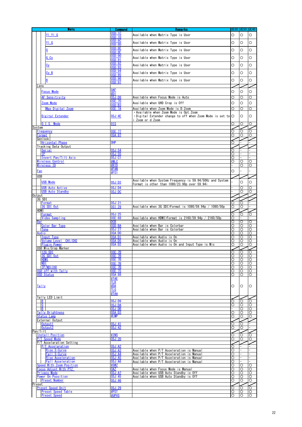|            | <b>Menu</b>                                                             | <b>Command</b>                   | <b>Remarks</b>                                                                         |        |              | ue80  ue50  ue40 |
|------------|-------------------------------------------------------------------------|----------------------------------|----------------------------------------------------------------------------------------|--------|--------------|------------------|
|            | YIYIG                                                                   | <b>OSD:1C</b>                    | Available when Matrix Type is User                                                     | O      | O            | O                |
|            |                                                                         | OSD:1D                           |                                                                                        |        |              |                  |
|            | $Y \perp G$                                                             | OSD:8C<br>OSD:8D                 | Available when Matrix Type is User                                                     | O      | O            | O                |
|            |                                                                         | OSD:8E                           |                                                                                        |        |              |                  |
|            | G                                                                       | OSD:8F                           | Available when Matrix Type is User                                                     | O      | O            | O                |
|            | G_C <sub>y</sub>                                                        | <b>OSD:90</b>                    | Available when Matrix Type is User                                                     | О      | O            | O                |
|            |                                                                         | OSD:91<br>OSD:92                 |                                                                                        |        |              |                  |
|            | <u>Су</u>                                                               | OSD:93                           | Available when Matrix Type is User                                                     | O      | O            | O                |
|            |                                                                         | OSD:94                           |                                                                                        |        |              |                  |
|            | <u>Cy B</u>                                                             | OSD:95                           | Available when Matrix Type is User                                                     | O      | O            | O                |
|            | <u>B</u>                                                                | OSD:96                           | Available when Matrix Type is User                                                     | O      | O            | O                |
| Lens       |                                                                         | OSD:97                           |                                                                                        |        |              |                  |
|            |                                                                         | <u>OAF</u>                       |                                                                                        |        |              |                  |
|            | <b>Focus Mode</b>                                                       | #D1                              |                                                                                        | O      | O            | O                |
|            | AF Sensitivity                                                          | OSJ:D8                           | Available when Focus Mode is Auto                                                      | O      | O            | O                |
|            | Zoom Mode                                                               | OSD:B3                           | Available when UHD Crop is Off                                                         | O      | O            | O                |
|            | Max Digital Zoom                                                        | OSE:7A                           | Available when Zoom Mode is D.Zoom                                                     | О      | O            | Ο                |
|            |                                                                         |                                  | • Available when Zoom Mode is Opt. Zoom                                                |        |              |                  |
|            | Digital Extender                                                        | 0SJ:4E                           | $\cdot$ Digital Extender change to off when Zoom Mode is set to $\circ$                |        | O            | O                |
|            | Mode<br>$0.1.$ S.                                                       | 0IS                              | i.Zoom or d.Zoom                                                                       |        |              |                  |
| System     |                                                                         |                                  |                                                                                        | O      | O            | О                |
|            | Frequency                                                               | 0SE:77                           |                                                                                        | O      | O            | O                |
|            | Format                                                                  | 0SA:87                           |                                                                                        | O      | O            | О                |
|            | Genlock                                                                 |                                  |                                                                                        |        |              |                  |
|            | Hrizontal Phase<br>Tracking Data Output                                 | OHP                              |                                                                                        | O      |              |                  |
|            | Serial                                                                  | 0SJ:54                           |                                                                                        | О      |              |                  |
|            | IP.                                                                     | <b>OSJ:55</b>                    |                                                                                        | О      |              |                  |
|            | Invert Pan/Tilt Axis                                                    | OSJ:C1                           |                                                                                        | O      |              |                  |
|            | Wireless Control<br>Wireless ID                                         | #WLC<br>#RID                     |                                                                                        | О      | O<br>O       | O<br>O           |
|            |                                                                         | #FAN                             |                                                                                        |        |              |                  |
| <u>Fan</u> |                                                                         | #FS1                             |                                                                                        | O      |              |                  |
| <b>USB</b> |                                                                         |                                  |                                                                                        |        |              |                  |
|            | <b>USB Mode</b>                                                         | OSJ:D3                           | Available when System Frequency is 59.94/50Hz and System                               |        | O            | O                |
|            | <b>USB Auto Active</b>                                                  | OSJ:D4                           | Format is other than 1080/23.98p over 59.94i                                           |        | Ο            | О                |
|            | <b>USB Auto Standby</b>                                                 | OSJ:DC                           |                                                                                        |        | Ō            | Ō                |
| Output     |                                                                         |                                  |                                                                                        |        |              |                  |
|            | 3G SDI                                                                  |                                  |                                                                                        |        |              |                  |
|            | Format<br>3G SDI Out                                                    | 0SJ:21<br>OSI:29                 | Available when 3G SDI>Format is 1080/59.94p / 1080/50p                                 | O<br>O | Ο<br>O       |                  |
| HDMI       |                                                                         |                                  |                                                                                        |        |              |                  |
|            | Format                                                                  | OSJ:25                           |                                                                                        | О      | Ο            | 0                |
|            | Video Sampling                                                          | 0SE:68                           | Available when HDMI>Format is 2160/59.94p / 2160/50p                                   | О      |              |                  |
| Bar        | Color Bar Type                                                          | DCB<br>OSD:BA                    | Available when Bar is Colorbar                                                         | O<br>O | O<br>O       | O<br>$\circ$     |
|            | Tone                                                                    | OSJ:27                           | Available when Bar is Colorbar                                                         | O      | O            | O                |
|            | Audio                                                                   | OSA:DO                           |                                                                                        | О      | O            | O                |
|            | <b>Input Type</b>                                                       | OSA:D1                           | Available when Audio is On                                                             | O      | O            | O                |
|            | CH <sub>1</sub> /CH <sub>2</sub><br>Volume Level<br><b>Plugin Power</b> | OSA:D5<br>OSA:D2                 | Available when Audio is On<br>Available when Audio is On and Input Type is Mic         | О<br>O | O<br>O       | Ō<br>O           |
|            | OSD Mix/Crop Marker                                                     |                                  |                                                                                        |        |              |                  |
|            | 12G SDI                                                                 | <b>OSE:7B</b>                    |                                                                                        | O      | O            | O                |
|            | 3G SDI Out                                                              | 0SE:7B                           |                                                                                        | O      | O            | O                |
|            | <b>HDMI</b><br>ND I                                                     | <b>OSE: 7B</b><br><b>OSE: 7B</b> |                                                                                        | O<br>O | O<br>O       | O<br>O           |
|            | <b>IP/NDI IHX</b>                                                       | <b>OSE: 7B</b>                   |                                                                                        | O      | O            | O                |
|            | OSD off with Tally                                                      | 0SE: 75                          |                                                                                        | O      | Ō            | $\circ$          |
|            | <b>OSD Status</b>                                                       | <b>OSA:88</b>                    |                                                                                        | Ο      | O            | O                |
|            |                                                                         | #TAE<br><u>tlr</u>               |                                                                                        |        |              |                  |
|            | <b>Tally</b>                                                            | #DA                              |                                                                                        | O      | O            | $\circ$          |
|            |                                                                         | <u>rl G</u>                      |                                                                                        |        |              |                  |
|            |                                                                         | #TAA                             |                                                                                        |        |              |                  |
|            | Tally LED Limit<br>R.                                                   | OSJ:D9                           |                                                                                        | Ō      | $\circ$      | Ō                |
|            | G                                                                       | OSJ:DA                           |                                                                                        | O      | Ω            | O                |
|            | $\overline{B}$                                                          | OSJ:DB                           |                                                                                        |        | O            | $\circ$          |
|            | Tally Brightness                                                        | OSA:D3                           |                                                                                        | O      | O            | O                |
|            | <b>Status Lamp</b><br>External Output                                   | #LMP                             |                                                                                        | О      | O            | $\circ$          |
|            | Output1                                                                 | OSJ:41                           |                                                                                        | О      | O            |                  |
|            | Output2                                                                 | OSJ:42                           |                                                                                        | O      | $\circ$      |                  |
|            | Pan/Tilt                                                                |                                  |                                                                                        |        |              |                  |
|            | Install Position<br>P/T Speed Mode                                      | #INS<br>OSJ:2D                   |                                                                                        | O<br>O | O<br>O       | O<br>O           |
|            | P/T Accelaration Setting                                                |                                  |                                                                                        |        |              |                  |
|            | P/T Accelaration                                                        | OSJ:A2                           |                                                                                        | O      |              |                  |
|            | Rise S-Curve                                                            | OSJ:A3                           | Available when P/T Acceleration is Manual                                              | O      |              |                  |
|            | Fall S-Curve<br><b>Rise Acceleration</b>                                | OSJ:AA<br>OSJ: A5                | Available when P/T Acceleration is Manual<br>Available when P/T Acceleration is Manual | O<br>O |              |                  |
|            | <b>Fall Acceleration</b>                                                | OSJ:AG                           | Available when P/T Acceleration is Manual                                              | O      |              |                  |
|            | Speed With Zoom Position                                                | #SWZ                             |                                                                                        | O      | O            | О                |
|            | Focus Adjust With PTZ.                                                  | <b>OAZ</b>                       | Available when Focus Mode is Manual                                                    | O      | O            | O                |
|            | Privacy Mode<br>Power On Poosition                                      | OSJ:A7<br>OSJ:45                 | Available when USB Auto Standby is Off<br>Available when USB Auto Standby is Off       | O<br>O | O<br>O       | O<br>O           |
|            | <b>Preset Number</b>                                                    | OSJ:46                           |                                                                                        | O      | O            | $\circ$          |
| Preset     |                                                                         |                                  |                                                                                        |        |              |                  |
|            | <b>Preset Speed Unit</b>                                                | <b>OSJ:29</b>                    |                                                                                        | O      | O            | O                |
|            | <b>Preset Speed Table</b><br><b>Preset Speed</b>                        | #PST<br>#UPVS                    |                                                                                        | O<br>O | $\circ$<br>Ō | O<br>$\Omega$    |
|            |                                                                         |                                  |                                                                                        |        |              |                  |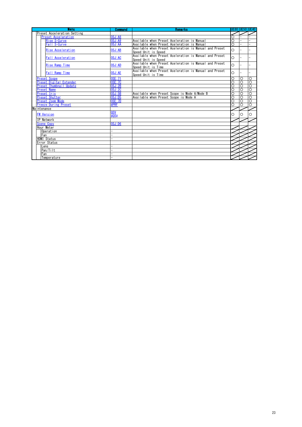| Menu                               | <b>Command</b>           | Remarks                                                                       |                     | UE80 IUE50 IUE40    |                    |
|------------------------------------|--------------------------|-------------------------------------------------------------------------------|---------------------|---------------------|--------------------|
| <b>Preset Acceleration Setting</b> |                          |                                                                               |                     |                     |                    |
| <b>Preset Accelaration</b>         | OSJ:A8                   |                                                                               | Ō                   |                     |                    |
| Rise S-Curve                       | OSJ: A9                  | Available when Preset Aceleration is Manual                                   | $\overline{\circ}$  |                     |                    |
| Fall S-Curve                       | OSJ:AA                   | Available when Preset Aceleration is Manual                                   | $\overline{\Omega}$ |                     |                    |
| Rise Acceleration                  | OSJ:AB                   | Available when Preset Aceleration is Manual and Preset<br>Speed Unit is Speed | $\Omega$            |                     |                    |
| <b>Fall Acceleration</b>           | OSJ:AC                   | Available when Preset Aceleration is Manual and Preset<br>Speed Unit is Speed | $\Omega$            |                     |                    |
| Rise Ramp Time                     | OSJ:AD                   | Available when Preset Aceleration is Manual and Preset<br>Speed Unit is Time  | $\Omega$            |                     |                    |
| Fall Ramp Time                     | OSJ: AE                  | Available when Preset Aceleration is Manual and Preset<br>Speed Unit is Time  | $\Omega$            |                     |                    |
| <b>Preset Scope</b>                | <b>OSE:71</b>            |                                                                               | O                   | O                   | $\circ$            |
| <b>Preset Digital Extender</b>     | 0SE: 7C                  |                                                                               | $\overline{\circ}$  | $\overline{\circ}$  | ੋ                  |
| Preset Thumbnail Update            | OSJ:2B                   |                                                                               | Ō                   | Ō                   | $\circ$            |
| <b>Preset Name</b>                 | OSJ:2C                   |                                                                               | $\overline{\circ}$  | O                   | $\overline{\circ}$ |
| Preset Iris                        | OSJ:5B                   | Available when Preset Scope is Mode A/Mode B                                  | $\overline{\circ}$  | $\overline{\Omega}$ | $\overline{O}$     |
| <b>Preset Shutter</b>              | OSJ: D5                  | Available when Preset Scope is Mode A                                         | $\overline{\circ}$  | Ō                   | $\overline{\circ}$ |
| <b>Preset Zoom Mode</b>            | OSE:7D                   |                                                                               | $\overline{\Omega}$ | Ō                   | $\overline{O}$     |
| <b>Freeze During Preset</b>        | #PRF                     |                                                                               | $\overline{\Omega}$ | O                   | ੋ                  |
| Maintenance                        |                          |                                                                               |                     |                     |                    |
| <b>FW Version</b>                  | QSV<br>$\frac{1}{40}$ SV |                                                                               | O                   | O                   | Ω                  |
| IP Network                         |                          |                                                                               |                     |                     |                    |
| <b>Scene Copy</b>                  | OSJ:DS                   |                                                                               |                     |                     |                    |
| Hour Meter                         |                          |                                                                               |                     |                     |                    |
| Operation                          | L.                       |                                                                               |                     |                     |                    |
| Fan                                |                          |                                                                               |                     |                     |                    |
| <b>HDMI Status</b>                 |                          |                                                                               |                     |                     |                    |
| Error Status                       |                          |                                                                               |                     |                     |                    |
| Lens                               |                          |                                                                               |                     |                     |                    |
| Pan/Tilt                           |                          |                                                                               |                     |                     |                    |
| Fan                                |                          |                                                                               |                     |                     |                    |
| Temperature                        |                          |                                                                               |                     |                     |                    |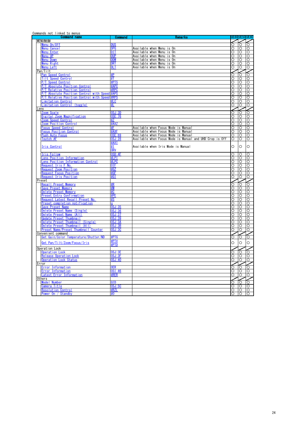#### Commands not linked to menus

| <b>Command</b> name                           | <b>Command</b> | <b>Remarks</b>                                          |                      | <b>UE80 UE50</b>   | <b>UE40</b>           |
|-----------------------------------------------|----------------|---------------------------------------------------------|----------------------|--------------------|-----------------------|
| MENU制御                                        |                |                                                         |                      |                    |                       |
| Menu On/Off                                   | dus            |                                                         | O                    | O                  | $\overline{\circ}$    |
| <b>Aenu Cancel</b>                            | <b>DPG</b>     | Available when Menu is On                               | O                    | O                  | $\circ$               |
| lenu Enter                                    | DIT            | Available when Menu is On                               | $\overline{\circ}$   | O                  | Ō                     |
| Menu UP                                       | dup            | Available when Menu is On                               | Ō                    | ō                  | O                     |
| Menu Down                                     | DDW            | Available when Menu is On                               | Ō                    | ੋ                  | ŏ                     |
| Menu Right                                    | drt            | Available when Menu is On                               | O                    | O                  | O                     |
| Menu Left                                     | dlt            | Available when Menu is On                               | Ō                    | $\overline{\circ}$ | $\circ$               |
| Pan/Tilt                                      |                |                                                         |                      |                    |                       |
| Pan Speed Control                             |                |                                                         | $\overline{\circ}$   | ত                  | ०                     |
| Tilt Speed Control                            | #T             |                                                         | Ō                    | Ō                  | ō                     |
| P/T Speed Control                             | #PTS           |                                                         | $\overline{\Omega}$  | O                  | O                     |
| P/T Absolute Position Control                 | #APC           |                                                         | Ō                    | ō                  | O                     |
| P/T Relative Position Control                 | #RPC           |                                                         | O                    | $\overline{\circ}$ | $\circ$               |
| P/T Absolute Position Control with Speed #APS |                |                                                         | O                    | O                  | O                     |
| P/T Relative Position Control with Speed      | #RPS           |                                                         | $\circ$              | $\circ$            | OO                    |
| Limitation Control                            | #LC            |                                                         | $\overline{\circ}$   | $\circ$            |                       |
| Limitation Control (toggle)                   | #L             |                                                         | O                    | O                  | O                     |
| _ens                                          |                |                                                         |                      |                    |                       |
| Zoom Scale                                    | OSJ:3D         |                                                         | O                    | O                  | $\overline{\circ}$    |
| Digital Zoom Magnification                    | 0SE:76         |                                                         | O                    | O                  | O                     |
| Zoom Speed Control                            | #Z             |                                                         | $\frac{0}{0}$        | O                  | OO                    |
| <b>Zoom Position Control</b>                  | #AXZ           |                                                         |                      | ਠ                  |                       |
| Focus Speed Control                           | #F.            | Available when Focus Mode is Manual                     | Ō                    | O                  | O                     |
| <b>Focus Position Control</b>                 | #AXF           | Available when Focus Mode is Manual                     | Ō                    | ਠ                  | O                     |
| Push Auto Focus                               | OSE: 69        | Available when Focus Mode is Manual                     | Ō                    | $\circ$            | $\circ$               |
| <b>Toutch AF</b>                              | 0SJ:28         | Available when Focus Mode is Manual and UHD Crop is Off | $\overline{\circ}$   | Ō                  | $\circ$               |
|                                               | #AXI           |                                                         |                      |                    |                       |
| Iris Control                                  | #1             | Available when Iris Mode is Manual                      | $\circ$              | $\circ$            | O                     |
|                                               | <b>ORV</b>     |                                                         |                      |                    |                       |
| <b>Iris Follow</b>                            | OSD:4F         |                                                         | Ó                    | O                  | O                     |
| Lens Position Information                     | #LPI           |                                                         | Ō                    | Ō                  | Ō                     |
| <u>Lens Position Information Control</u>      | #LPC           |                                                         | Ō                    | Ō                  | Ō                     |
| Request Iris F No.                            | 0IF            |                                                         | $\overline{\circ}$   | O                  | O                     |
| Request Zoom Position                         | #GZ            |                                                         | Ō                    | $\overline{\circ}$ | O                     |
| <b>Request Focus Position</b>                 | #GF            |                                                         | O                    | O                  | $\overline{\circ}$    |
| <b>Request Iris Position</b>                  | #G ]           |                                                         | Ō                    | $\overline{\circ}$ | $\overline{\circ}$    |
| Preset                                        |                |                                                         |                      |                    | $\sum_{i=1}^{\infty}$ |
| <b>Recall Preset Memory</b>                   | ‡R             |                                                         | Ō                    | O                  |                       |
| Save Preset Memory                            |                |                                                         | ō                    | O                  |                       |
| Delete Preset Memory                          | #C             |                                                         | Ō                    | ੋ                  | $\overline{O}$        |
| Preset Entry Confirmation                     | #PE            |                                                         | O                    | Ō                  |                       |
| Request Latest Recall Preset No               | #S             |                                                         | Ō                    | Ō                  |                       |
| Preset completion notification                |                |                                                         | Ō                    | $\overline{O}$     | 000                   |
| Save Preset Name                              | OSJ:35         |                                                         | $\overline{\circ}$   | O                  |                       |
| Delete Preset Name (Single)                   | 0SJ:36         |                                                         | $\overline{\circ}$   | O                  | O                     |
| Delete Preset Name (All)                      | OSJ:37         |                                                         | O                    | O                  | O                     |
| Update Preset Thumbnail                       | OSJ:39         |                                                         | Ō                    | Ō                  | O                     |
| Delete Preset Thumbnail (Single)              | OSJ:3A         |                                                         | Ō                    | O                  | $\overline{\circ}$    |
| Delete Preset Thumbnail (All)                 | OSJ:3B         |                                                         | O                    | $\overline{\circ}$ | $\circ$               |
| Preset Name/Preset Thumbnail Counter          | <b>OSJ:3C</b>  |                                                         | O                    | O                  | $\circ$               |
| Convenient command                            |                |                                                         |                      |                    |                       |
| Get Gain/Color Temperature/Shutter/ND         | #PTG           |                                                         | O                    | $\circ$            | O                     |
|                                               | <b>IPTV</b>    |                                                         |                      |                    |                       |
| Get Pan/Tilt/Zoom/Focus/Iris                  | <b>‡PTD</b>    |                                                         | O                    | O                  | $\circ$               |
| Operation Lock                                |                |                                                         |                      |                    |                       |
| Operation Lock                                | 0SJ:3E         |                                                         |                      | O                  | Ō                     |
| Release Operation Lock                        | OSJ:3F         |                                                         | $\frac{1}{\sqrt{2}}$ | O                  | O                     |
| Operation Lock Status                         | OSJ:40         |                                                         | O                    | O                  | O                     |
| Error                                         |                |                                                         |                      |                    |                       |
| Error Information                             | <b>OER</b>     |                                                         | O                    | O                  | O                     |
| Error Information                             | 0SI:46         |                                                         | O                    | O                  | $\circ$               |
| Latest Error Information                      | #RER           |                                                         | О                    | O                  | $\circ$               |
| Others                                        |                |                                                         |                      |                    |                       |
| Model Number                                  | QID            |                                                         | O                    | $\circ$            | ०                     |
| <b>Camera Title</b>                           | OSJ:5C         |                                                         | Ō                    | $\circ$            | $\overline{\circ}$    |
| <b>Resolution Control</b>                     | #RZI           |                                                         | Ο                    | O                  | O                     |
| Power On / Standby                            | #0             |                                                         | $\circ$              | ō                  | $\circ$               |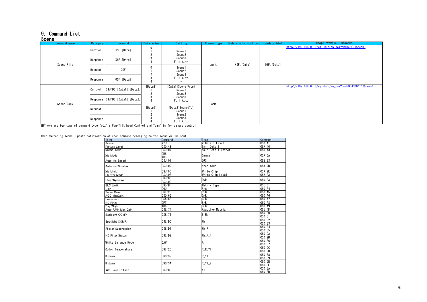#### <span id="page-24-0"></span>9. Command List

#### <u>Scene</u>

| ------<br>Command name | Category | Command                           | Data value | Setting                                      | Comand type  | Update notification             | camdata.html             | Usage example / Remarks                                 |  |
|------------------------|----------|-----------------------------------|------------|----------------------------------------------|--------------|---------------------------------|--------------------------|---------------------------------------------------------|--|
|                        | Control  | XSF: [Data]                       |            | $\overline{\phantom{0}}$<br>Scene1<br>Scene2 |              |                                 |                          | http://192.168.0.10/cgi-bin/aw cam?cmd=XSF:1&res=1      |  |
| Scene File             | Response | XSF: [Data]                       |            | Scene3<br>Full Auto                          | $cam \times$ | XSF: [Data]                     | OSF: [Data]              |                                                         |  |
|                        | Request  | QSF                               |            | Scene1<br>Scene2<br>Scene3                   |              |                                 |                          |                                                         |  |
|                        | Response | OSF: [Data]                       |            | Full Auto                                    |              |                                 |                          |                                                         |  |
|                        | Control  | OSJ:D6:[Data1]:[Data2]            | [Data1]    | [Data1] Scene (From)<br>Scene1<br>Scene2     | cam          | $\hspace{0.1mm}-\hspace{0.1mm}$ | $\overline{\phantom{a}}$ | http://192.168.0.10/cgi-bin/aw_cam?cmd=0SJ:D6:1:2&res=1 |  |
| Scene Copy             |          | Response 0SJ:D6: [Data1]: [Data2] |            | Scene3<br>Full Auto                          |              |                                 |                          |                                                         |  |
|                        | Request  | $\sim$                            | [Data2]    | [Data2] Scene (To)<br>Scene1                 |              |                                 |                          |                                                         |  |
|                        | Response | $\overline{\phantom{m}}$          |            | Scene2<br>Scene3<br>Full Auto                |              |                                 |                          |                                                         |  |

※There are two type of command type "ptz"is Pan-Tilt head Control and "cam" is for camera control

<span id="page-24-1"></span>When switching scene, update notification of each command belonging to the scene wii be sent

| OF OUTSTANDING DUTUINTING CO. CITO OUTSTAND MILL NO. OUTST<br>Item | Command                            | Item               | Command          |
|--------------------------------------------------------------------|------------------------------------|--------------------|------------------|
| Scene                                                              | <b>XSF</b>                         | V Detail Level     | OSD:A1           |
| Picture Level                                                      | OSD:48                             | Skin Detail        | 0SA:40           |
| Gamma Mode                                                         | OSJ: D7                            | Skin Detail Effect | OSD: A3          |
| Iris Mode                                                          | OR <sub>S</sub><br>#D <sub>3</sub> | Gamma              | OSA:6A           |
| Auto Iris Speed                                                    | OSJ:01                             | DRS                | 0SE:33           |
| Auto Iris Wondow                                                   | OSJ:02                             | Knee mode          | OSA:2D           |
| Iris Limit                                                         | OSJ:90                             | White Clip         | OSA:2E           |
| Shutter Mode                                                       | OSJ:03                             | White Clip Level   | 0SA: 2A          |
| Step/Synchro                                                       | OSJ:06<br>0SJ:09                   | <b>DNR</b>         | OSD:3A           |
| <b>ELC Limit</b>                                                   | OSD: BF                            | Matrix Type        | 0SE:31           |
| Gain                                                               | <b>OGU</b>                         | $R-G$              | OSD: A4          |
| Super Gain                                                         | OSI:28                             | R-B                | OSD: A5          |
| <b>AGC MaxGain</b>                                                 | OSD:69                             | G-R<br>G-B         | OSD: A6          |
| Frame mix                                                          | 0SA:65                             |                    | OSD: A7          |
| <b>ND Filter</b>                                                   | 0FT                                | $B-R$              | OSD:A8           |
| Day/Night                                                          | #D6                                | $B-G$              | OSD:A9           |
| Auto F.Mix Max Gain                                                | 0SE: 74                            | Adaptive Matrix    | OSJ:4F           |
| Backlight COMP.                                                    | 0SE: 73                            | B Mg               | OSD:80<br>0SD:81 |
| Spotlight COMP.                                                    | 0SE:DD                             | Mg                 | OSD:82<br>OSD:83 |
| <b>Flicker Suppression</b>                                         | OSE:D1                             | Mg R               | OSD:84<br>OSD:85 |
| <b>ND Filter Status</b>                                            | OSE:D2                             | Mg R R             | OSD:9A<br>OSD:9B |
| White Balance Mode                                                 | <b>OAW</b>                         | R                  | OSD:86<br>0SD:87 |
| Color Temperature                                                  | 0SI:20                             | R R YI             | OSD:9C<br>OSD:9D |
| R Gain                                                             | OSG:39                             | $R$ <sup>Y</sup>   | OSD:88<br>OSD:89 |
| <b>B</b> Gain                                                      | OSG:3A                             | $R$ $Y$   $Y$      | OSD:9E<br>OSD:9F |
| AWB Gain Offset                                                    | OSJ:OC                             | lΥI                | OSD:8A<br>OSD:8B |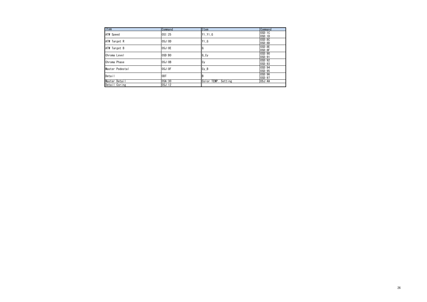| Item            | Command | <b>I</b> Item                  | Command |
|-----------------|---------|--------------------------------|---------|
| ATW Speed       | 0SI:25  | $Y$ $Y$ $G$                    | OSD:1C  |
|                 |         |                                | OSD:1D  |
| ATW Target R    | OSJ:OD  | $Y \mid G$                     | OSD:8C  |
|                 |         |                                | OSD:8D  |
| ATW Target B    | OSJ:OE  | IG                             | OSD:8E  |
|                 |         |                                | OSD:8F  |
| Chroma Level    | OSD:BO  | $G_Cy$                         | OSD:90  |
|                 |         |                                | 0SD:91  |
| Chroma Phase    | OSJ:0B  | Cy                             | OSD:92  |
|                 |         |                                | OSD:93  |
| Master Pedestal | OSJ:OF  |                                | OSD:94  |
|                 |         | $Cy$ <sub><math>B</math></sub> | OSD:95  |
| Detail          | ODT     |                                | OSD:96  |
|                 |         |                                | 0SD:97  |
| Master Detail   | 0SA:30  | Color TEMP. Setting            | 0SJ:4A  |
| Detail Coring   | 0SJ:12  |                                |         |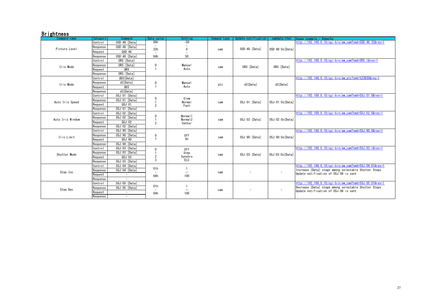### **Brightness**

<span id="page-26-5"></span><span id="page-26-4"></span><span id="page-26-3"></span><span id="page-26-2"></span><span id="page-26-1"></span><span id="page-26-0"></span>

| Command name     | Category | Command                  | Data value                      | Setting             | Comand type | Update notification | camdata.html             | Usage example / Remarks                                                                       |
|------------------|----------|--------------------------|---------------------------------|---------------------|-------------|---------------------|--------------------------|-----------------------------------------------------------------------------------------------|
|                  | Control  | OSD:48: [Data]           | 00h                             | $-50$               |             |                     |                          | http://192.168.0.10/cgi-bin/aw cam?cmd=0SD:48:32&res=1                                        |
| Picture Level    | Response | OSD:48: [Data]           | $\overline{\phantom{a}}$<br>32h | $\mathbf{0}$        | cam         | OSD:48: [Data]      | OSD:48:0x[Data]          |                                                                                               |
|                  | Request  | QSD:48                   |                                 |                     |             |                     |                          |                                                                                               |
|                  | Response | OSD:48: [Data]           | 64h                             | 50                  |             |                     |                          |                                                                                               |
|                  | Control  | ORS: [Data]              |                                 |                     |             |                     |                          | http://192.168.0.10/cgi-bin/aw cam?cmd=0RS:1&res=1                                            |
| Iris Mode        | Response | ORS: [Data]              | $\mathbf{0}$                    | <b>Manual</b>       | cam         | ORS: [Data]         | ORS: [Data]              |                                                                                               |
|                  | Reauest  | ORS                      |                                 | Auto                |             |                     |                          |                                                                                               |
|                  | Response | ORS: [Data]              |                                 |                     |             |                     |                          |                                                                                               |
|                  | Control  | #D3[Data]                |                                 |                     |             |                     |                          | http://192.168.0.10/cgi-bin/aw_ptz?cmd=%23D30&res=1                                           |
| Iris Mode        | Response | d3[Data]                 | $\mathbf{0}$                    | <b>Manual</b>       | ptz         | d3[Data]            | d3[Data]                 |                                                                                               |
|                  | Request  | #D3                      |                                 | Auto                |             |                     |                          |                                                                                               |
|                  | Response | d3[Data]                 |                                 |                     |             |                     |                          |                                                                                               |
|                  | Control  | OSJ:01: [Data]           | $\mathbf{0}$                    | Slow                |             |                     |                          | http://192.168.0.10/cgi-bin/aw cam?cmd=0SJ:01:0&res=1                                         |
| Auto Iris Speed  | Response | OSJ:01: [Data]           |                                 | <b>Normal</b>       | cam         | OSJ:01: [Data]      | OSJ:01:0x[Data]          |                                                                                               |
|                  | Request  | QSJ:01                   | 2                               | Fast                |             |                     |                          |                                                                                               |
|                  | Response | OSJ:01: [Data]           |                                 |                     |             |                     |                          |                                                                                               |
|                  | Control  | OSJ:02: [Data]           | $\mathbf{0}$                    | Normal1             |             |                     |                          | $http://192.168.0.10/cei-bin/aw cam?cmd=0SJ:02:0&res=1$                                       |
| Auto Iris Window | Response | OSJ:02: [Data]           |                                 | Norma <sub>12</sub> | cam         | OSJ:02: [Data]      | 0SJ:02:0x[Data]          |                                                                                               |
|                  | Request  | QSJ:O2                   | $\overline{2}$                  | Center              |             |                     |                          |                                                                                               |
|                  | Response | OSJ:02: [Data]           |                                 |                     |             |                     |                          |                                                                                               |
|                  | Control  | OSJ:90: [Data]           |                                 |                     |             |                     |                          | http://192.168.0.10/cgi-bin/aw_cam?cmd=0SJ:90:0&res=1                                         |
| Iris Limit       | Response | OSJ:90: [Data]           | $\mathbf{0}$                    | 0ff                 | cam         | OSJ:90: [Data]      | OSJ:90:0x[Data]          |                                                                                               |
|                  | Reauest  | QSJ:90                   | $\mathbf{1}$                    | 0n                  |             |                     |                          |                                                                                               |
|                  | Response | OSJ:90: [Data]           |                                 |                     |             |                     |                          |                                                                                               |
|                  | Control  | 0SJ:03: [Data]           | $\mathbf{0}$                    | 0ff                 |             |                     |                          | http://192.168.0.10/cgi-bin/aw cam?cmd=0SJ:03:1&res=1                                         |
| Shutter Mode     | Response | OSJ:03: [Data]           |                                 | Step                | cam         | OSJ:03: [Data]      | 0SJ:03:0x[Data]          |                                                                                               |
|                  | Reauest  | QSJ: 03                  | $\overline{2}$<br>3             | Synchro<br>ELC      |             |                     |                          |                                                                                               |
|                  | Response | 0SJ:03: [Data]           |                                 |                     |             |                     |                          |                                                                                               |
|                  | Control  | OSJ:04: [Data]           | 01h                             |                     |             |                     |                          | http://192.168.0.10/cgi-bin/aw cam?cmd=0SJ:04:01&res=1                                        |
| Step Inc         | Response | OSJ:04: [Data]           |                                 | -                   | cam         | ۰                   | $\overline{\phantom{a}}$ | Increase [Data] stage among selectable Shutter Steps<br>Update notification of OSJ:06 is sent |
|                  | Request  | $\overline{\phantom{a}}$ | 64h                             | 100                 |             |                     |                          |                                                                                               |
|                  | Response | $\equiv$                 |                                 |                     |             |                     |                          |                                                                                               |
| Step Dec         | Control  | 0SJ:05: [Data]           | 01h                             |                     |             |                     |                          | http://192.168.0.10/cgi-bin/aw cam?cmd=0SJ:05:01&res=1                                        |
|                  | Response | OSJ:05: [Data]           |                                 | -                   | cam         |                     | $\overline{\phantom{a}}$ | Decrease [Data] stage among selectable Shutter Steps<br>Update notification of OSJ:06 is sent |
|                  | Request  | $\overline{\phantom{a}}$ | 64h                             | 100                 |             |                     |                          |                                                                                               |
|                  | Response | $\sim$                   |                                 |                     |             |                     |                          |                                                                                               |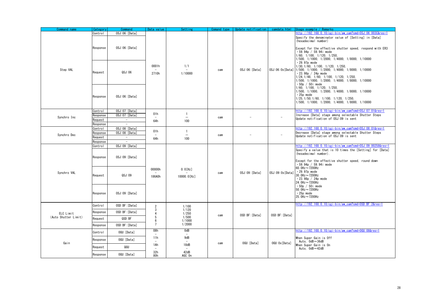<span id="page-27-2"></span><span id="page-27-1"></span><span id="page-27-0"></span>

| Command name         | Category | Command                  | Data value                      | Setting                         | Comand type | Update notification | camdata.html     | Usage example / Remarks                                                                                                                                                                                                                                                                       |
|----------------------|----------|--------------------------|---------------------------------|---------------------------------|-------------|---------------------|------------------|-----------------------------------------------------------------------------------------------------------------------------------------------------------------------------------------------------------------------------------------------------------------------------------------------|
|                      | Control  | 0SJ:06: [Data]           |                                 |                                 |             |                     |                  | http://192.168.0.10/cgi-bin/aw_cam?cmd=0SJ:06:003C&res=1                                                                                                                                                                                                                                      |
|                      | Response | OSJ:06:[Data]            |                                 |                                 |             |                     |                  | Specify the denominator value of [Setting] in [Data]<br>(hexadecimal number)<br>Except for the effective shutter speed, respond with ER3<br>$-59.94p / 59.94i$ mode<br>$1/60$ , $1/100$ , $1/120$ , $1/250$ ,<br>1/500. 1/1000. 1/2000. 1/4000. 1/8000. 1/10000                               |
| Step VAL             | Request  | OSJ:06                   | 0001h<br>2710h                  | 1/1<br>1/10000                  | cam         | OSJ:06:[Data]       | OSJ:06:0x[Data]  | $\cdot$ 29.97p mode<br>$1/30$ , $1/60$ , $1/100$ , $1/120$ , $1/250$ ,<br>1/500, 1/1000, 1/2000, 1/4000, 1/8000, 1/10000<br>$\cdot$ 23.98p / 24p mode<br>$1/24$ , $1/48$ , $1/60$ , $1/100$ , $1/120$ , $1/250$ ,<br>1/500, 1/1000, 1/2000, 1/4000, 1/8000, 1/10000<br>$\cdot$ 50p / 50i mode |
|                      | Response | OSJ:06:[Data]            |                                 |                                 |             |                     |                  | $1/60$ , $1/100$ , $1/120$ , $1/250$ ,<br>1/500, 1/1000, 1/2000, 1/4000, 1/8000, 1/10000<br>$\cdot$ 25p mode<br>$1/25$ , $1/50$ , $1/60$ , $1/100$ , $1/120$ , $1/250$ ,<br>1/500. 1/1000. 1/2000. 1/4000. 1/8000. 1/10000                                                                    |
|                      | Control  | OSJ:07: [Data]           |                                 |                                 |             |                     |                  | http://192.168.0.10/cgi-bin/aw_cam?cmd=0SJ:07:01&res=1                                                                                                                                                                                                                                        |
| Synchro Inc          | Response | 0SJ:07: [Data]           | 01h                             | -1<br>$\overline{\phantom{m}}$  | cam         |                     |                  | Increase [Data] stage among selectable Shutter Steps                                                                                                                                                                                                                                          |
|                      | Request  | $\sim$                   | 64h                             | 100                             |             |                     |                  | Update notification of OSJ:09 is sent                                                                                                                                                                                                                                                         |
|                      | Response | $\overline{\phantom{a}}$ |                                 |                                 |             |                     |                  |                                                                                                                                                                                                                                                                                               |
|                      | Control  | OSJ:08: [Data]           |                                 |                                 |             |                     |                  | http://192.168.0.10/cgi-bin/aw cam?cmd=0SJ:08:01&res=1                                                                                                                                                                                                                                        |
| Synchro Dec          | Response | OSJ:08: [Data]           | 01h                             | $\overline{1}$                  | cam         |                     |                  | Decrease [Data] stage among selectable Shutter Steps                                                                                                                                                                                                                                          |
|                      | Request  | $\sim$                   | 64h                             | 100                             |             |                     |                  | Update notification of OSJ:09 is sent                                                                                                                                                                                                                                                         |
|                      | Response | $\sim$                   |                                 |                                 |             |                     |                  |                                                                                                                                                                                                                                                                                               |
|                      | Control  | OSJ:09: [Data]           |                                 |                                 |             |                     |                  | http://192.168.0.10/cgi-bin/aw_cam?cmd=0SJ:09:00258&res=1                                                                                                                                                                                                                                     |
|                      | Response | OSJ:09:[Data]            |                                 |                                 |             | OSJ:09:[Data]       | OSJ:09:0x [Data] | Specify a value that is 10 times the [Setting] for [Data]<br>(hexadecimal number).<br>Except for the effective shutter speed, round down<br>$-59.94p / 59.94i$ mode                                                                                                                           |
| Synchro VAL          | Request  | QSJ:09                   | 00000h<br>186A0h                | $0.0$ [Hz]<br>10000, 0 [Hz]     | cam         |                     |                  | 60. OHz ~ 7200Hz<br>$\cdot$ 29.97p mode<br>30. OHz ~ 7200Hz<br>$\cdot$ 23.98p / 24p mode<br>24.0Hz~7200Hz                                                                                                                                                                                     |
|                      | Response | OSJ:09:[Data]            |                                 |                                 |             |                     |                  | $\cdot$ 50p / 50i mode<br>50. OHz $\sim$ 7200Hz<br>$\cdot$ 25p mode<br>25. OHz ~ 7200Hz                                                                                                                                                                                                       |
|                      | Control  | OSD: BF: [Data]          | $\overline{2}$                  | 1/100                           |             |                     |                  | http://192.168.0.10/cgi-bin/aw_cam?cmd=0SD:BF:2&res=1                                                                                                                                                                                                                                         |
| ELC Limit            | Response | OSD: BF: [Data]          | 3<br>4                          | 1/120<br>1/250                  | cam         | OSD: BF: [Data]     | OSD:BF: [Data]   |                                                                                                                                                                                                                                                                                               |
| (Auto Shutter Limit) | Request  | QSD:BF                   | 5<br>6                          | 1/500<br>1/1000                 |             |                     |                  |                                                                                                                                                                                                                                                                                               |
|                      | Response | OSD: BF: [Data]          | $\overline{1}$                  | 1/2000                          |             |                     |                  |                                                                                                                                                                                                                                                                                               |
| Gain                 | Control  | OGU: [Data]              | 08h                             | 0dB<br>$\overline{\phantom{a}}$ |             |                     |                  | http://192.168.0.10/cgi-bin/aw_cam?cmd=0GU:08&res=1                                                                                                                                                                                                                                           |
|                      | Response | OGU: [Data]              | 11h<br>$\overline{\phantom{a}}$ | 9dB<br>$\overline{\phantom{a}}$ | cam         |                     | OGU: 0x [Data]   | When Super Gain is Off<br>Auto, OdB~36dB                                                                                                                                                                                                                                                      |
|                      | Request  | QGU                      | 1Ah                             | 18dB                            |             | OGU: [Data]         |                  | When Super Gain is On<br>Auto, OdB~42dB                                                                                                                                                                                                                                                       |
|                      | Response | OGU: [Data]              | 32 <sub>h</sub><br>80h          | 42dB<br>AGC On                  |             |                     |                  |                                                                                                                                                                                                                                                                                               |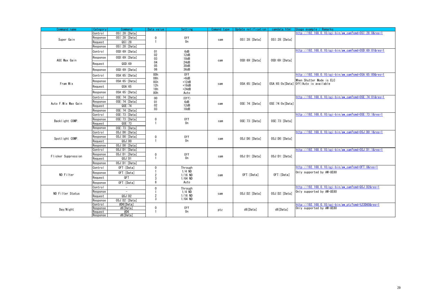<span id="page-28-8"></span><span id="page-28-7"></span><span id="page-28-6"></span><span id="page-28-5"></span><span id="page-28-4"></span><span id="page-28-3"></span><span id="page-28-2"></span><span id="page-28-1"></span><span id="page-28-0"></span>

| Command name         | Category            | <b>Command</b>             | Data value     | Setting             | Comand type | Update notification | camdata.html       | Usage example / Remarks                                           |
|----------------------|---------------------|----------------------------|----------------|---------------------|-------------|---------------------|--------------------|-------------------------------------------------------------------|
|                      | Control             | OSI:28: [Data]             |                |                     |             |                     |                    | http://192.168.0.10/cgi-bin/aw_cam?cmd=0SI:28:0&res=1             |
| Super Gain           | Response            | OSI:28: [Data]             | $\mathbf{0}$   | 0ff                 | cam         | OSI:28:[Data]       | OSI:28:[Data]      |                                                                   |
|                      | Request             | QSI:28                     |                | 0n                  |             |                     |                    |                                                                   |
|                      | Response            | OSI:28: [Data]             |                |                     |             |                     |                    |                                                                   |
|                      | Control             | OSD:69: [Data]             | 01<br>02       | 6dB                 |             |                     |                    | http://192.168.0.10/cgi-bin/aw_cam?cmd=0SD:69:01&res=1            |
|                      | Response            | OSD:69: [Data]             |                | 12dB                |             |                     |                    |                                                                   |
| AGC Max Gain         |                     |                            | 03<br>04       | 18dB<br>24dB        | cam         | OSD:69: [Data]      | OSD:69: [Data]     |                                                                   |
|                      | Request             | QSD:69                     | 05             | 30dB                |             |                     |                    |                                                                   |
|                      | Response            | OSD:69: [Data]             | 06             | 36dB                |             |                     |                    |                                                                   |
|                      | Control             | OSA: 65: [Data]            | 00h<br>06h     | 0 <sup>f</sup>      |             |                     |                    | http://192.168.0.10/cgi-bin/aw cam?cmd=0SA:65:00&res=1            |
| Fram Mix             | Response            | $OSA:65$ : [Data]          | 0Ch            | $+6dB$<br>$+12dB$   | cam         | OSA:65:[Data]       |                    | When Shutter Mode is ELC<br>OSA:65:0x[Data] Off/Auto is available |
|                      | Request             | QSA:65                     | 12h<br>18h     | $+18dB$<br>$+24dB$  |             |                     |                    |                                                                   |
|                      | Response            | OSA: 65: [Data]            | 80h            | Auto                |             |                     |                    |                                                                   |
|                      | Control             | OSE: 74: [Data]            | 00             | (0ff)               |             |                     |                    | http://192.168.0.10/cgi-bin/aw cam?cmd=0SE:74:01&res=1            |
|                      | Response            | OSE: 74: [Data]            | 01             | 6dB                 |             |                     |                    |                                                                   |
| Auto F. Mix Max Gain | Request             | QSE:74                     | 02             | 12dB                | cam         | OSE: 74: [Data]     | OSE: 74: Ox [Data] |                                                                   |
|                      | Response            | OSE: 74: [Data]            | 03             | 18dB                |             |                     |                    |                                                                   |
|                      | Control             | OSE: 73: [Data]            |                |                     |             |                     |                    | http://192.168.0.10/cgi-bin/aw_cam?cmd=0SE:73:1&res=1             |
| Backlight COMP.      | Response            | OSE: 73: [Data]            | $\mathbf 0$    | 0ff                 | cam         | OSE: 73: [Data]     | OSE: 73: [Data]    |                                                                   |
|                      | Reauest             | QSE: 73                    |                | 0n                  |             |                     |                    |                                                                   |
|                      | Response            | OSE: 73: [Data]            |                |                     |             |                     |                    |                                                                   |
|                      | Control             | OSJ:DO: [Data]             |                |                     |             |                     |                    | http://192.168.0.10/cgi-bin/aw_cam?cmd=0SJ:D0:1&res=1             |
| Spotlight COMP.      | Response            | OSJ:DO: [Data]             | $\mathbf 0$    | 0ff                 | cam         | OSJ:DO: [Data]      | OSJ:DO: [Data]     |                                                                   |
|                      | Request             | QSJ:DD                     |                | 0n                  |             |                     |                    |                                                                   |
|                      | Response            | OSJ:DO: [Data]             |                |                     |             |                     |                    |                                                                   |
|                      | Control             | OSJ:D1: [Data]             |                |                     |             |                     |                    | http://192.168.0.10/cgi-bin/aw cam?cmd=0SJ:D1:1&res=1             |
| Flicker Suppression  | Response            | OSJ:D1: [Data]             | $\mathbf 0$    | 0ff<br>0n           | cam         | OSJ:D1: [Data]      | OSJ:D1: [Data]     |                                                                   |
|                      | Request             | QSJ:D1                     |                |                     |             |                     |                    |                                                                   |
|                      | Response            | OSJ:D1: [Data]             |                |                     |             |                     |                    | http://192.168.0.10/cgi-bin/aw_cam?cmd=0FT:0&res=1                |
|                      | Control<br>Response | OFT: [Data]<br>OFT: [Data] | $\mathbf 0$    | Through<br>$1/4$ ND |             |                     |                    | Only supported by AW-UE80                                         |
| ND Filter            | Reauest             | <b>OFT</b>                 | $\overline{2}$ | $1/16$ ND           | cam         | OFT: [Data]         | OFT: [Data]        |                                                                   |
|                      | Response            | OFT: [Data]                | 3<br>8         | $1/64$ ND<br>Auto   |             |                     |                    |                                                                   |
|                      |                     | $\overline{\phantom{a}}$   |                |                     |             |                     |                    | http://192.168.0.10/cgi-bin/aw cam?cmd=QSJ:D2&res=1               |
|                      | Control<br>Response | $\sim$                     | $\mathbf{0}$   | Through<br>$1/4$ ND |             |                     |                    | Only supported by AW-UE80                                         |
| ND Filter Status     | Request             | QSJ:D2                     | 2              | $1/16$ ND           | cam         | OSJ:D2:[Data]       | OSJ:D2: [Data]     |                                                                   |
|                      | Response            | OSJ:D2:[Data]              | 3              | $1/64$ ND           |             |                     |                    |                                                                   |
|                      | Control             | #D6[Data]                  |                |                     |             |                     |                    | http://192.168.0.10/cgi-bin/aw_ptz?cmd=%23D60&res=1               |
|                      | Response            | d6[Data]                   | $\mathbf 0$    | 0ff                 |             | d6[Data]            | d6[Data]           | Only supported by AW-UE80                                         |
| Day/Night            | Request             | #D6                        |                | 0n                  | ptz         |                     |                    |                                                                   |
|                      | Response            | d6[Data]                   |                |                     |             |                     |                    |                                                                   |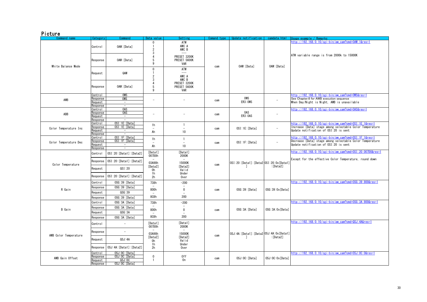## Picture

<span id="page-29-5"></span><span id="page-29-4"></span><span id="page-29-3"></span><span id="page-29-2"></span><span id="page-29-1"></span><span id="page-29-0"></span>

| Command name          | Category            | Command                                | Data value                          | Setting                                  | Comand type | Update notification                       | camdata.html             | Usage example / Remarks                                                                 |
|-----------------------|---------------------|----------------------------------------|-------------------------------------|------------------------------------------|-------------|-------------------------------------------|--------------------------|-----------------------------------------------------------------------------------------|
|                       | Control             | OAW: [Data]                            | $\mathbf{0}$<br>$\overline{2}$<br>3 | ATW<br>AWC A<br>AWC B                    |             |                                           |                          | http://192.168.0.10/cgi-bin/aw_cam?cmd=0AW:1&res=1                                      |
|                       | Response            | OAW: [Data]                            | $\overline{4}$<br>5<br>9            | PRESET 3200K<br>PRESET 5600K<br>VAR      |             | OAW: [Data]                               |                          | ATW variable range is from 2000k to 15000K                                              |
| White Balance Mode    |                     |                                        | $\mathbf 0$                         | ATW                                      | cam         |                                           | OAW: [Data]              |                                                                                         |
|                       | Request             | QAW                                    | $\mathbf{1}$<br>$\overline{2}$      | AWC A                                    |             |                                           |                          |                                                                                         |
|                       |                     |                                        | $\mathbf{3}$                        | AWC B                                    |             |                                           |                          |                                                                                         |
|                       | Response            | OAW: [Data]                            | 4<br>5                              | PRESET 3200K<br>PRESET 5600K             |             |                                           |                          |                                                                                         |
|                       |                     |                                        | 9                                   | VAR                                      |             |                                           |                          |                                                                                         |
|                       | Control             | <b>OWS</b>                             |                                     |                                          |             |                                           |                          | http://192.168.0.10/cgi-bin/aw_cam?cmd=0WS&res=1                                        |
| AWB                   | Response<br>Request | <b>OWS</b><br>$\overline{\phantom{a}}$ | ۰                                   | ٠                                        | cam         | OWS<br>ER3:0WS                            | ÷                        | See Chapter.6 for AWB execution sequence<br>When Dav/Night is Night. AWB is unavailable |
|                       | Response            | $\sim$                                 |                                     |                                          |             |                                           |                          |                                                                                         |
|                       | Control             | <b>OAS</b>                             |                                     |                                          |             |                                           |                          | http://192.168.0.10/cgi-bin/aw cam?cmd=0AS&res=1                                        |
| ABB                   | Response            | 0AS<br>$\sim$                          | $\overline{\phantom{a}}$            | $\overline{a}$                           | cam         | 0AS<br>ER3:0AS                            | $\overline{\phantom{a}}$ |                                                                                         |
|                       | Request<br>Response | $\sim$                                 |                                     |                                          |             |                                           |                          |                                                                                         |
|                       | Control             | OSI:1E: [Data]                         | 1 <sub>h</sub>                      | $\mathbf{1}$                             |             |                                           |                          | http://192.168.0.10/cgi-bin/aw_cam?cmd=0SI:1E:1&res=1                                   |
| Color Temperature Inc | Response            | OSI: 1E: [Data]                        |                                     |                                          | cam         | OSI:1E: [Data]                            | $\sim$                   | Increase [Data] stage among selectable Color Temperature                                |
|                       | Request<br>Response | $\sim$                                 | Ah                                  | 10                                       |             |                                           |                          | Update notification of OSI:20 is sent                                                   |
|                       | Control             | OSI: 1F: [Data]                        |                                     |                                          |             |                                           |                          | http://192.168.0.10/cgi-bin/aw_cam?cmd=0SI:1F:1&res=1                                   |
| Color Temperature Dec | Response            | OSI: 1F: [Data]                        | 1h<br>$\overline{\phantom{a}}$      | $\mathbf{1}$<br>$\overline{\phantom{a}}$ | cam         | OSI: 1F: [Data]                           | $\overline{\phantom{a}}$ | Decrease [Data] stage among selectable Color Temperature                                |
|                       | Request<br>Response | $\sim$<br>Ξ                            | Ah                                  | 10                                       |             |                                           |                          | Update notification of OSI:20 is sent                                                   |
|                       | Control             | OSI:20: [Data1]: [Data2]               | [Data1]                             | [Data1]                                  |             |                                           |                          | http://192.168.0.10/cgi-bin/aw_cam?cmd=0SI:20:007D0&res=1                               |
|                       |                     |                                        | 007D0h                              | 2000K                                    |             |                                           |                          | Except for the effective Color Temperature, round down                                  |
|                       | Response            | OSI:20: [Data1]: [Data2]               | 03A98h                              | 15000K                                   |             | OSI:20: [Data1]: [Data2 0SI:20:0x [Data1] |                          |                                                                                         |
| Color Temperature     | Reauest             | QSI:20                                 | [Data2]                             | [Data2]                                  | cam         | ı                                         | : [Data2]                |                                                                                         |
|                       |                     |                                        | 0h<br>1h                            | Valid<br>Under                           |             |                                           |                          |                                                                                         |
|                       | Response            | OSI:20: [Data1]: [Data2]               | 2h                                  | Over                                     |             |                                           |                          |                                                                                         |
|                       | Control             | OSG:39: [Data]                         | 738h                                | $-200$                                   |             |                                           |                          | http://192.168.0.10/cgi-bin/aw cam?cmd=0SG:39:800&res=1                                 |
|                       | Response            | OSG:39: [Data]                         |                                     |                                          |             |                                           |                          |                                                                                         |
| R Gain                | Request             | QSG:39                                 | 800h                                | $\mathbf 0$<br>÷                         | cam         | OSG: 39: [Data]                           | OSG:39:0x[Data]          |                                                                                         |
|                       | Response            | 0SG:39: [Data]                         | 8C8h                                | 200                                      |             |                                           |                          |                                                                                         |
|                       | Control             | OSG:3A: [Data]                         | 738h                                | $-200$                                   |             |                                           |                          | http://192.168.0.10/cgi-bin/aw_cam?cmd=0SG:3A:800&res=1                                 |
|                       | Response            | OSG:3A: [Data]                         |                                     |                                          |             |                                           |                          |                                                                                         |
| B Gain                | Request             | QSG:3A                                 | 800h                                | $\mathbf 0$                              | cam         | OSG:3A: [Data]                            | OSG:3A:0x[Data]          |                                                                                         |
|                       | Response            | OSG:3A: [Data]                         | 8C8h                                | 200                                      |             |                                           |                          |                                                                                         |
|                       |                     |                                        |                                     |                                          |             |                                           |                          | http://192.168.0.10/cgi-bin/aw_cam?cmd=QSJ:4A&res=1                                     |
|                       | Control             | $\sim$                                 | [Data1]<br>007D0h                   | [Data1]<br>2000K                         |             |                                           |                          |                                                                                         |
|                       | Response            | $\overline{\phantom{a}}$               |                                     |                                          |             |                                           |                          |                                                                                         |
| AWB Color Temperature |                     |                                        | 03A98h<br>[Data2]                   | 15000K<br>[Data2]                        | cam         | OSJ:4A: [Data1]: [Data2 OSJ:4A:0x [Data1] | : [Data2]                |                                                                                         |
|                       | Request             | QSJ:4A                                 | 0h                                  | Valid                                    |             |                                           |                          |                                                                                         |
|                       | Response            | OSJ:4A: [Data1]: [Data2]               | 1h<br>2h                            | Under<br>Over                            |             |                                           |                          |                                                                                         |
|                       | Control             | OSJ: OC: [Data]                        |                                     |                                          |             |                                           |                          | http://192.168.0.10/cgi-bin/aw cam?cmd=0SJ:0C:0&res=1                                   |
| AWB Gain Offset       | Response<br>Request | OSJ:OC: [Data]<br>QSJ:OC               | $\mathbf 0$<br>1                    | 0ff<br>0 <sub>n</sub>                    | cam         | OSJ: 0C: [Data]                           | OSJ: OC: Ox [Data]       |                                                                                         |
|                       | Response            | OSJ:OC: [Data]                         |                                     |                                          |             |                                           |                          |                                                                                         |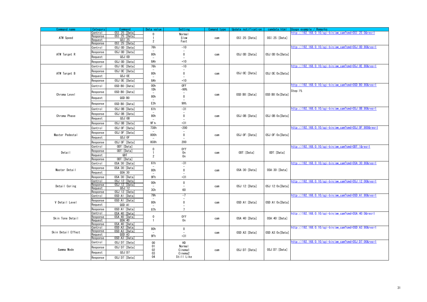<span id="page-30-12"></span><span id="page-30-11"></span><span id="page-30-10"></span><span id="page-30-9"></span><span id="page-30-8"></span><span id="page-30-7"></span><span id="page-30-6"></span><span id="page-30-5"></span><span id="page-30-4"></span><span id="page-30-3"></span><span id="page-30-2"></span><span id="page-30-1"></span><span id="page-30-0"></span>

| Command name       | Category            | Command                   | Data value       | Setting        | Comand type | Update notification | camdata html       | Isage example<br>Remarks                                |
|--------------------|---------------------|---------------------------|------------------|----------------|-------------|---------------------|--------------------|---------------------------------------------------------|
|                    | Control             | OSI:25: [Data]            | $\mathbf 0$      | Normal         |             |                     |                    | nttp://192.168.0.10/cgi-bin/aw_cam?cmd=0SI:25:0&res=1   |
| ATW Speed          | Response            | OSI:25: [Data]            |                  | Slow           | cam         | OSI:25:[Data]       | OSI:25:[Data]      |                                                         |
|                    | Reauest             | QSI:25                    | $\overline{2}$   | Fast           |             |                     |                    |                                                         |
|                    | Response            | OSI:25: [Data]            | 76h              | $-10$          |             |                     |                    | http://192.168.0.10/cgi-bin/aw_cam?cmd=0SJ:0D:80&res=1  |
|                    | Control             | OSJ: OD: [Data]           |                  | $\sim$         |             |                     |                    |                                                         |
| ATW Target R       | Response            | OSJ: OD: [Data]           | 80h              | $\mathbf 0$    | cam         | OSJ:OD: [Data]      | OSJ:OD:Ox[Data]    |                                                         |
|                    | Reauest             | QSJ:OD                    |                  |                |             |                     |                    |                                                         |
|                    | Response            | OSJ: OD: [Data]           | 8Ah              | $+10$          |             |                     |                    |                                                         |
|                    | Control             | OSJ: OE: [Data]           | 76h              | $-10$          |             |                     |                    | http://192.168.0.10/cgi-bin/aw_cam?cmd=0SJ:0E:80&res=1  |
|                    | Response            | OSJ: OE: [Data]           |                  |                |             |                     |                    |                                                         |
| ATW Target B       | Request             | QSJ:0E                    | 80h              | $\mathbf{0}$   | cam         | OSJ: OE: [Data]     | OSJ: OE: Ox [Data] |                                                         |
|                    | Response            | OSJ: OE: [Data]           | 8Ah              | $+10$          |             |                     |                    |                                                         |
|                    |                     |                           | 00h              | 0FF            |             |                     |                    | http://192.168.0.10/cgi-bin/aw_cam?cmd=0SD:B0:80&res=1  |
|                    | Control             | OSD:BO: [Data]            | 1Dh              | $-99%$         |             |                     |                    |                                                         |
|                    | Response            | OSD:BO: [Data]            |                  |                |             |                     |                    | Step:1%                                                 |
| Chroma Level       | Request             | QSD:BO                    | 80h              | $\mathbf 0$    | cam         | OSD:BO: [Data]      | OSD:BO:Ox[Data]    |                                                         |
|                    | Response            | OSD:BO: [Data]            | E <sub>3</sub> h | 99%            |             |                     |                    |                                                         |
|                    | Control             | OSJ: OB: [Data]           | 61h              | $-31$          |             |                     |                    | http://192.168.0.10/cgi-bin/aw_cam?cmd=0SJ:0B:80&res=1  |
|                    | Response            | OSJ: OB: [Data]           |                  |                |             |                     |                    |                                                         |
| Chroma Phase       | Reauest             | QSJ:OB                    | 80h              | $\pmb{0}$      | cam         | OSJ:OB: [Data]      | OSJ:OB:Ox[Data]    |                                                         |
|                    | Response            | OSJ: OB: [Data]           | 9F <sub>h</sub>  | $+31$          |             |                     |                    |                                                         |
|                    |                     | OSJ: OF: [Data]           | 738h             | $-200$         |             |                     |                    | http://192.168.0.10/cgi-bin/aw_cam?cmd=0SJ:0F:800&res=1 |
|                    | Control             |                           |                  |                |             |                     |                    |                                                         |
| Master Pedestal    | Response            | OSJ:OF: [Data]            | 800h             | $\mathbf 0$    | cam         | OSJ: OF: [Data]     | OSJ:OF:Ox[Data]    |                                                         |
|                    | Request             | QSJ:OF                    |                  |                |             |                     |                    |                                                         |
|                    | Response            | OSJ:OF: [Data]            | 8C8h             | 200            |             |                     |                    |                                                         |
|                    | Control             | ODT: [Data]               | $\mathbf 0$      | 0ff            |             |                     |                    | http://192.168.0.10/cgi-bin/aw_cam?cmd=0DT:1&res=1      |
| Detail             | Response            | ODT: [Data]               |                  | 0n             | cam         | ODT: [Data]         | ODT: [Data]        |                                                         |
|                    | Request             | QDT                       | $\overline{2}$   | 0n             |             |                     |                    |                                                         |
|                    | Response            | ODT: [Data]               |                  |                |             |                     |                    |                                                         |
|                    | Control             | 0SA: 30: [Data]           | 61h              | $-31$          |             |                     |                    | http://192.168.0.10/cgi-bin/aw_cam?cmd=0SA:30:80&res=1  |
| Master Detail      | Response            | OSA: 30: [Data]           | 80h              | $\mathbf{0}$   | cam         | OSA: 30: [Data]     | OSA: 30: [Data]    |                                                         |
|                    | Request             | QSA:30                    |                  |                |             |                     |                    |                                                         |
|                    | Response            | 0SA: 30: [Data]           | 9Fh              | $+31$          |             |                     |                    |                                                         |
|                    | Control             | 0SJ:12: [Data]            | 00h              | $\mathbf 0$    |             |                     |                    | nttp://192.168.0.10/cgi-bin/aw_cam?cmd=0SJ:12:00&res=1  |
| Detail Coring      | Response<br>Request | OSJ:12: [Data]<br>QSJ:12  |                  |                | cam         | OSJ:12: [Data]      | OSJ:12:0x[Data]    |                                                         |
|                    | Response            | OSJ:12: [Data]            | 3Ch              | 60             |             |                     |                    |                                                         |
|                    | Control             | OSD:A1: [Data]            | 79h              | -7             |             |                     |                    | http://192.168.0.10/cgi-bin/aw_cam?cmd=0SD:A1:80&res=1  |
| V Detail Level     | Response            | OSD:A1: [Data]            | 80h              | $\mathbf 0$    | cam         | OSD:A1: [Data]      | OSD:A1:Ox[Data]    |                                                         |
|                    | Request             | QSD: A1                   |                  |                |             |                     |                    |                                                         |
|                    | Response            | OSD:A1: [Data]            | 87h              | $\overline{7}$ |             |                     |                    |                                                         |
|                    | Control             | 0SA: 40: [Data]           |                  |                |             |                     |                    | http://192.168.0.10/cgi-bin/aw_cam?cmd=0SA:40:0&res=1   |
| Skin Tone Detail   | Response            | OSA: 40: [Data]           | $\mathbf 0$<br>1 | 0ff<br>0n      | cam         | OSA: 40: [Data]     | OSA: 40: [Data]    |                                                         |
|                    | Request<br>Response | QSA:40<br>0SA: 40: [Data] |                  |                |             |                     |                    |                                                         |
|                    | Control             | OSD:A3: [Data]            | 80h              | $\mathbf 0$    |             |                     |                    | http://192.168.0.10/cgi-bin/aw_cam?cmd=0SD:A3:80&res=1  |
| Skin Detail Effect | Response            | OSD:A3: [Data]            |                  |                | cam         | OSD: A3: [Data]     | OSD:A3:Ox[Data]    |                                                         |
|                    | Reauest             | QSD: A3                   | 9Fh              | $+31$          |             |                     |                    |                                                         |
|                    | Response            | OSD:A3: [Data             |                  |                |             |                     |                    | http://192.168.0.10/cgi-bin/aw_cam?cmd=0SJ:D7:00&res=1  |
|                    | Control             | OSJ:D7: [Data]            | $00\,$<br>01     | HD<br>Normal   |             |                     |                    |                                                         |
| Gamma Mode         | Response            | OSJ:D7: [Data]            | 02               | Cinema1        | cam         | OSJ:D7: [Data]      | OSJ:D7: [Data]     |                                                         |
|                    | Reauest             | QSJ:D7                    | 03               | Cinema2        |             |                     |                    |                                                         |
|                    | Response            | OSJ:D7: [Data]            | 04               | Still Like     |             |                     |                    |                                                         |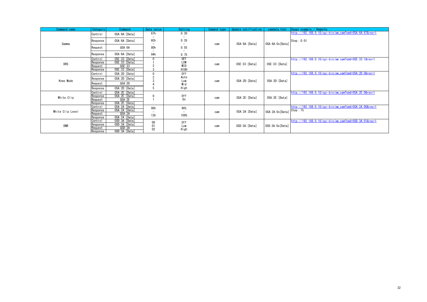<span id="page-31-5"></span><span id="page-31-4"></span><span id="page-31-3"></span><span id="page-31-2"></span><span id="page-31-1"></span><span id="page-31-0"></span>

| Command name     | Category            | Command                            | Data value | Setting        | Comand type | Update notification | camdata, html      | Usage example / $Remarks$                              |
|------------------|---------------------|------------------------------------|------------|----------------|-------------|---------------------|--------------------|--------------------------------------------------------|
|                  | Control             | OSA: 6A: [Data]                    | 67h        | 0.30           |             |                     |                    | http://192.168.0.10/cgi-bin/aw cam?cmd=0SA:6A:67&res=1 |
| Gamma            | Response            | OSA: 6A: [Data]                    | 6Ch        | 0.35           | cam         | OSA: 6A: [Data]     | OSA: 6A: Ox [Data] | Step: 0.01                                             |
|                  | Request             | QSA:6A                             | 80h        | 0.55           |             |                     |                    |                                                        |
|                  | Response            | OSA: 6A: [Data]                    | 94h        | 0.75           |             |                     |                    |                                                        |
|                  | Control             | OSE: 33: [Data]<br>OSE: 33: [Data] |            | 0FF            |             |                     |                    | http://192.168.0.10/cgi-bin/aw cam?cmd=0SE:33:1&res=1  |
| <b>DRS</b>       | Response<br>Request | QSE:33                             |            | LOW<br>MID     | cam         | 0SE:33: [Data]      | OSE:33: [Data]     |                                                        |
|                  | Response            | OSE: 33: [Data]                    |            | HIGH           |             |                     |                    |                                                        |
|                  | Control             | OSA: 2D: [Data]                    |            | 0ff            |             |                     |                    | http://192.168.0.10/cgi-bin/aw_cam?cmd=0SA:2D:0&res=1  |
| Knee Mode        | Response            | OSA:2D:[Data]                      |            | Auto           |             | OSA: 2D: [Data]     | OSA:2D: [Data]     |                                                        |
|                  | Request             | QSA:2D                             |            | Low<br>Mid     | cam         |                     |                    |                                                        |
|                  | Response            | OSA: 2D: [Data]                    | 5          | High           |             |                     |                    |                                                        |
|                  | Control             | OSA: 2E: [Data]                    |            |                |             |                     |                    | http://192.168.0.10/cgi-bin/aw cam?cmd=0SA:2E:0&res=1  |
| White Clip       | Response            | OSA: 2E: [Data]                    |            | 0ff            | cam         | OSA: 2E: [Data]     | OSA: 2E: [Data]    |                                                        |
|                  | Reauest<br>Response | QSA: 2E<br>OSA: 2E: [Data]         |            | 0 <sub>n</sub> |             |                     |                    |                                                        |
|                  | Control             | OSA: 2A: [Data]                    |            |                |             |                     |                    | http://192.168.0.10/cgi-bin/aw_cam?cmd=0SA:2A:00&res=1 |
|                  | Response            | OSA: 2A: [Data]                    | 00h        | 90%            |             |                     | OSA: 2A: 0x [Data] | Step: 1%                                               |
| White Clip Level | Reauest             | QSA:2A                             | 13h        | 109%           | cam         | OSA: 2A: [Data]     |                    |                                                        |
|                  | Response            | OSA: 2A: [Data]                    |            |                |             |                     |                    |                                                        |
|                  | Control             | OSD:3A: [Data]                     | 00         | 0ff            |             |                     |                    | http://192.168.0.10/cgi-bin/aw_cam?cmd=0SD:3A:01&res=1 |
| <b>DNR</b>       | Response            | OSD:3A: [Data]<br>QSD: 3A          | 01         | Low            | cam         | OSD:3A: [Data]      | OSD:3A:0x[Data]    |                                                        |
|                  | Request<br>Response | OSD:3A: [Data]                     | 02         | High           |             |                     |                    |                                                        |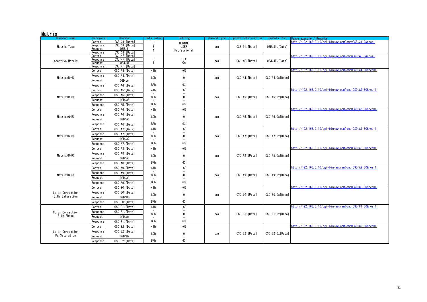## Matrix

<span id="page-32-9"></span><span id="page-32-8"></span><span id="page-32-7"></span><span id="page-32-6"></span><span id="page-32-5"></span><span id="page-32-4"></span><span id="page-32-3"></span><span id="page-32-2"></span><span id="page-32-1"></span><span id="page-32-0"></span>

| Command name                      | Category                   | Command                   | Data value                      | Setting       | Comand type | Update notification | camdata.html       | Usage example / Remarks                                |
|-----------------------------------|----------------------------|---------------------------|---------------------------------|---------------|-------------|---------------------|--------------------|--------------------------------------------------------|
|                                   | Control                    | OSE: 31: [Data]           | $\Omega$                        | <b>NORMAL</b> |             |                     |                    | http://192.168.0.10/cgi-bin/aw_cam?cmd=0SE:31:0&res=1  |
| Matrix Type                       | Response<br>Request        | OSE: 31: [Data]<br>QSE:31 | 3                               | <b>USER</b>   | cam         | OSE:31:[Data]       | OSE:31: [Data]     |                                                        |
|                                   | Response                   | OSE:31: [Data]            | Δ                               | Professional  |             |                     |                    |                                                        |
|                                   | Control                    | OSJ:4F: [Data]            |                                 |               |             |                     |                    | http://192.168.0.10/cgi-bin/aw_cam?cmd=0SJ:4F:0&res=1  |
| Adaptive Matrix                   | Response                   | OSJ:4F: [Data]            | $\mathbf 0$                     | 0ff           | cam         | OSJ:4F:[Data]       | OSJ:4F: [Data]     |                                                        |
|                                   | <b>Reauest</b><br>Response | QSJ:4F<br>OSJ:4F: [Data]  |                                 | 0n            |             |                     |                    |                                                        |
|                                   | Control                    | OSD:A4: [Data]            | 41h                             | $-63$         |             |                     |                    | http://192.168.0.10/cgi-bin/aw_cam?cmd=0SD:A4:80&res=1 |
|                                   | Response                   | OSD:A4: [Data]            |                                 |               |             |                     |                    |                                                        |
| Matrix $(R-G)$                    |                            | QSD:A4                    | 80h                             | $\mathbf 0$   | cam         | OSD:A4: [Data]      | OSD:A4:Ox[Data]    |                                                        |
|                                   | Reauest                    |                           | <b>BFh</b>                      | 63            |             |                     |                    |                                                        |
|                                   | Response                   | OSD:A4: [Data]            |                                 |               |             |                     |                    | http://192.168.0.10/cgi-bin/aw_cam?cmd=0SD:A5:80&res=1 |
|                                   | Control                    | OSD:A5: [Data]            | 41h                             | $-63$         |             |                     |                    |                                                        |
| Matrix(R-B)                       | Response                   | OSD:A5: [Data]            | 80h                             | $\mathbf 0$   | cam         | OSD: A5: [Data]     | OSD: A5: Ox [Data] |                                                        |
|                                   | Request                    | QSD: A5                   |                                 |               |             |                     |                    |                                                        |
|                                   | Response                   | OSD:A5: [Data]            | <b>BFh</b>                      | 63            |             |                     |                    |                                                        |
|                                   | Control                    | OSD:A6: [Data]            | 41h                             | $-63$         |             |                     |                    | http://192.168.0.10/cgi-bin/aw_cam?cmd=0SD:A6:80&res=1 |
| Matrix(G-R)                       | Response                   | OSD:A6: [Data]            | 80h                             | $\mathbf{0}$  | cam         | OSD:A6:[Data]       | OSD:A6:Ox[Data]    |                                                        |
|                                   | Request                    | QSD:AG                    | $\overline{\phantom{a}}$        |               |             |                     |                    |                                                        |
|                                   | Response                   | OSD:A6: [Data]            | <b>BFh</b>                      | 63            |             |                     |                    |                                                        |
|                                   | Control                    | OSD:A7: [Data]            | 41h                             | $-63$         |             |                     |                    | http://192.168.0.10/cgi-bin/aw_cam?cmd=0SD:A7:80&res=1 |
| Matrix (G-B)                      | Response                   | OSD:A7: [Data]            |                                 | $\mathbf 0$   |             | OSD:A7: [Data]      |                    |                                                        |
|                                   | Request                    | QSD: A7                   | 80h<br>$\overline{\phantom{a}}$ |               | cam         |                     | OSD:A7:Ox[Data]    |                                                        |
|                                   | Response                   | OSD:A7: [Data]            | <b>BFh</b>                      | 63            |             |                     |                    |                                                        |
|                                   | Control                    | OSD:A8: [Data]            | 41h                             | $-63$         |             |                     |                    | http://192.168.0.10/cgi-bin/aw_cam?cmd=0SD:A8:80&res=1 |
|                                   | Response                   | OSD:A8: [Data]            |                                 |               |             |                     |                    |                                                        |
| Matrix(B-R)                       | Request                    | QSD:AB                    | 80h<br>$\overline{a}$           | $\mathbf 0$   | cam         | OSD:A8: [Data]      | OSD:A8:Ox[Data]    |                                                        |
|                                   | Response                   | OSD:A8: [Data]            | <b>BFh</b>                      | 63            |             |                     |                    |                                                        |
|                                   | Control                    | OSD:A9: [Data]            | 41h                             | $-63$         |             |                     |                    | http://192.168.0.10/cgi-bin/aw_cam?cmd=0SD:A9:80&res=1 |
|                                   | Response                   | OSD:A9: [Data]            | $\overline{\phantom{a}}$        |               |             |                     |                    |                                                        |
| Matrix(B-G)                       | Reauest                    | QSD: A9                   | 80h<br>$\overline{\phantom{a}}$ | $\mathbf 0$   | cam         | OSD: A9: [Data]     | OSD:A9:Ox[Data]    |                                                        |
|                                   | Response                   | OSD:A9: [Data]            | <b>BFh</b>                      | 63            |             |                     |                    |                                                        |
|                                   | Control                    | OSD:80: [Data]            | 41h                             | $-63$         |             |                     |                    | http://192.168.0.10/cgi-bin/aw_cam?cmd=0SD:80:80&res=1 |
| Color Correction                  | Response                   | OSD:80: [Data]            |                                 |               |             |                     |                    |                                                        |
| <b>B</b> Mg Saturation            | Request                    | QSD:80                    | 80h                             | $\mathbf{0}$  | cam         | OSD:80: [Data]      | OSD:80:0x[Data]    |                                                        |
|                                   | Response                   | OSD:80: [Data]            | <b>BFh</b>                      | 63            |             |                     |                    |                                                        |
|                                   | Control                    | OSD:81: [Data]            | 41h                             | $-63$         |             |                     |                    | http://192.168.0.10/cgi-bin/aw_cam?cmd=0SD:81:80&res=1 |
| Color Correction                  | Response                   | OSD:81:[Data]             | $\overline{\phantom{a}}$        |               |             |                     |                    |                                                        |
| <b>B_Mg</b> Phase                 | Request                    | QSD:81                    | 80h                             | $\mathbf{0}$  | cam         | OSD:81:[Data]       | OSD:81:0x[Data]    |                                                        |
|                                   |                            | OSD:81: [Data]            | <b>BFh</b>                      | 63            |             |                     |                    |                                                        |
|                                   | Response                   | OSD:82: [Data]            | 41h                             | $-63$         |             |                     |                    | http://192.168.0.10/cgi-bin/aw_cam?cmd=0SD:82:80&res=1 |
|                                   | Control                    |                           |                                 |               |             |                     |                    |                                                        |
| Color Correction<br>Mg Saturation | Response                   | OSD:82: [Data]            | 80h                             | $\mathbf{0}$  | cam         | OSD:82:[Data]       | OSD:82:0x[Data]    |                                                        |
|                                   | Request                    | QSD:82                    |                                 |               |             |                     |                    |                                                        |
|                                   | Response                   | OSD:82: [Data]            | <b>BFh</b>                      | 63            |             |                     |                    |                                                        |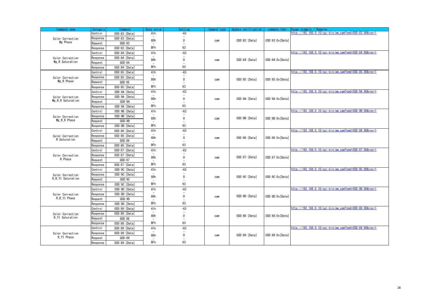<span id="page-33-4"></span><span id="page-33-3"></span><span id="page-33-2"></span><span id="page-33-1"></span><span id="page-33-0"></span>

| Command name      | Category | Command         | Data value    | Settin                                   | Comand type | Update notification | camdata.html       | Usage example / Remarks                                |
|-------------------|----------|-----------------|---------------|------------------------------------------|-------------|---------------------|--------------------|--------------------------------------------------------|
|                   | Control  | OSD:83: [Data]  | 41h           | $-63$                                    |             |                     |                    | http://192.168.0.10/cgi-bin/aw_cam?cmd=0SD:83:80&res=1 |
| Color Correction  | Response | OSD:83: [Data]  |               | $\Omega$                                 |             |                     |                    |                                                        |
| Mg Phase          | Request  | QSD:83          | 80h           |                                          | cam         | OSD:83:[Data]       | OSD:83:0x[Data]    |                                                        |
|                   | Response | OSD:83: [Data]  | <b>BFh</b>    | 63                                       |             |                     |                    |                                                        |
|                   | Control  | OSD:84: [Data]  | 41h           | $-63$                                    |             |                     |                    | http://192.168.0.10/cgi-bin/aw cam?cmd=0SD:84:80&res=1 |
| Color Correction  | Response | OSD:84:[Data]   |               |                                          |             |                     |                    |                                                        |
| Mg R Saturation   | Request  | QSD:84          | 80h           | $\mathbf{0}$                             | cam         | OSD:84:[Data]       | OSD:84:0x[Data]    |                                                        |
|                   | Response | OSD:84: [Data]  | <b>BFh</b>    | 63                                       |             |                     |                    |                                                        |
|                   | Control  | OSD:85: [Data]  | 41h           | $-63$                                    |             |                     |                    | http://192.168.0.10/cgi-bin/aw cam?cmd=0SD:85:80&res=1 |
| Color Correction  | Response | OSD:85: [Data]  |               |                                          |             |                     |                    |                                                        |
| Mg R Phase        | Request  | QSD:85          | 80h           | $\mathbf{0}$                             | cam         | OSD:85: [Data]      | OSD:85:0x[Data]    |                                                        |
|                   | Response | OSD:85: [Data]  | <b>BFh</b>    | 63                                       |             |                     |                    |                                                        |
|                   | Control  | OSD:9A: [Data]  | 41h           | $-63$                                    |             |                     |                    | http://192.168.0.10/cgi-bin/aw cam?cmd=0SD:9A:80&res=1 |
| Color Correction  | Response | OSD:9A: [Data]  |               | $\overline{\phantom{a}}$                 |             |                     |                    |                                                        |
| Mg_R_R Saturation | Request  | QSD:9A          | 80h           | 0                                        | cam         | OSD:9A: [Data]      | OSD: 9A: 0x [Data] |                                                        |
|                   | Response | OSD:9A: [Data]  | <b>BFh</b>    | 63                                       |             |                     |                    |                                                        |
|                   | Control  | OSD:9B: [Data]  | 41h           | $-63$                                    |             |                     |                    | http://192.168.0.10/cgi-bin/aw cam?cmd=0SD:9B:80&res=1 |
| Color Correction  | Response | OSD: 9B: [Data] |               |                                          |             |                     |                    |                                                        |
| Mg R R Phase      | Request  | QSD:9B          | 80h           | $\mathbf{0}$                             | cam         | OSD:9B: [Data]      | OSD: 9B: Ox [Data] |                                                        |
|                   | Response | OSD: 9B: [Data] | BFh           | 63                                       |             |                     |                    |                                                        |
|                   | Control  | OSD:86: [Data]  | 41h           | $-63$                                    |             |                     |                    | http://192.168.0.10/cgi-bin/aw cam?cmd=0SD:86:80&res=1 |
| Color Correction  | Response | OSD:86: [Data]  |               |                                          |             |                     |                    |                                                        |
| R Saturation      | Reauest  | QSD:86          | 80h           | $\mathbf{0}$                             | cam         | OSD:86: [Data]      | OSD:86:0x[Data]    |                                                        |
|                   | Response | OSD:86: [Data]  | <b>BFh</b>    | 63                                       |             |                     |                    |                                                        |
|                   | Control  | OSD:87: [Data]  | 41h           | $-63$                                    |             |                     |                    | http://192.168.0.10/cgi-bin/aw cam?cmd=0SD:87:80&res=1 |
| Color Correction  | Response | OSD:87: [Data]  |               |                                          |             |                     |                    |                                                        |
| R Phase           | Request  | QSD:87          | 80h           | $\mathbf{0}$<br>$\overline{\phantom{a}}$ | cam         | OSD:87: [Data]      | OSD:87:0x[Data]    |                                                        |
|                   | Response | OSD:87: [Data]  | <b>BFh</b>    | 63                                       |             |                     |                    |                                                        |
|                   | Control  | OSD:9C: [Data]  | 41h           | $-63$                                    |             |                     |                    | http://192.168.0.10/cgi-bin/aw cam?cmd=0SD:9C:80&res=1 |
| Color Correction  | Response | OSD:9C: [Data]  |               |                                          |             |                     |                    |                                                        |
| R R YI Saturation | Reauest  | QSD:9C          | 80h           | $\mathbf{0}$<br>$\overline{\phantom{a}}$ | cam         | OSD:9C: [Data]      | OSD:9C:0x[Data]    |                                                        |
|                   | Response | OSD:9C: [Data]  | <b>BFh</b>    | 63                                       |             |                     |                    |                                                        |
|                   | Control  | OSD: 9D: [Data] | 41h           | $-63$                                    |             |                     |                    | http://192.168.0.10/cgi-bin/aw_cam?cmd=0SD:9D:80&res=1 |
| Color Correction  | Response | OSD: 9D: [Data] | 80h           | $\mathbf{0}$                             |             |                     | OSD:9D:0x[Data]    |                                                        |
| R R YI Phase      | Request  | QSD:9D          |               |                                          | cam         | OSD:9D: [Data]      |                    |                                                        |
|                   | Response | OSD:9D: [Data]  | <b>BFh</b>    | 63                                       |             |                     |                    |                                                        |
|                   | Control  | OSD:88: [Data]  | 41h           | $-63$                                    |             |                     |                    | http://192.168.0.10/cgi-bin/aw_cam?cmd=0SD:88:80&res=1 |
| Color Correction  | Response | OSD:88: [Data]  |               |                                          |             |                     |                    |                                                        |
| R_YI Saturation   | Reauest  | QSD:88          | 80h           | 0                                        | cam         | OSD:88: [Data]      | OSD:88:0x[Data]    |                                                        |
|                   | Response | OSD:88: [Data]  | <b>BFh</b>    | 63                                       |             |                     |                    |                                                        |
|                   | Control  | OSD:89: [Data]  | 41h           | $-63$                                    |             |                     |                    | http://192.168.0.10/cgi-bin/aw cam?cmd=0SD:89:80&res=1 |
| Color Correction  | Response | OSD:89: [Data]  |               |                                          |             |                     |                    |                                                        |
| R YI Phase        | Request  | QSD:89          | 80h<br>$\sim$ | $\mathbf{0}$<br>$\overline{\phantom{a}}$ | cam         | OSD:89: [Data]      | OSD:89:0x[Data]    |                                                        |
|                   | Response | OSD:89: [Data]  | <b>BFh</b>    | 63                                       |             |                     |                    |                                                        |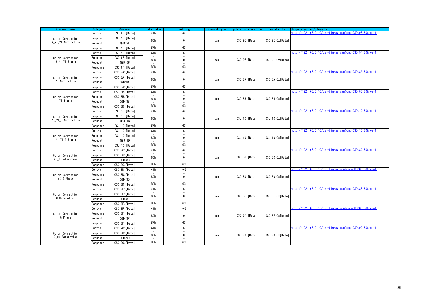<span id="page-34-5"></span><span id="page-34-4"></span><span id="page-34-3"></span><span id="page-34-2"></span><span id="page-34-1"></span><span id="page-34-0"></span>

| Command name                     | Category | Command         | Data value               | Settin                   | Comand type | Update notification | camdata.html       | Usage example / Remarks                                |
|----------------------------------|----------|-----------------|--------------------------|--------------------------|-------------|---------------------|--------------------|--------------------------------------------------------|
|                                  | Control  | OSD:9E: [Data]  | 41h                      | $-63$                    |             |                     |                    | http://192.168.0.10/cgi-bin/aw_cam?cmd=0SD:9E:80&res=1 |
| Color Correction                 | Response | OSD: 9E: [Data] | 80h                      | 0                        | cam         | OSD:9E: [Data]      | OSD: 9E: 0x [Data] |                                                        |
| R_YI_YI Saturation               | Reauest  | QSD:9E          |                          |                          |             |                     |                    |                                                        |
|                                  | Response | OSD: 9E: [Data] | <b>BFh</b>               | 63                       |             |                     |                    |                                                        |
|                                  | Control  | OSD: 9F: [Data] | 41h                      | $-63$                    |             |                     |                    | http://192.168.0.10/cgi-bin/aw cam?cmd=0SD:9F:80&res=1 |
| Color Correction                 | Response | OSD: 9F: [Data] | 80h                      | $\mathbf{0}$             |             | OSD: 9F: [Data]     | OSD: 9F: 0x [Data] |                                                        |
| R YI YI Phase                    | Request  | QSD:9F          |                          | $\overline{\phantom{a}}$ | cam         |                     |                    |                                                        |
|                                  | Response | OSD: 9F: [Data] | <b>BFh</b>               | 63                       |             |                     |                    |                                                        |
|                                  | Control  | OSD:8A: [Data]  | 41h                      | $-63$                    |             |                     |                    | http://192.168.0.10/cgi-bin/aw_cam?cmd=0SD:8A:80&res=1 |
| Color Correction                 | Response | OSD:8A: [Data]  | 80h                      | $\Omega$                 | cam         | OSD:8A: [Data]      | OSD:8A:0x[Data]    |                                                        |
| YI Saturation                    | Request  | QSD:8A          |                          |                          |             |                     |                    |                                                        |
|                                  | Response | OSD:8A: [Data]  | <b>BFh</b>               | 63                       |             |                     |                    |                                                        |
|                                  | Control  | OSD:8B: [Data]  | 41h                      | $-63$                    |             |                     |                    | http://192.168.0.10/cgi-bin/aw_cam?cmd=0SD:8B:80&res=1 |
| Color Correction                 | Response | OSD:8B: [Data]  | 80h                      | 0                        | cam         | OSD:8B: [Data]      | OSD:8B:0x[Data]    |                                                        |
| YI Phase                         | Reauest  | QSD:8B          |                          |                          |             |                     |                    |                                                        |
|                                  | Response | OSD:8B: [Data]  | <b>BFh</b>               | 63                       |             |                     |                    |                                                        |
|                                  | Control  | OSJ:1C:[Data]   | 41h                      | $-63$                    |             |                     |                    | http://192.168.0.10/cgi-bin/aw cam?cmd=0SD:1C:80&res=1 |
| Color Correction                 | Response | OSJ:1C:[Data]   | 80h                      | $\mathbf{0}$             | cam         | OSJ:1C:[Data]       | OSJ:1C:0x[Data]    |                                                        |
| YI YI G Saturation               | Request  | QSJ:1C          |                          | $\overline{\phantom{a}}$ |             |                     |                    |                                                        |
|                                  | Response | OSJ:1C: [Data]  | <b>BFh</b>               | 63                       |             |                     |                    |                                                        |
|                                  | Control  | OSJ:1D: [Data]  | 41h                      | $-63$                    |             |                     |                    | http://192.168.0.10/cgi-bin/aw cam?cmd=0SD:1D:80&res=1 |
| Color Correction                 | Response | OSJ:1D: [Data]  | 80h                      | $\Omega$                 | cam         | OSJ:1D: [Data]      | OSJ:1D:0x[Data]    |                                                        |
| YI_YI_G Phase                    | Request  | QSJ:1D          |                          |                          |             |                     |                    |                                                        |
|                                  | Response | OSJ:1D: [Data]  | <b>BFh</b>               | 63                       |             |                     |                    |                                                        |
|                                  | Control  | OSD:8C: [Data]  | 41h                      | $-63$                    |             |                     |                    | http://192.168.0.10/cgi-bin/aw_cam?cmd=0SD:8C:80&res=1 |
| Color Correction                 | Response | OSD:8C: [Data]  | 80h                      | 0                        | cam         | OSD:8C: [Data]      | OSD:8C:0x[Data]    |                                                        |
| YI_G Saturation                  | Reauest  | QSD:8C          |                          |                          |             |                     |                    |                                                        |
|                                  | Response | OSD:8C: [Data]  | <b>BFh</b>               | 63                       |             |                     |                    |                                                        |
|                                  | Control  | OSD:8D: [Data]  | 41h                      | $-63$                    |             |                     |                    | http://192.168.0.10/cgi-bin/aw cam?cmd=0SD:8D:80&res=1 |
| Color Correction                 | Response | OSD:8D: [Data]  | 80h                      | $\mathbf{0}$             | cam         | OSD:8D: [Data]      | OSD:8D:0x[Data]    |                                                        |
| YI G Phase                       | Request  | QSD:8D          | $\overline{\phantom{a}}$ |                          |             |                     |                    |                                                        |
|                                  | Response | OSD:8D: [Data]  | <b>BFh</b>               | 63                       |             |                     |                    |                                                        |
|                                  | Control  | OSD:8E: [Data]  | 41h                      | $-63$                    |             |                     |                    | http://192.168.0.10/cgi-bin/aw cam?cmd=0SD:8E:80&res=1 |
| Color Correction<br>G Saturation | Response | OSD:8E: [Data]  | 80h                      | $\mathbf{0}$             | cam         | OSD:8E: [Data]      | OSD:8E:0x[Data]    |                                                        |
|                                  | Request  | QSD:8E          |                          |                          |             |                     |                    |                                                        |
|                                  | Response | OSD:8E: [Data]  | <b>BFh</b>               | 63                       |             |                     |                    |                                                        |
|                                  | Control  | OSD:8F: [Data]  | 41h                      | $-63$                    |             |                     |                    | http://192.168.0.10/cgi-bin/aw_cam?cmd=0SD:8F:80&res=1 |
| Color Correction<br>G Phase      | Response | OSD:8F: [Data]  | 80h                      | 0                        | cam         | OSD:8F: [Data]      | OSD:8F:0x[Data]    |                                                        |
|                                  | Reauest  | QSD:8F          |                          |                          |             |                     |                    |                                                        |
|                                  | Response | OSD:8F: [Data]  | <b>BFh</b>               | 63                       |             |                     |                    |                                                        |
|                                  | Control  | OSD: 90: [Data] | 41h                      | $-63$                    |             |                     |                    | http://192.168.0.10/cgi-bin/aw cam?cmd=0SD:90:80&res=1 |
| Color Correction                 | Response | OSD: 90: [Data] | 80h                      | 0                        | cam         | OSD: 90: [Data]     | OSD: 90: 0x [Data] |                                                        |
| G Cy Saturation                  | Request  | QSD:90          |                          | $\overline{\phantom{a}}$ |             |                     |                    |                                                        |
|                                  | Response | OSD: 90: [Data] | <b>BFh</b>               | 63                       |             |                     |                    |                                                        |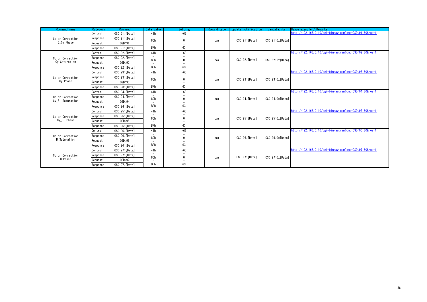<span id="page-35-2"></span><span id="page-35-1"></span><span id="page-35-0"></span>

| Command name        | Category | Command         | Data value                      | Setting | Comand type | Update notification | camdata, html      | Usage example / Remarks                                |
|---------------------|----------|-----------------|---------------------------------|---------|-------------|---------------------|--------------------|--------------------------------------------------------|
|                     | Control  | OSD:91:[Data]   | 41h                             | $-63$   |             |                     |                    | http://192.168.0.10/cgi-bin/aw cam?cmd=0SD:91:80&res=1 |
| Color Correction    | Response | OSD:91: [Data]  | 80h                             |         | cam         | OSD:91:[Data]       | OSD:91:0x[Data]    |                                                        |
| G Cv Phase          | Reauest  | QSD:91          | $\overline{\phantom{m}}$        |         |             |                     |                    |                                                        |
|                     | Response | OSD:91: [Data]  | <b>BFh</b>                      | 63      |             |                     |                    |                                                        |
|                     | Control  | OSD:92: [Data]  | 41h                             | $-63$   |             |                     |                    | http://192.168.0.10/cgi-bin/aw_cam?cmd=0SD:92:80&res=1 |
| Color Correction    | Response | OSD: 92: [Data] | $\overline{\phantom{a}}$<br>80h |         | cam         | OSD:92:[Data]       | OSD:92:0x [Data]   |                                                        |
| Cy Saturation       | Request  | QSD:92          | $\overline{\phantom{m}}$        |         |             |                     |                    |                                                        |
|                     | Response | OSD:92: [Data]  | <b>BFh</b>                      | 63      |             |                     |                    |                                                        |
|                     | Control  | OSD:93: [Data]  | 41h                             | $-63$   |             |                     |                    | http://192.168.0.10/cgi-bin/aw cam?cmd=0SD:93:80&res=1 |
| Color Correction    | Response | OSD:93: [Data]  | $\overline{\phantom{a}}$<br>80h |         |             | OSD:93: [Data]      | OSD:93:0x[Data]    |                                                        |
| Cy Phase            | Request  | QSD:93          | $\overline{\phantom{a}}$        |         | cam         |                     |                    |                                                        |
|                     | Response | OSD:93: [Data]  | <b>BFh</b>                      | 63      |             |                     |                    |                                                        |
|                     | Control  | OSD:94: [Data]  | 41h                             | $-63$   |             |                     |                    | http://192.168.0.10/cgi-bin/aw cam?cmd=0SD:94:80&res=1 |
| Color Correction    | Response | OSD:94: [Data]  | $\overline{\phantom{a}}$<br>80h |         |             | OSD:94: [Data]      | OSD:94:0x [Data]   |                                                        |
| Cy B Saturation     | Request  | QSD:94          | ۰                               |         | cam         |                     |                    |                                                        |
|                     | Response | OSD:94: [Data]  | <b>BFh</b>                      | 63      |             |                     |                    |                                                        |
|                     | Control  | OSD:95: [Data]  | 41h                             | $-63$   |             |                     |                    | http://192.168.0.10/cgi-bin/aw cam?cmd=0SD:95:80&res=1 |
| Color Correction    | Response | OSD:95: [Data]  | 80h                             |         | cam         | OSD:95: [Data]      | OSD: 95: 0x [Data] |                                                        |
| Cv B Phase          | Request  | QSD:95          | $\overline{\phantom{a}}$        |         |             |                     |                    |                                                        |
|                     | Response | OSD:95: [Data]  | <b>BFh</b>                      | 63      |             |                     |                    |                                                        |
|                     | Control  | OSD:96: [Data]  | 41h                             | $-63$   |             |                     |                    | http://192.168.0.10/cgi-bin/aw.cam?cmd=0SD:96:80&res=1 |
| Color Correction    | Response | OSD:96: [Data]  | $\overline{\phantom{m}}$<br>80h |         | cam         | OSD:96: [Data]      | OSD:96:0x[Data]    |                                                        |
| <b>B</b> Saturation | Request  | QSD:96          | $\overline{\phantom{m}}$        |         |             |                     |                    |                                                        |
|                     | Response | OSD:96: [Data]  | <b>BFh</b>                      | 63      |             |                     |                    |                                                        |
|                     | Control  | OSD: 97: [Data] | 41h                             | $-63$   |             |                     |                    | http://192.168.0.10/cgi-bin/aw cam?cmd=0SD:97:80&res=1 |
| Color Correction    | Response | OSD: 97: [Data] | $\overline{\phantom{a}}$        |         |             |                     |                    |                                                        |
| <b>B</b> Phase      | Request  | QSD:97          | 80h                             |         | cam         | 0SD:97: [Data]      | OSD:97:0x [Data]   |                                                        |
|                     | Response | OSD: 97: [Data] | <b>BFh</b>                      | 63      |             |                     |                    |                                                        |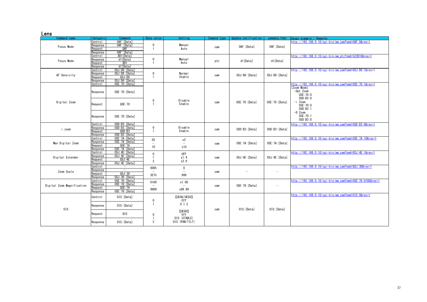#### Lens

<span id="page-36-7"></span><span id="page-36-6"></span><span id="page-36-5"></span><span id="page-36-4"></span><span id="page-36-3"></span><span id="page-36-2"></span><span id="page-36-1"></span><span id="page-36-0"></span>

| -----<br>Command name      | Category        | Command                  | Data value     | Setting            | Comand type | Update notification | camdata.html             | Usage example / Remarks                                  |
|----------------------------|-----------------|--------------------------|----------------|--------------------|-------------|---------------------|--------------------------|----------------------------------------------------------|
|                            | Control         | OAF: [Data]              |                |                    |             |                     |                          | http://192.168.0.10/cgi-bin/aw_cam?cmd=0AF:0&res=1       |
|                            | रेesponse       | OAF: [Data]              | 0              | Manual             |             |                     |                          |                                                          |
| Focus Mode                 | Reauest         | QAF                      |                | Auto               | cam         | OAF: [Data]         | OAF: [Data]              |                                                          |
|                            | Response        | OAF: [Data]              |                |                    |             |                     |                          |                                                          |
|                            | Control         | #D1[Data]                |                |                    |             |                     |                          | http://192.168.0.10/cgi-bin/aw_ptz?cmd=%23D10&res=1      |
|                            | Response        | d1[Data]                 | $\mathbf 0$    | <b>Manual</b>      |             |                     |                          |                                                          |
| Focus Mode                 | <b>Reauest</b>  | #D1                      |                | Auto               | ptz         | d1[Data]            | d1[Data]                 |                                                          |
|                            | Response        | d1[Data]                 |                |                    |             |                     |                          |                                                          |
|                            |                 | OSJ:D8: [Data]           |                |                    |             |                     |                          | http://192.168.0.10/cgi-bin/aw_cam?cmd=0SJ:D8:1&res=1    |
|                            | Control         | OSJ:D8: [Data]           | 0              | <b>Normal</b>      |             |                     |                          |                                                          |
| AF Sensivity               | रेesponse       |                          |                | Stable             | cam         | OSJ:D8: [Data]      | OSJ:D8: [Data]           |                                                          |
|                            | <b>Request</b>  | QSJ:DB                   |                |                    |             |                     |                          |                                                          |
|                            | Response        | OSJ:D8: [Data]           |                |                    |             |                     |                          |                                                          |
|                            | Control         | OSE: 70: [Data]          |                |                    |             |                     |                          | http://192.168.0.10/cgi-bin/aw_cam?cmd=OSE:70:1&res=1    |
|                            | Response        | OSE: 70: [Data]          |                |                    |             |                     |                          | [Zoom Mode]<br>$-0$ pt Zoom<br>0SE:70:0<br>OSD:B3:0      |
| Digital Zoom               | Reauest         | QSE: 70                  | 0              | Disable<br>Enable  | cam         | OSE: 70: [Data]     | OSE: 70: [Data]          | $-i$ Zoom<br>0SE:70:0<br>0SD:B3:1<br>$-D$ Zoom           |
|                            | Response        | OSE: 70: [Data]          |                |                    |             |                     |                          | 0SE: 70:1<br>OSD: B3:0                                   |
|                            | Control         | OSD:B3: [Data]           |                |                    |             |                     |                          | http://192.168.0.10/cgi-bin/aw_cam?cmd=0SD:B3:0&res=1    |
| i.zoom                     | Response        | OSD:B3: [Data]           | $\mathbf 0$    | Disable            | cam         | OSD:B3: [Data]      | OSD:B3: [Data]           |                                                          |
|                            | <b>Reauest</b>  | QSD:B3                   |                | Enable             |             |                     |                          |                                                          |
|                            | <b>Response</b> | OSD:B3: [Data]           |                |                    |             |                     |                          |                                                          |
|                            | Control         | OSE: 7A: [Data]          | 02             | x2                 |             |                     |                          | http://192.168.0.10/cgi-bin/aw_cam?cmd=0SE:7A:10&res=1   |
| Max Digital Zoom           | रेesponse       | OSE: 7A: [Data]          |                |                    | cam         | OSE: 7A: [Data]     | OSE: 7A: [Data]          |                                                          |
|                            | Request         | QSE: 7A                  | 10             | x10                |             |                     |                          |                                                          |
|                            | Response        | OSE: 7A: [Data]          |                |                    |             |                     |                          |                                                          |
|                            | Control         | OSJ:4E: [Data]           | 0              | 0FF                |             |                     |                          | http://192.168.0.10/cgi-bin/aw_cam?cmd=0SJ:4E:1&res=1    |
| Digital Extender           | रेesponse       | OSJ: 4E: [Data]          |                | x1.4               | cam         | OSJ:4E: [Data]      | OSJ:4E: [Data]           |                                                          |
|                            | <b>Reauest</b>  | QSJ:4E                   | $\overline{2}$ | x2.0               |             |                     |                          |                                                          |
|                            | Response        | OSJ: 4E: [Data]          |                |                    |             |                     |                          |                                                          |
|                            | Control         | $-$                      | 000h           | $\mathbf 0$        |             |                     |                          | http://192.168.0.10/cgi-bin/aw_cam?cmd=QSJ:3D&res=1      |
| Zoom Scale                 | Response        | $\overline{\phantom{a}}$ |                |                    | cam         |                     | $\overline{\phantom{a}}$ |                                                          |
|                            | Reauest         | QSJ:3D                   | 3E7h           | 999                |             |                     |                          |                                                          |
|                            | Response        | OSJ:3D: [Data]           |                |                    |             |                     |                          |                                                          |
|                            | Control         | OSE: 76: [Data]          | 0100           | x1.00              |             |                     |                          | http://192.168.0.10/cgi-bin/aw_cam?cmd=0SE:76:0100&res=1 |
|                            | esponse?        | OSE: 76: [Data]          |                |                    |             |                     |                          |                                                          |
| Digital Zoom Magnification | eauest          | QSE:76                   |                |                    | cam         | OSE: 76: [Data]     |                          |                                                          |
|                            | Response        | OSE: 76: [Data]          | 9999           | x99.99             |             |                     |                          |                                                          |
|                            |                 |                          |                |                    |             |                     |                          | http://192.168.0.10/cgi-bin/aw_cam?cmd=0IS:0&res=1       |
|                            | Control         | OIS: [Data]              |                | <b>[UE40/UE50]</b> |             |                     |                          |                                                          |
|                            |                 |                          | 0              | 0 <sup>rf</sup>    |             |                     |                          |                                                          |
|                            |                 | OIS: [Data]              |                | 0.1.               |             |                     |                          |                                                          |
|                            | Response        |                          |                |                    |             | OIS: [Data]         | OIS: [Data]              |                                                          |
| 0IS                        |                 |                          |                | [UE80]             | cam         |                     |                          |                                                          |
|                            | Request         | QIS                      | $\mathbf 0$    | 0ff                |             |                     |                          |                                                          |
|                            |                 |                          |                | OIS (STABLE)       |             |                     |                          |                                                          |
|                            | Response        | OIS: [Data]              | 2              | OIS (PAN/TILT)     |             |                     |                          |                                                          |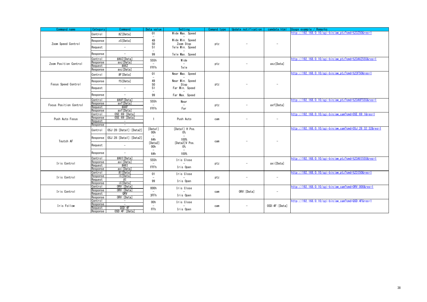<span id="page-37-7"></span><span id="page-37-6"></span><span id="page-37-5"></span><span id="page-37-4"></span><span id="page-37-3"></span><span id="page-37-2"></span><span id="page-37-1"></span><span id="page-37-0"></span>

| Command name           | Category                    | Command                    | Data value                     | Setting                      | Comand type | Update notification | camdata.html   | Usage example / Remarks                                   |
|------------------------|-----------------------------|----------------------------|--------------------------------|------------------------------|-------------|---------------------|----------------|-----------------------------------------------------------|
|                        | Control                     | #Z[Data]                   | 01                             | Wide Max. Speed              |             |                     |                | http://192.168.0.10/cgi-bin/aw_ptz?cmd=%23Z50&res=1       |
| Zoom Speed Control     | Response                    | zS[Data]                   | 49<br>50                       | Wide Min. Speed<br>Zoom Stop | ptz         |                     |                |                                                           |
|                        | Request                     | $\overline{\phantom{a}}$   | 51                             | Tele Min. Speed              |             |                     |                |                                                           |
|                        | Response                    | $\sim$                     | 99                             | Tele Max. Speed              |             |                     |                |                                                           |
|                        | Control                     | #AXZ[Data]                 | 555h                           | Wide                         |             |                     |                | http://192.168.0.10/cgi-bin/aw_ptz?cmd=%23AXZ555&res=1    |
| Zoom Position Control  | Response<br>Request         | axz[Data]<br>#AXZ          |                                |                              | ptz         |                     | axz[Data]      |                                                           |
|                        | Response                    | axz[Data]                  | FFFh                           | Tele                         |             |                     |                |                                                           |
|                        | Control                     | #F[Data]                   | 01<br>$\overline{\phantom{a}}$ | Near Max. Speed              |             |                     |                | http://192.168.0.10/cgi-bin/aw_ptz?cmd=%23F50&res=1       |
| Focus Speed Control    | Response                    | fS[Data]                   | 49<br>50                       | Near Min. Speed<br>Stop      |             |                     |                |                                                           |
|                        | Request                     | $\sim$                     | 51                             | Far Min. Speed               | ptz         |                     |                |                                                           |
|                        | Response                    | $\overline{\phantom{a}}$   | $\overline{\phantom{a}}$<br>99 | Far Max. Speed               |             |                     |                |                                                           |
|                        | Control                     | #AXF[Data]                 | 555h                           | Near                         |             |                     |                | http://192.168.0.10/cgi-bin/aw_ptz?cmd=%23AXF555&res=1    |
| Focus Position Control | Response<br><b>Request</b>  | axf[Data]<br>#AXF          |                                |                              | ptz         |                     | axf[Data]      |                                                           |
|                        | Response                    | axf[Data]                  | FFFh                           | Far                          |             |                     |                |                                                           |
|                        | Control                     | OSE: 69: [Data]            |                                |                              |             |                     |                | http://192.168.0.10/cgi-bin/aw_cam?cmd=0SE:69:1&res=1     |
| Push Auto Focus        | Response<br><b>Request</b>  | OSE:69: [Data]             |                                | Push Auto                    | cam         |                     |                |                                                           |
|                        | Response                    | i,                         |                                |                              |             |                     |                |                                                           |
|                        | Control                     | 0SJ:28: [Data1]: [Data2]   | [Data1]<br>00h                 | [Data1] H Pos.<br><b>0%</b>  |             |                     |                | http://192.168.0.10/cgi-bin/aw_cam?cmd=0SJ:28:32:32&res=1 |
| Toutch AF              | Response                    | OSJ:28: [Data1]: [Data2]   | 64h                            | 100%                         | cam         |                     |                |                                                           |
|                        | Request                     | $\sim$                     | [Data2]<br>00h                 | [Data2]V Pos.<br>0%          |             |                     |                |                                                           |
|                        | Response                    | $\overline{\phantom{a}}$   | 64h                            | 100%                         |             |                     |                |                                                           |
|                        | Control                     | #AXI[Data]                 | 555h                           | Iris Close                   |             |                     |                | http://192.168.0.10/cgi-bin/aw_ptz?cmd=%23AXI555&res=1    |
| Iris Control           | रेesponse<br><b>Request</b> | axi[Data]<br>#AXI          |                                |                              | ptz         |                     | axi [Data]     |                                                           |
|                        | रेesponse                   | axi[Data]                  | FFFh                           | Iris Open                    |             |                     |                |                                                           |
|                        | Control<br>रेesponse        | #I [Data]<br>iC[Data]      | 01                             | Iris Close                   |             |                     |                | http://192.168.0.10/cgi-bin/aw ptz?cmd=%23150&res=1       |
| Iris Control           | Reauest                     | #I                         | 99                             | Iris Open                    | ptz         |                     |                |                                                           |
|                        | Response                    | iC[Data]                   |                                |                              |             |                     |                |                                                           |
|                        | Control<br>Response         | ORV: [Data]<br>ORV: [Data] | 000h                           | Iris Close                   |             |                     |                | http://192.168.0.10/cgi-bin/aw_cam?cmd=0RV:000&res=1      |
| Iris Control           | <b>Request</b>              | QRV                        | 3FFh                           | Iris Open                    | cam         | ORV: [Data]         |                |                                                           |
|                        | Response<br>Control         | ORV: [Data]<br>$\sim$      |                                |                              |             |                     |                | http://192.168.0.10/cgi-bin/aw_cam?cmd=QSD:4F&res=1       |
| Iris Follow            | रेesponse                   | $\sim$                     | 00h                            | Iris Close                   |             |                     | OSD:4F: [Data] |                                                           |
|                        | Request<br>Response         | QSD:4F<br>OSD:4F: [Data]   | FFh                            | Iris Open                    | cam         |                     |                |                                                           |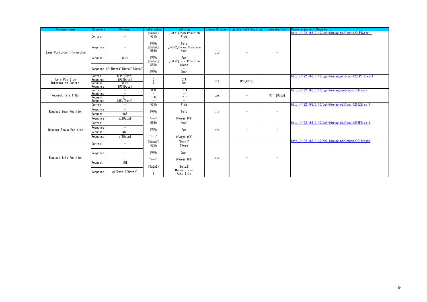<span id="page-38-5"></span><span id="page-38-4"></span><span id="page-38-3"></span><span id="page-38-2"></span><span id="page-38-1"></span><span id="page-38-0"></span>

| Command name              | Category            | Command                               | Data value                                  | Setting                                   | Comand type | Update notification      | camdata.html             | Usage example / Remarks                              |
|---------------------------|---------------------|---------------------------------------|---------------------------------------------|-------------------------------------------|-------------|--------------------------|--------------------------|------------------------------------------------------|
|                           | Control             | $\overline{\phantom{a}}$              | [Data1]<br>555h<br>$\overline{\phantom{a}}$ | [Data1] Zoom Position<br>Wide             |             |                          |                          | http://192.168.0.10/cgi-bin/aw ptz?cmd=%23LPI&res=1  |
| Lens Position Information | Response            | -                                     | FFFh<br>[Data2]<br>555h                     | Tele<br>[Data2] Focus Position<br>Near    | ptz         | $\overline{\phantom{a}}$ | $\overline{\phantom{a}}$ |                                                      |
|                           | Request             | #LPI                                  | $\overline{\phantom{a}}$<br>FFFh<br>[Data3] | Far<br>[Data3] Iris Position              |             |                          |                          |                                                      |
|                           |                     | Response IPI [Data1] [Data2] [Data3]  | 555h<br>$\overline{\phantom{a}}$<br>FFFh    | Close<br>$\overline{\phantom{a}}$<br>Open |             |                          |                          |                                                      |
|                           | Control             | #LPC[Data]                            |                                             |                                           |             |                          |                          | http://192.168.0.10/cgi-bin/aw_ptz?cmd=%23LPC1&res=1 |
| Lens Position             | Response            | IPC[Data]                             | $\mathbf 0$                                 | 0ff                                       | ptz         | IPC[Data]                | $\overline{\phantom{a}}$ |                                                      |
| Information Control       | Request             | #LPC                                  |                                             | 0n                                        |             |                          |                          |                                                      |
|                           | Response<br>Control | IPC[Data]<br>$\overline{\phantom{a}}$ | 0Eh                                         | F1.4                                      |             |                          |                          | http://192.168.0.10/cgi-bin/aw cam?cmd=QIF&res=1     |
|                           | Response            | $\sim$                                | $\overline{\phantom{a}}$                    |                                           |             |                          |                          |                                                      |
| Request Iris F No.        | Request             | QIF                                   | 1 <sub>Ch</sub>                             | F2.8                                      | cam         | $\overline{\phantom{a}}$ | OIF: [Data]              |                                                      |
|                           | Response            | OIF: [Data]                           | $\overline{\phantom{a}}$                    | $\sim$                                    |             |                          |                          |                                                      |
|                           | Control             | $\sim$                                | 555h                                        | Wide                                      |             |                          |                          | http://192.168.0.10/cgi-bin/aw_ptz?cmd=%23GZ&res=1   |
|                           | Response            | $\overline{\phantom{a}}$              | $\sim$                                      |                                           |             |                          |                          |                                                      |
| Request Zoom Position     |                     | #GZ                                   | FFFh                                        | Tele                                      | ptz         |                          | $\overline{\phantom{a}}$ |                                                      |
|                           | Request             |                                       |                                             |                                           |             |                          |                          |                                                      |
|                           | Response            | gz[Data]                              | $"---"$                                     | @Power OFF                                |             |                          |                          |                                                      |
|                           | Control             | $\sim$                                | 555h                                        | Near                                      |             |                          |                          | http://192.168.0.10/cgi-bin/aw_ptz?cmd=%23GF&res=1   |
|                           | Response            | $\sim$                                | FFFh                                        | Far                                       |             |                          | $\overline{\phantom{a}}$ |                                                      |
| Request Focus Position    | Request             | #GF                                   |                                             |                                           | ptz         |                          |                          |                                                      |
|                           | Response            | gf[Data]                              | $"---"$                                     | @Power OFF                                |             |                          |                          |                                                      |
|                           | Control             | $\overline{\phantom{a}}$              | [Data1]<br>555h<br>$\overline{\phantom{a}}$ | [Data1]<br>Close<br>$\sim$                |             |                          |                          | http://192.168.0.10/cgi-bin/aw ptz?cmd=%23GI&res=1   |
|                           | Response            | $\overline{\phantom{0}}$              | FFFh                                        | 0 <sub>pen</sub>                          |             |                          |                          |                                                      |
| Request Iris Position     | Request             | #GI                                   | $"---"$<br>[Data2]                          | @Power OFF<br>[Data2]                     | ptz         | $\overline{\phantom{a}}$ | $\overline{\phantom{a}}$ |                                                      |
|                           | Response            | gi [Data1] [Data2]                    | 0                                           | Manual Iris<br>Auto Iris                  |             |                          |                          |                                                      |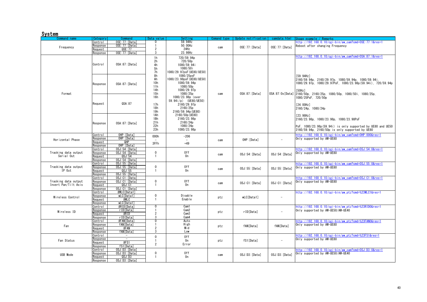#### System

<span id="page-39-9"></span><span id="page-39-8"></span><span id="page-39-7"></span><span id="page-39-6"></span><span id="page-39-5"></span><span id="page-39-4"></span><span id="page-39-3"></span><span id="page-39-2"></span><span id="page-39-1"></span><span id="page-39-0"></span>

| Command name                   | Category | Command                | Data value                             | Setting                                                                                       | Comand type | Update notification | camdata.html    | Usage example / Remarks                                                                                                                                                                        |
|--------------------------------|----------|------------------------|----------------------------------------|-----------------------------------------------------------------------------------------------|-------------|---------------------|-----------------|------------------------------------------------------------------------------------------------------------------------------------------------------------------------------------------------|
|                                | Control  | OSE: 77: [Data]        | $\Omega$                               | 59.94Hz                                                                                       |             |                     |                 | ttp://192.168.0.10/cgi-bin/aw_cam?cmd=0SE:77:1&res=1                                                                                                                                           |
|                                | Response | OSE: 77: [Data]        |                                        | 50.00Hz                                                                                       |             |                     |                 | Reboot after changing Frequency                                                                                                                                                                |
| Frequency                      |          |                        |                                        |                                                                                               | cam         | OSE: 77: [Data]     | OSE: 77: [Data] |                                                                                                                                                                                                |
|                                | Reauest  | QSE:77                 | $\overline{2}$                         | 24Hz                                                                                          |             |                     |                 |                                                                                                                                                                                                |
|                                | Response | OSE: 77: [Data]        | 3                                      | 23.98Hz                                                                                       |             |                     |                 |                                                                                                                                                                                                |
|                                | Control  | OSA:87: [Data]         | 1 <sub>h</sub><br>2h<br>4h<br>5h<br>7h | 720/59.94p<br>720/50 <sub>p</sub><br>1080/59.94i<br>1080/50i<br>1080/29.97psF (UE80/UE50)     |             |                     |                 | 10-18res=1.1ttp://192.168.0.10/cgi-bin/aw_cam?cmd=0SA:87:1&res                                                                                                                                 |
| Format                         | Response | OSA:87:[Data]          | 8h<br>Ah<br>10h<br>11h<br>14h<br>15h   | 1080/25psF<br>1080/23.98psF (UE80/UE50)<br>1080/59.94p<br>1080/50p<br>1080/29.97p<br>1080/25p | cam         | OSA: 87: [Data]     | OSA:87:0x[Data] | [59.94Hz]<br>2160/59.94p, 2160/29.97p, 1080/59.94p, 1080/59.94i,<br>1080/29.97p, 1080/29.97PsF, 1080/23.98p(59.94i), 720/59.94p<br>[50Hz]<br>2160/50p. 2160/25p. 1080/50p. 1080/50i. 1080/25p. |
|                                | Request  | QSA:87                 | 16h<br>17h<br>18h<br>19h               | 1080/23.98p (over<br>59.94i/p) (UE80/UE50)<br>2160/29.97p<br>2160/25p<br>2160/59.94p (UE80)   |             |                     |                 | 1080/25PsF. 720/50p<br>[24.00Hz]<br>2160/24p, 1080/24p                                                                                                                                         |
|                                | Response | OSA:87: [Data]         | 1Ah<br>1Bh<br>21h<br>22h<br>23h        | 2160/50p (UE80)<br>2160/23.98p<br>2160/24p<br>1080/24p<br>1080/23.98p                         |             |                     |                 | [23, 98Hz]<br>2160/23.98p, 1080/23.98p, 1080/23.98PsF<br>PsF, 1080/23.98p(59.94i) is only supported by UE80 and UE50<br>2160/59.94p, 2160/50p is only supported by UE80                        |
|                                | Control  | OHP: [Data]            | 000h                                   | $-206$                                                                                        |             |                     |                 | nttp://192.168.0.10/cgi-bin/aw_cam?cmd=0HP:000&res=1                                                                                                                                           |
|                                | Response | OHP: [Data]            |                                        |                                                                                               |             |                     | $\sim$          | Only supported by AW-UE80                                                                                                                                                                      |
| Horizontal Phase               | Reauest  | QHP                    |                                        |                                                                                               | cam         | OHP: [Data]         |                 |                                                                                                                                                                                                |
|                                |          |                        | 3FFh                                   | $+49$                                                                                         |             |                     |                 |                                                                                                                                                                                                |
|                                | Response | OHP: [Data]            |                                        |                                                                                               |             |                     |                 |                                                                                                                                                                                                |
|                                | Control  | OSJ:54:[Data]          |                                        |                                                                                               |             |                     |                 | ittp://192.168.0.10/cgi-bin/aw_cam?cmd=0SJ:54:0&res=1                                                                                                                                          |
| Tracking data output           | Response | OSJ:54: [Data]         | $\mathbf{0}$                           | 0ff                                                                                           |             |                     |                 | Only supported by AW-UE80                                                                                                                                                                      |
| Serial Out                     | Request  | QSJ:54                 | $\mathbf{1}$                           | 0n                                                                                            | cam         | OSJ:54:[Data]       | OSJ:54:[Data]   |                                                                                                                                                                                                |
|                                |          |                        |                                        |                                                                                               |             |                     |                 |                                                                                                                                                                                                |
|                                | Response | OSJ:54: [Data]         |                                        |                                                                                               |             |                     |                 |                                                                                                                                                                                                |
|                                | Control  | OSJ:55: [Data]         |                                        |                                                                                               |             |                     |                 | ttp://192.168.0.10/cgi-bin/aw_cam?cmd=0SJ:55:0&res=1                                                                                                                                           |
|                                | Response | 0SJ:55: [Data]         | $\mathbf{0}$                           | 0ff                                                                                           | cam         | OSJ:55: [Data]      | OSJ:55: [Data]  | Only supported by AW-UE80                                                                                                                                                                      |
| Tracking data output<br>IP Out | Reauest  | QSJ:55                 |                                        | 0n                                                                                            |             |                     |                 |                                                                                                                                                                                                |
|                                | Response | $OSJ:55$ : [Data]      |                                        |                                                                                               |             |                     |                 |                                                                                                                                                                                                |
|                                | Control  | OSJ:C1:[Data]          |                                        |                                                                                               |             |                     |                 |                                                                                                                                                                                                |
|                                |          |                        |                                        |                                                                                               |             |                     |                 | ttp://192.168.0.10/cgi-bin/aw_cam?cmd=0SJ:C1:0&res=1                                                                                                                                           |
| Tracking data output           | Response | OSJ:C1: [Data]         | 0                                      | 0ff                                                                                           | cam         | OSJ:Cl:[Data]       | OSJ:C1:[Data]   | Only supported by AW-UE80                                                                                                                                                                      |
| Invert Pan/Tilt Axis           | Request  | QSJ: C1                | $\mathbf{1}$                           | 0n                                                                                            |             |                     |                 |                                                                                                                                                                                                |
|                                | Response | OSJ:C1: [Data          |                                        |                                                                                               |             |                     |                 |                                                                                                                                                                                                |
|                                | Control  | #WLC[Data1]            |                                        |                                                                                               |             |                     |                 | http://192.168.0.10/cgi-bin/aw_ptz?cmd=%23WLC1&res=1                                                                                                                                           |
|                                | Response | wLC[Data1]             | $\mathbf 0$                            | Disable                                                                                       |             |                     |                 |                                                                                                                                                                                                |
| Wireless Control               | Reauest  | #WLC                   | $\mathbf{1}$                           | Enable                                                                                        | ptz         | wLC[Data1]          | $\sim$          |                                                                                                                                                                                                |
|                                |          |                        |                                        |                                                                                               |             |                     |                 |                                                                                                                                                                                                |
|                                | Response | wLC[Data1]             |                                        |                                                                                               |             |                     |                 |                                                                                                                                                                                                |
|                                | Control  | #RID[Data]             | 0                                      | Cam1                                                                                          |             |                     |                 | http://192.168.0.10/cgi-bin/aw_ptz?cmd=%23RID0&res=1                                                                                                                                           |
| Wireless ID                    | Response | r ID[Data]             | -1                                     | Cam <sub>2</sub>                                                                              | ptz         | r ID[Data]          |                 | Only supported by AW-UE50/AW-UE40                                                                                                                                                              |
|                                | Reauest  | #RID                   | $\overline{2}$                         | Cam <sub>3</sub>                                                                              |             |                     |                 |                                                                                                                                                                                                |
|                                | Response | rID <sub>[Data</sub> ] | 3                                      | Cam4                                                                                          |             |                     |                 |                                                                                                                                                                                                |
|                                | Control  | #FAN[Data]             | $\overline{0}$                         | Auto                                                                                          |             |                     |                 | ittp://192.168.0.10/cgi-bin/aw_ptz?cmd=%23FAN0&res=1                                                                                                                                           |
|                                |          | fAN[Data]              | -1                                     |                                                                                               |             |                     |                 |                                                                                                                                                                                                |
| Fan                            | Response |                        |                                        | High                                                                                          | ptz         | fAN[Data]           | fAN「Datal       | Only supported by AW-UE80                                                                                                                                                                      |
|                                | Reauest  | #FAN                   | $\overline{2}$                         | Mid                                                                                           |             |                     |                 |                                                                                                                                                                                                |
|                                | Response | fAN[Data]              | 3                                      | Low                                                                                           |             |                     |                 |                                                                                                                                                                                                |
|                                | Control  | $\sim$                 |                                        |                                                                                               |             |                     |                 | ttp://192.168.0.10/cgi-bin/aw_ptz?cmd=%23FS1&res=1                                                                                                                                             |
|                                | Response | $\sim$                 | $\Omega$                               | 0ff                                                                                           |             |                     |                 | Only supported by AW-UE80                                                                                                                                                                      |
| Fan Status                     | Request  | #FS1                   | $\mathbf{1}$                           | 0n                                                                                            | ptz         | fS1[Data]           | $\sim$          |                                                                                                                                                                                                |
|                                |          |                        | $\overline{2}$                         | Error                                                                                         |             |                     |                 |                                                                                                                                                                                                |
|                                | Response | fS1[Data]              |                                        |                                                                                               |             |                     |                 |                                                                                                                                                                                                |
|                                | Control  | OSJ:D3: [Data]         |                                        |                                                                                               |             |                     |                 | ttp://192.168.0.10/cgi-bin/aw_cam?cmd=0SJ:D3:0&res=1                                                                                                                                           |
| USB Mode                       | Response | OSJ:D3: [Data]         | $\mathbf{0}$                           | 0ff                                                                                           |             |                     |                 | Only supported by AW-UE50/AW-UE40                                                                                                                                                              |
|                                | Request  | QSJ:D3                 | 1                                      | 0n                                                                                            | cam         | OSJ:D3:[Data]       | OSJ:D3: [Data]  |                                                                                                                                                                                                |
|                                |          |                        |                                        |                                                                                               |             |                     |                 |                                                                                                                                                                                                |
|                                | Response | OSJ:D3:[Data]          |                                        |                                                                                               |             |                     |                 |                                                                                                                                                                                                |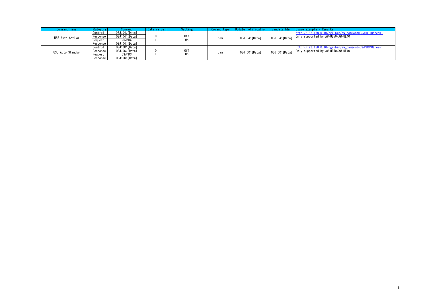<span id="page-40-1"></span><span id="page-40-0"></span>

| Command name     | Categor  | Command        | Data value | Setting |     |                |                | Comand type   Update_notification   camdata.html   Usage_example / Remarks |
|------------------|----------|----------------|------------|---------|-----|----------------|----------------|----------------------------------------------------------------------------|
|                  | Control  | OSJ:D4: [Data] |            |         |     |                |                | $http://192.168.0.10/cei-bin/awcam?cmd=0SJ:D1:0&res=1$                     |
| USB Auto Active  | Response | OSJ:D4: [Data] |            | 0ff     | cam | OSJ:D4: [Data] | OSJ:D4: [Data] | Only supported by AW-UE50/AW-UE40                                          |
|                  | Request  | OSJ:DA         |            | Un      |     |                |                |                                                                            |
|                  | Response | OSJ:D4: [Data] |            |         |     |                |                |                                                                            |
|                  | Control  | OSJ:DC: [Data] |            |         |     |                |                | http://192.168.0.10/cgi-bin/aw_cam?cmd=0SJ:DC:0&res=1                      |
| USB Auto Standby | Response | OSJ:DC: [Data] |            | 0ff     | cam | OSJ:DC: [Data] | OSJ:DC: [Data] | Only supported by AW-UE50/AW-UE40                                          |
|                  | Request  | QSJ:DC         |            | 0n      |     |                |                |                                                                            |
|                  | Response | OSJ:DC: [Data] |            |         |     |                |                |                                                                            |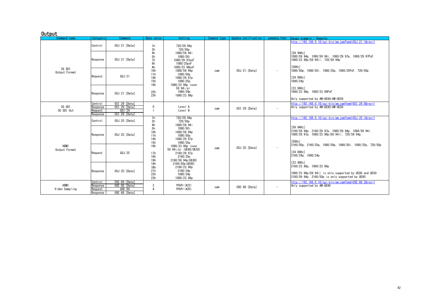#### **Output**

<span id="page-41-3"></span><span id="page-41-2"></span><span id="page-41-1"></span><span id="page-41-0"></span>

| Command name                  | Category                                   | Command                                                      | Data value                                       | Setting                                                                                      | Comand type | Update notification | camdata, html            | Usage example / Remarks                                                                                                               |
|-------------------------------|--------------------------------------------|--------------------------------------------------------------|--------------------------------------------------|----------------------------------------------------------------------------------------------|-------------|---------------------|--------------------------|---------------------------------------------------------------------------------------------------------------------------------------|
|                               | Control                                    | OSJ:21: [Data]                                               | 1 <sub>h</sub><br>2 <sub>h</sub>                 | 720/59.94p<br>720/50 <sub>p</sub>                                                            |             |                     |                          | http://192.168.0.10/cgi-bin/aw cam?cmd=0SJ:21:1&res=1                                                                                 |
|                               | Response                                   | OSJ:21: [Data]                                               | 4h<br>5h<br>7h<br>8h<br>Ah                       | 1080/59.94i<br>1080/50i<br>1080/29.97psF<br>1080/25psF<br>1080/23.98psF                      |             |                     |                          | [59, 94Hz]<br>1080/59.94p. 1080/59.94i. 1080/29.97p. 1080/29.97PsF.<br>1080/23.98p (59.94i). 720/59.94p<br><b>「50Hz]</b>              |
| 3G SDI<br>Output Format       | Reauest                                    | QSJ:21                                                       | 10 <sub>h</sub><br>11h<br>14h<br>15h<br>16h      | 1080/59.94p<br>1080/50p<br>1080/29.97p<br>1080/25p<br>1080/23.98p (over                      | cam         | OSJ:21: [Data]      | $\sim$                   | 1080/50p. 1080/50i. 1080/25p. 1080/25PsF. 720/50p<br>[24.00Hz]<br>1080/24p                                                            |
|                               | Response                                   | OSJ:21: [Data]                                               | 22h<br>23h                                       | 59.94 $i$ /p)<br>1080/24p<br>1080/23.98p                                                     |             |                     |                          | [23, 98Hz]<br>1080/23.98p. 1080/23.98PsF<br>Only supported by AW-UE80/AW-UE50                                                         |
| 3G SDI<br>3G SDI Out          | Control<br>Response<br>Reauest<br>Response | OSI:29: [Data]<br>OSI:29: [Data]<br>QST:29<br>OSI:29: [Data] | $\mathbf{0}$                                     | Level A<br>Level B                                                                           | cam         | OSI:29: [Data]      | $\sim$                   | http://192.168.0.10/cgi-bin/aw cam?cmd=0SI:29:0&res=1<br>Only supported by AW-UE80/AW-UE50                                            |
|                               | Control                                    | OSJ:25: [Data]                                               | 1 <sub>h</sub><br>2 <sub>h</sub>                 | 720/59.94p<br>720/50 <sub>p</sub>                                                            |             |                     |                          | http://192.168.0.10/cgi-bin/aw cam?cmd=0SJ:25:1&res=1                                                                                 |
|                               | Response                                   | OSJ:25: [Data]                                               | 4h<br>5h<br>10 <sub>h</sub><br>11h<br>14h<br>15h | 1080/59.94i<br>1080/50i<br>1080/59.94p<br>1080/50p<br>1080/29.97p<br>1080/25p                |             |                     |                          | [59, 94Hz]<br>2160/59.94p. 2160/29.97p. 1080/59.94p. 1080/59.94i,<br>1080/29.97p. 1080/23.98p (59.94i). 720/59.94p<br><b>「50Hz]</b>   |
| <b>HDMI</b><br>Output Format  | Reauest                                    | QSJ:25                                                       | 16h<br>17h<br>18h<br>19 <sub>h</sub>             | 1080/23.98p (over<br>59.94i/p) (UE80/UE50)<br>2160/29.97p<br>2160/25p<br>2160/59, 94p (UE80) | cam         | OSJ:25: [Data]      | $\overline{\phantom{a}}$ | 2160/50p. 2160/25p. 1080/50p. 1080/50i. 1080/25p. 720/50p<br>[24, 00Hz]<br>2160/24p, 1080/24p<br>[23, 98Hz]                           |
|                               | Response                                   | OSJ:25: [Data]                                               | 1Ah<br>1Bh<br>21h<br>22h<br>23h                  | 2160/50p (UE80)<br>2160/23.98p<br>2160/24p<br>1080/24p<br>1080/23.98p                        |             |                     |                          | 2160/23.98p, 1080/23.98p<br>1080/23,98p(59,94i) is only supported by UE80 and UE50<br>2160/59.94p, 2160/50p is only supported by UE80 |
| <b>HDMI</b><br>Video Sampling | Control<br>Response<br>Reauest<br>Response | OSE:68: [Data]<br>OSE:68: [Data]<br>QSE:68<br>OSE:68: [Data] | $\overline{2}$<br>$\overline{4}$                 | YPbPr (422)<br>YPbPr (420)                                                                   | cam         | OSE:68: [Data]      | $\overline{\phantom{a}}$ | http://192.168.0.10/cgi-bin/aw.cam?cmd=0SE:68:2&res=1<br>Only supported by AW-UE80                                                    |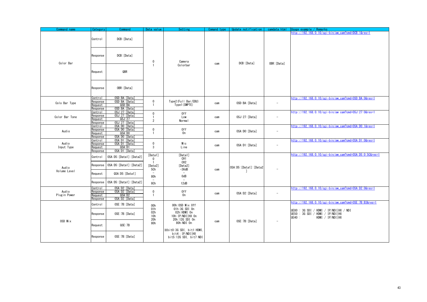<span id="page-42-7"></span><span id="page-42-6"></span><span id="page-42-5"></span><span id="page-42-4"></span><span id="page-42-3"></span><span id="page-42-2"></span><span id="page-42-1"></span><span id="page-42-0"></span>

| DCB: [Data]<br>Control                                                                                                                                                                                                                                                                                                                                             | http://192.168.0.10/cgi-bin/aw_cam?cmd=DCB:1&res=1                                                                                                             |
|--------------------------------------------------------------------------------------------------------------------------------------------------------------------------------------------------------------------------------------------------------------------------------------------------------------------------------------------------------------------|----------------------------------------------------------------------------------------------------------------------------------------------------------------|
|                                                                                                                                                                                                                                                                                                                                                                    |                                                                                                                                                                |
| DCB: [Data]<br>Response<br>0<br>Camera<br>Color Bar<br>DCB: [Data]<br>OBR: [Data]<br>cam                                                                                                                                                                                                                                                                           |                                                                                                                                                                |
| Colorbar<br>QBR<br>Request                                                                                                                                                                                                                                                                                                                                         |                                                                                                                                                                |
| OBR: [Data]<br>Response                                                                                                                                                                                                                                                                                                                                            |                                                                                                                                                                |
| OSD:BA: [Data]<br>Control<br>$\mathbf 0$<br>Type2 (Full Bar/EBU)<br>OSD: BA: [Data]<br>Response<br>OSD:BA: [Data]<br>Colo Bar Type<br>$\overline{\phantom{a}}$<br>cam<br>Type1 (SMPTE)<br>QSD:BA<br>Request<br>$\mathbf{1}$<br>OSD:BA: [Data]<br>Response                                                                                                          | http://192.168.0.10/cgi-bin/aw_cam?cmd=OSD:BA:0&res=1                                                                                                          |
| 0SJ:27: [Data]<br>Control<br>$\mathbf 0$<br>0ff<br>0SJ:27: [Data]<br>Response<br>OSJ:27:[Data]<br>Color Bar Tone<br>$\mathbf{1}$<br>Low<br>$\overline{\phantom{a}}$<br>cam<br>QSJ:27<br>Reauest<br>$\overline{2}$<br>Normal<br>OSJ:27: [Data]<br>Response                                                                                                          | http://192.168.0.10/cgi-bin/aw cam?cmd=0SJ:27:0&res=1                                                                                                          |
| OSA: DO: [Data]<br>Control<br>$\mathbf 0$<br>0ff<br>OSA: DO: [Data]<br>Response<br>Audio<br>OSA: DO: [Data]<br>cam<br>QSA:DO<br>$\mathbf{1}$<br>0n<br>Request<br>OSA: DO: [Data]<br>Response                                                                                                                                                                       | http://192.168.0.10/cgi-bin/aw_cam?cmd=0SA:D0:1&res=1                                                                                                          |
| OSA:D1: [Data]<br>Control<br>$\mathbf 0$<br>Audio<br>Mic<br>OSA:D1: [Data]<br>Response<br>OSA:D1: [Data]<br>cam<br>$\overline{\phantom{a}}$<br>QSA:D1<br>3<br>Input Type<br>Line<br>Request<br>OSA:D1: [Data]<br>Response                                                                                                                                          | http://192.168.0.10/cgi-bin/aw_cam?cmd=0SA:D1:0&res=1                                                                                                          |
| [Data1]<br>[Data1]<br>OSA: D5: [Data1]: [Data2]<br>Control<br>$\mathbf 0$<br>CH1<br>CH <sub>2</sub><br>$\mathbf{1}$<br>OSA:D5: [Data1]: [Data2]<br>Response<br>[Data2]<br>[Data2]<br>Audio<br>OSA:D5: [Data1]: [Data2<br>5Ch<br>$-36dB$<br>cam<br>Volume Level<br>QSA:D5: [Data1]<br>Request<br>80h<br>0dB<br>OSA: D5: [Data1]: [Data2]<br>Response<br>8Ch<br>12dB | http://192.168.0.10/cgi-bin/aw_cam?cmd=0SA:D5:0:5C&res=1                                                                                                       |
| OSA:D2: [Data]<br>Control<br>Audio<br>$\mathbf 0$<br>OSA:D2: [Data]<br>0ff<br>Response<br>OSA:D2:[Data]<br>cam<br>$\overline{\phantom{a}}$<br>Plugin Power<br>QSA: D2<br>0n<br>Request<br>-1<br>OSA:D2: [Data]<br>Response                                                                                                                                         | http://192.168.0.10/cgi-bin/aw_cam?cmd=0SA:D2:0&res=1                                                                                                          |
| OSE: 7B: [Data]<br>Control<br>00h<br>OOh:OSD Mix Off<br>01h:3G SDI 0n<br>01h<br>02h:HDMI On<br>02h<br>OSE: 7B: [Data]<br>Response<br>10h: IP/NDI   HX 0n<br>10h<br>UE40 :<br>20h:12G SDI 0n<br>20h                                                                                                                                                                 | http://192.168.0.10/cgi-bin/aw_cam?cmd=0SE:7B:B3&res=1<br>UE80 : 3G SDI / HDMI / IP/NDI   HX / NDI<br>UE50 : 3G SDI / HDMI / IP/NDI   HX<br>HDMI / IP/NDI   HX |
| OSD Mix<br>OSE: 7B: [Data]<br>$\overline{\phantom{a}}$<br>cam<br>80h:NDI 0n<br>80h<br>QSE:7B<br>Request<br>XbitO:3G SDI, bit1:HDMI,<br>bit4: IP/NDI   HX<br>OSE: 7B: [Data]<br>Response<br>bit5:12G SDI, bit7:NDI                                                                                                                                                  |                                                                                                                                                                |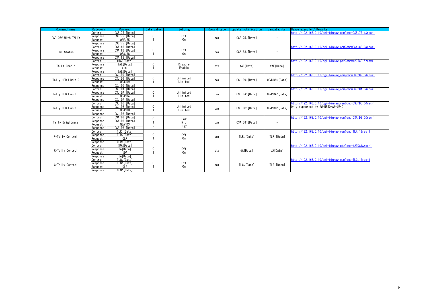<span id="page-43-6"></span><span id="page-43-5"></span><span id="page-43-4"></span><span id="page-43-3"></span><span id="page-43-2"></span><span id="page-43-1"></span><span id="page-43-0"></span>

| Command name       | <b>Category</b> | Command         | Data value     | Setting        | Comand type | Update notification | camdata.html             | Usage example / Remarks                               |
|--------------------|-----------------|-----------------|----------------|----------------|-------------|---------------------|--------------------------|-------------------------------------------------------|
|                    | Control         | OSE: 75: [Data] |                |                |             |                     |                          | http://192.168.0.10/cgi-bin/aw cam?cmd=0SE:75:1&res=1 |
| OSD Off With TALLY | Response        | OSE: 75: [Data] | 0              | 0ff            | cam         | OSE: 75: [Data]     | $\overline{\phantom{a}}$ |                                                       |
|                    | Request         | QSE:75          |                | 0 <sub>n</sub> |             |                     |                          |                                                       |
|                    | Response        | OSE: 75: [Data] |                |                |             |                     |                          |                                                       |
|                    | Control         | OSA:88: [Data]  |                |                |             |                     |                          | http://192.168.0.10/cgi-bin/aw cam?cmd=0SA:88:0&res=1 |
| OSD Status         | Response        | 0SA:88: [Data]  | $\mathbf 0$    | 0ff            | cam         | OSA:88: [Data]      | $\qquad \qquad$          |                                                       |
|                    | Request         | QSA:88          |                | 0 <sub>n</sub> |             |                     |                          |                                                       |
|                    | Response        | OSA:88: [Data]  |                |                |             |                     |                          |                                                       |
|                    | Control         | #TAE [Data]     |                |                |             |                     |                          | http://192.168.0.10/cgi-bin/aw_ptz?cmd=%23TAE1&res=1  |
| TALLY Enable       | Response        | tAE [Data]      | $\mathbf 0$    | Disable        | ptz         | tAE [Data]          | tAE[Data]                |                                                       |
|                    | Request         | #TAE            |                | Enable         |             |                     |                          |                                                       |
|                    | Response        | tAE [Data]      |                |                |             |                     |                          |                                                       |
|                    | Control         | OSJ:D9:[Data]   |                |                |             |                     |                          | http://192.168.0.10/cgi-bin/aw cam?cmd=0SJ:D9:0&res=1 |
| Tally LED Limit R  | Response        | OSJ:D9: [Data]  | $\mathbf 0$    | Unlimited      | cam         | OSJ:D9: [Data]      | OSJ:D9: [Data]           |                                                       |
|                    | Request         | QSJ: D9         |                | Limited        |             |                     |                          |                                                       |
|                    | Response        | OSJ:D9: [Data]  |                |                |             |                     |                          |                                                       |
|                    | Control         | OSJ:DA: [Data]  |                |                |             |                     |                          | http://192.168.0.10/cgi-bin/aw_cam?cmd=0SJ:DA:0&res=1 |
| Tally LED Limit G  | Response        | OSJ:DA: [Data]  | $\mathbf 0$    | Unlimited      | cam         | OSJ:DA: [Data]      | OSJ:DA: [Data]           |                                                       |
|                    | Request         | QSJ:DA          |                | Limited        |             |                     |                          |                                                       |
|                    | Response        | OSJ:DA: [Data]  |                |                |             |                     |                          |                                                       |
|                    | Control         | OSJ:DB: [Data]  |                |                |             |                     |                          | http://192.168.0.10/cgi-bin/aw cam?cmd=0SJ:DB:0&res=1 |
| Tally LED Limit B  | Response        | OSJ:DB: [Data]  | 0              | Unlimited      | cam         | OSJ:DB: [Data]      | OSJ:DB: [Data]           | Only supported by AW-UE50/AW-UE40                     |
|                    | Request         | QSJ:DB          |                | Limited        |             |                     |                          |                                                       |
|                    | Response        | OSJ:DB: [Data]  |                |                |             |                     |                          |                                                       |
|                    | Control         | OSA:D3: [Data]  | $\mathbf 0$    | Low            |             |                     |                          | http://192.168.0.10/cgi-bin/aw cam?cmd=0SA:D3:0&res=1 |
| Tally Brightness   | Response        | OSA:D3: [Data]  |                | Mid            | cam         | OSA:D3: [Data]      | $\overline{\phantom{a}}$ |                                                       |
|                    | Reauest         | QSA: D3         | $\overline{2}$ | High           |             |                     |                          |                                                       |
|                    | Response        | OSA:D3: [Data]  |                |                |             |                     |                          |                                                       |
|                    | Control         | TLR: [Data]     |                |                |             |                     |                          | http://192.168.0.10/cgi-bin/aw cam?cmd=TLR:1&res=1    |
| R-Tally Control    | Response        | TLR: [Data]     | 0              | 0ff            | cam         | TLR: [Data]         | TLR: [Data]              |                                                       |
|                    | Request         | QLR             |                | 0 <sub>n</sub> |             |                     |                          |                                                       |
|                    | Response        | OLR: [Data]     |                |                |             |                     |                          |                                                       |
|                    | Control         | #DA[Data]       |                |                |             |                     |                          | http://192.168.0.10/cgi-bin/aw ptz?cmd=%23DA1&res=1   |
| R-Tally Control    | Response        | dA[Data]        | $\mathbf 0$    | 0ff            | ptz         | dA[Data]            | dA[Data]                 |                                                       |
|                    | Request         | #DA             |                | 0n             |             |                     |                          |                                                       |
|                    | Response        | dA[Data]        |                |                |             |                     |                          |                                                       |
|                    | Control         | TLG: [Data]     |                |                |             |                     |                          | http://192.168.0.10/cgi-bin/aw cam?cmd=TLG:1&res=1    |
| G-Tally Control    | Response        | TLG: [Data]     | $\mathbf 0$    | 0ff            |             | TLG: [Data]         | TLG: [Data]              |                                                       |
|                    | Request         | QLG             |                | 0 <sub>n</sub> | cam         |                     |                          |                                                       |
|                    | Response        | OLG: [Data]     |                |                |             |                     |                          |                                                       |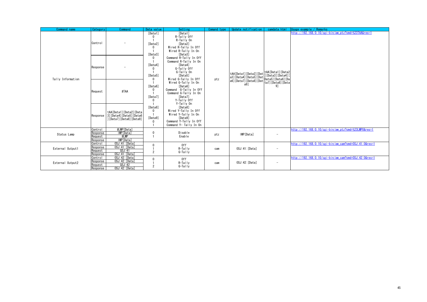<span id="page-44-2"></span><span id="page-44-1"></span><span id="page-44-0"></span>

| Command name      | Category                                   | Command                                                                       | Data value                                         | Setting                                                                                                                    | Comand type | Update notification                                                                                                                                                                       | camdata, html            | Usage example / Remarks                               |
|-------------------|--------------------------------------------|-------------------------------------------------------------------------------|----------------------------------------------------|----------------------------------------------------------------------------------------------------------------------------|-------------|-------------------------------------------------------------------------------------------------------------------------------------------------------------------------------------------|--------------------------|-------------------------------------------------------|
|                   | Control                                    |                                                                               | [Data1]<br>$\mathbf{0}$<br>[Data2]<br>0<br>[Data3] | [Data1]<br>R-Tally Off<br>R-Tally On<br>[Data2]<br>Wired R-Tally In Off<br>Wired R-Tally In On<br>[Data3]                  |             |                                                                                                                                                                                           |                          | http://192.168.0.10/cgi-bin/aw_ptz?cmd=%23TAA&res=1   |
| Tally Information | Response                                   |                                                                               | 0<br>[Data4]<br>0<br>[Data5]<br>$\Omega$           | Command R-Tally In Off<br>Command R-Tally In On<br>[Data4]<br>G-Tally Off<br>G-Tally On<br>[Data5]<br>Wired G-Tally In Off | ptz         | tAA[Data1] [Data2] [Dat] tAA[Data1] [Data2<br>  a3] [Data4] [Data5] [Dat ] Data3] [Data4] [<br>  a6] [Data7] [Data8] [Dat ] Data5] [Data6] [Data6]<br>  a6] [Data7] [Data8] [Data8] [Data |                          |                                                       |
|                   | Request                                    | #TAA                                                                          | [Data6]<br>$\mathbf{0}$<br>[Data7]<br>$\Omega$     | Wired G-Tally In On<br>[Data6]<br>Command G-Tally In Off<br>Command G-Tally In On<br>[Data7]<br>Y-Tally Off<br>Y-Tally On  |             | $a9$ ]                                                                                                                                                                                    | 91                       |                                                       |
|                   | Response                                   | tAA[Data1][Data2][Data<br>3] [Data4] [Data5] [Data6<br>][Data7][Data8][Data9] | [Data8]<br>$\mathbf{0}$<br>[Data9]<br>$\mathbf 0$  | [Data8]<br>Wired Y-Tally In Off<br>Wired Y-Tally In On<br>[Data9]<br>Command Y-Tally In Off<br>Command Y- Tally In On      |             |                                                                                                                                                                                           |                          |                                                       |
| Status Lamp       | Control<br>Response<br>Reauest<br>Response | #LMP[Data]<br><b>IMP</b> [Data]<br>#LMP<br>IMP[Data]                          | 0                                                  | Disable<br>Enable                                                                                                          | ptz         | IMP[Data]                                                                                                                                                                                 |                          | http://192.168.0.10/cgi-bin/aw_ptz?cmd=%23LMP0&res=1  |
| External Output1  | Control<br>Response<br>Reauest<br>Response | OSJ:41: [Data]<br>OSJ:41: [Data]<br>QSJ:41<br>OSJ:41: [Data]                  | $\mathbf{0}$<br>$\overline{2}$                     | 0ff<br>$R-Ta$ lly<br>$G-TaIly$                                                                                             | cam         | OSJ:41:[Data]                                                                                                                                                                             | $\overline{\phantom{a}}$ | http://192.168.0.10/cgi-bin/aw_cam?cmd=0SJ:41:0&res=1 |
| External Output2  | Control<br>Response<br>Request<br>Response | 0SJ:42: [Data]<br>OSJ:42: [Data]<br>QSJ:42<br>OSJ:42: [Data]                  | $\mathbf{0}$<br>$\overline{2}$                     | 0ff<br>$R-Ta$ lly<br>$G-Ta$ lly                                                                                            | cam         | OSJ:42: [Data]                                                                                                                                                                            | $\overline{\phantom{a}}$ | http://192.168.0.10/cgi-bin/aw cam?cmd=0SJ:42:0&res=1 |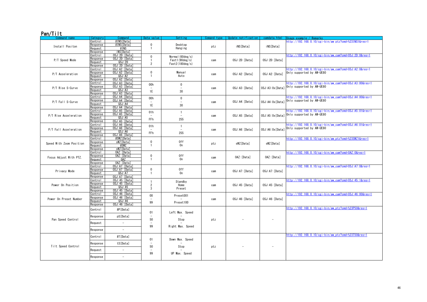# Pan/Tilt

<span id="page-45-13"></span><span id="page-45-12"></span><span id="page-45-11"></span><span id="page-45-10"></span><span id="page-45-9"></span><span id="page-45-8"></span><span id="page-45-7"></span><span id="page-45-6"></span><span id="page-45-5"></span><span id="page-45-4"></span><span id="page-45-3"></span><span id="page-45-2"></span><span id="page-45-1"></span><span id="page-45-0"></span>

| Command name             | Category                   | Command                         | Data value     | Setting                  |     | Comand type   Update notification | camdata.html    | $l$ Usage example / Remarks                            |
|--------------------------|----------------------------|---------------------------------|----------------|--------------------------|-----|-----------------------------------|-----------------|--------------------------------------------------------|
|                          | Control                    | #INS[Data]                      |                |                          |     |                                   |                 | http://192.168.0.10/cgi-bin/aw ptz?cmd=%23INS1&res=1   |
| Install Positon          | Response                   | #INS[Data]                      | $\mathbf 0$    | Desktop                  | ptz | iNS[Data]                         | iNS[Data]       |                                                        |
|                          | Request                    | #INS                            | $\mathbf{1}$   | Hanging                  |     |                                   |                 |                                                        |
|                          | Response                   | iNS[Data]                       |                |                          |     |                                   |                 |                                                        |
|                          | Control                    | OSJ:2D: [Data]                  | $\mathbf{0}$   | Normal (60deg/s)         |     |                                   |                 | http://192.168.0.10/cgi-bin/aw cam?cmd=0SJ:2D:0&res=1  |
| P/T Speed Mode           | Response                   | OSJ:2D: [Data]                  |                | Fast1(90deg/s)           | cam | OSJ:2D:[Data]                     | OSJ:2D:[Data]   |                                                        |
|                          | eauest                     | QSJ:2D                          | 2              | Fast2(180deg/s)          |     |                                   |                 |                                                        |
|                          | <b>lesponse</b>            | OSJ:2D: [Data]                  |                |                          |     |                                   |                 |                                                        |
|                          | Control                    | OSJ:A2: [Data]                  |                |                          |     |                                   |                 | http://192.168.0.10/cgi-bin/aw_cam?cmd=0SJ:A2:0&res=1  |
| P/T Acceleration         | Response                   | OSJ:A2: [Data]                  | $\mathbf 0$    | Manual                   | cam | OSJ:A2: [Data]                    | OSJ:A2:[Data]   | Only supported by AW-UE80                              |
|                          | Request                    | QSJ: A2                         | $\mathbf{1}$   | Auto                     |     |                                   |                 |                                                        |
|                          | रेesponse                  | OSJ:A2:[Data]                   |                |                          |     |                                   |                 |                                                        |
|                          | Control                    | OSJ:A3: [Data]                  | 00h            | $\mathbf 0$              |     |                                   |                 | http://192.168.0.10/cgi-bin/aw cam?cmd=0SJ:A3:00&res=1 |
| P/T Rise S-Curve         | lesponse                   | OSJ:A3: [Data]                  |                | $\overline{\phantom{a}}$ | cam | OSJ:A3: [Data]                    | OSJ:A3:Ox[Data] | Only supported by AW-UE80                              |
|                          | equest?                    | QSJ: A3                         | 1E             | 30                       |     |                                   |                 |                                                        |
|                          | रेesponse                  | OSJ:A3: [Data]                  |                |                          |     |                                   |                 |                                                        |
|                          | Control                    | OSJ:A4: [Data]                  | 00h            | $\mathbf 0$              |     |                                   |                 | http://192.168.0.10/cgi-bin/aw_cam?cmd=0SJ:A4:00&res=1 |
| P/T Fall S-Curve         | Response                   | OSJ:A4:[Data]                   |                |                          | cam | OSJ:A4: [Data]                    |                 | 0SJ:A4:0x[Data] 0nly supported by AW-UE80              |
|                          | <b>Request</b>             | QSJ:AA                          | 1E             | 30                       |     |                                   |                 |                                                        |
|                          | Response                   | OSJ:A4:[Data]                   |                |                          |     |                                   |                 |                                                        |
|                          | Control                    | OSJ:A5: [Data]                  | 01h            | $\mathbf{1}$             |     |                                   |                 | http://192.168.0.10/cgi-bin/aw cam?cmd=0SJ:A5:01&res=1 |
| P/T Rise Acceleration    | lesponse                   | OSJ:A5: [Data]                  |                |                          | cam | OSJ:A5: [Data]                    | OSJ:A5:Ox[Data] | Only supported by AW-UE80                              |
|                          | Reauest                    | QSJ: A5                         | <b>FFh</b>     | 255                      |     |                                   |                 |                                                        |
|                          | lesponse                   | OSJ:A5: [Data]                  |                |                          |     |                                   |                 |                                                        |
|                          | Control<br><b>lesponse</b> | OSJ:A6:[Data]<br>OSJ:A6: [Data] | 01h            | $\mathbf{1}$             |     |                                   |                 | http://192.168.0.10/cgi-bin/aw_cam?cmd=0SJ:A6:01&res=1 |
| P/T Fall Acceleration    | equest!                    | QSJ:AG                          |                | $\sim$                   | cam | OSJ:A6: [Data]                    | OSJ:A6:Ox[Data] | Only supported by AW-UE80                              |
|                          |                            | OSJ:A6: [Data]                  | FFh            | 255                      |     |                                   |                 |                                                        |
|                          | esponse<br>Control         | #SWZ[Data]                      |                |                          |     |                                   |                 | http://192.168.0.10/cgi-bin/aw_ptz?cmd=%23SWZ1&res=1   |
|                          | रेesponse                  | sWZ[Data]                       | $\mathbf 0$    | 0ff                      |     |                                   |                 |                                                        |
| Speed With Zoom Position | <b>Reauest</b>             | #SWZ                            | $\mathbf{1}$   | 0n                       | ptz | sWZ[Data]                         | sWZ[Data]       |                                                        |
|                          | <b>Response</b>            | sWZ[Data]                       |                |                          |     |                                   |                 |                                                        |
|                          | Control                    | OAZ: [Data]                     |                |                          |     |                                   |                 | http://192.168.0.10/cgi-bin/aw cam?cmd=0AZ:0&res=1     |
|                          | 'esponse                   | OAZ: [Data]                     | $\mathbf 0$    | 0ff                      |     |                                   |                 |                                                        |
| Focus Adjust With PTZ.   | equest?                    | QAZ                             | $\mathbf{1}$   | 0n                       | cam | OAZ: [Data]                       | OAZ: [Data]     |                                                        |
|                          | Response                   | OAZ: [Data]                     |                |                          |     |                                   |                 |                                                        |
|                          | Control                    | OSJ:A7: [Data]                  |                |                          |     |                                   |                 | http://192.168.0.10/cgi-bin/aw_cam?cmd=0SJ:A7:0&res=1  |
| Privacy Mode             | lesponse                   | OSJ:A7: [Data]                  | $\mathbf 0$    | 0ff                      |     | OSJ:A7: [Data]                    | OSJ:A7: [Data]  |                                                        |
|                          | <b>Reauest</b>             | OSJ: A7                         |                | 0n                       | cam |                                   |                 |                                                        |
|                          | esponse                    | OSJ:A7: [Data]                  |                |                          |     |                                   |                 |                                                        |
|                          | ontrol:                    | OSJ:45: [Data]                  |                | Standby                  |     |                                   |                 | http://192.168.0.10/cgi-bin/aw cam?cmd=0SJ:45:1&res=1  |
| Power On Position        | रेesponse                  | OSJ:45: [Data]                  | $\overline{2}$ | Home                     | cam | OSJ:45: [Data]                    | OSJ:45: [Data]  |                                                        |
|                          | lequest                    | QSJ:45                          | 3              | Preset                   |     |                                   |                 |                                                        |
|                          | esponse?                   | OSJ:45: [Data]                  |                |                          |     |                                   |                 |                                                        |
|                          | Control                    | OSJ:46: [Data]                  | 00             | Preset001                |     |                                   |                 | http://192.168.0.10/cgi-bin/aw cam?cmd=0SJ:46:00&res=1 |
| Power On Preset Number   | esponse!                   | OSJ:46: [Data]                  |                |                          | cam | OSJ:46:[Data]                     | OSJ:46:[Data]   |                                                        |
|                          | 'eauest                    | QSJ:46                          | 99             | Preset100                |     |                                   |                 |                                                        |
|                          | Response                   | OSJ:46: [Data]                  |                |                          |     |                                   |                 |                                                        |
|                          | Control                    | #P[Data]                        | 01             | Left Max. Speed          |     |                                   |                 | http://192.168.0.10/cgi-bin/aw ptz?cmd=%23P50&res=1    |
|                          | Response                   | pS[Data]                        |                |                          |     |                                   |                 |                                                        |
| Pan Speed Control        | Request                    | $\overline{\phantom{a}}$        | 50             | Stop                     | ptz |                                   |                 |                                                        |
|                          |                            |                                 | 99             | Right Max. Speed         |     |                                   |                 |                                                        |
|                          | Response                   | $\overline{\phantom{a}}$        |                |                          |     |                                   |                 |                                                        |
|                          | Control                    | #T[Data]                        | 01             | Down Max. Speed          |     |                                   |                 | http://192.168.0.10/cgi-bin/aw.ptz?cmd=%23T50&res=1    |
|                          | Response                   | tS[Data]                        |                |                          |     |                                   |                 |                                                        |
| Tilt Speed Control       | Request                    |                                 | 50             | Stop                     | ptz |                                   |                 |                                                        |
|                          | Response                   | $\overline{\phantom{a}}$        | 99             | UP Max. Speed            |     |                                   |                 |                                                        |
|                          |                            |                                 |                |                          |     |                                   |                 |                                                        |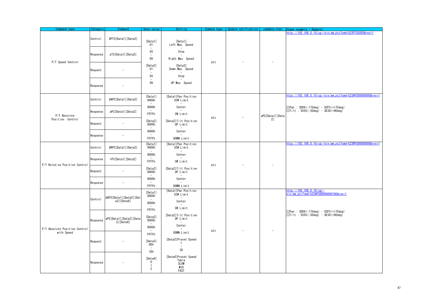<span id="page-46-3"></span><span id="page-46-2"></span><span id="page-46-1"></span><span id="page-46-0"></span>

| Command name                  | Category      | Command                              | Data value                                               | Setting                                                           | Comand<br>type | Jpdate notification | camdata, html   | Remarks<br><u>Usage example </u>                                                      |
|-------------------------------|---------------|--------------------------------------|----------------------------------------------------------|-------------------------------------------------------------------|----------------|---------------------|-----------------|---------------------------------------------------------------------------------------|
|                               | Control       | #PTS[Data1][Data2]                   |                                                          |                                                                   |                |                     |                 | nttp://192.168.0.10/cgi-bin/aw.ptz?cmd=%23PTS5050&res=1                               |
|                               |               |                                      | [Data1]<br>01<br>$\overline{\phantom{a}}$                | [Data1]<br>Left Max. Speed<br>$\overline{\phantom{a}}$            |                |                     |                 |                                                                                       |
|                               | Response      | pTS[Data1][Data2]                    | 50<br>$\overline{\phantom{a}}$                           | Stop                                                              |                |                     |                 |                                                                                       |
|                               |               |                                      | 99                                                       | Right Max. Speed                                                  |                |                     |                 |                                                                                       |
| P/T Speed Control             | Request       |                                      | [Data2]<br>01<br>$\overline{\phantom{a}}$                | [Data2]<br>Down Max. Speed                                        | ptz            |                     |                 |                                                                                       |
|                               |               |                                      | 50<br>$\overline{\phantom{a}}$                           | Stop                                                              |                |                     |                 |                                                                                       |
|                               | Response      |                                      | 99                                                       | UP Max. Speed                                                     |                |                     |                 |                                                                                       |
|                               | Control       | #APC[Data1][Data2]                   | [Data1]<br>0000h<br>$\sim$                               | [Data1]Pan Position<br>CCW Limit                                  |                |                     |                 | http://192.168.0.10/cgi-bin/aw_ptz?cmd=%23APC80008000&res=1                           |
|                               |               |                                      | 8000h<br>$\overline{\phantom{0}}$                        | Center                                                            |                |                     |                 | □Pan : 2D09 (-175deg) - D2F5 (+175deg)<br>$\Box$ Tilt : 5555 (-30deg) - 8E38 (+90deg) |
| P/T Absolute                  | Response      | aPC[Data1][Data2]                    | FFFFh                                                    | CW Limit                                                          | ptz            |                     | aPC[Data1][Data |                                                                                       |
| Position Control              | Request       | $\overline{\phantom{a}}$             | [Data2]<br>0000h                                         | [Data2] Tilt Position<br>UP Limit                                 |                |                     | 2]              |                                                                                       |
|                               | Response<br>٠ |                                      | 8000h                                                    | Center                                                            |                |                     |                 |                                                                                       |
|                               |               |                                      | FFFFh                                                    | DOWN Limit                                                        |                |                     |                 |                                                                                       |
|                               | Control       | #RPC[Data1][Data2]                   | [Data1]<br>0000h                                         | [Data1]Pan Position<br>CCW Limit                                  |                |                     |                 | http://192.168.0.10/cgi-bin/aw.ptz?cmd=%23RPC80008000&res=1                           |
|                               |               | rPC[Data1][Data2]                    | 8000h<br>$\overline{\phantom{a}}$                        | Center                                                            |                |                     |                 |                                                                                       |
| P/T Relative Position Control | Response      |                                      | FFFFh                                                    | CW Limit                                                          | ptz            |                     |                 |                                                                                       |
|                               | Request       | $\overline{\phantom{a}}$             | [Data2]<br>0000h                                         | [Data2] Tilt Position<br>UP Limit                                 |                |                     |                 |                                                                                       |
|                               | Response      | $\overline{a}$                       | 8000h<br>$\overline{\phantom{a}}$                        | Center<br>$\sim$                                                  |                |                     |                 |                                                                                       |
|                               |               |                                      | FFFFh                                                    | DOWN Limit                                                        |                |                     |                 |                                                                                       |
|                               | Control       | #APS[Data1][Data2][Dat               | [Data1]<br>0000h<br>$\sim$                               | [Data1]Pan Position<br>CCW Limit<br>$\overline{\phantom{a}}$      |                |                     |                 | http://192.168.0.10/cgi-<br>bin/aw ptz?cmd=%23APS800080001D0&res=1                    |
|                               |               | $a3$ ] [Data4]                       | 8000h                                                    | Center                                                            |                |                     |                 |                                                                                       |
|                               |               |                                      | FFFFh                                                    | CW Limit                                                          |                |                     |                 | □Pan : 2D09 (-175deg) - D2F5 (+175deg)                                                |
|                               | Response      | aPS[Data1][Data2][Data<br>3] [Data4] | [Data2]<br>0000h                                         | [Data2] Tilt Position<br>UP Limit                                 |                |                     |                 | $\Box$ Tilt : 5555(-30deg) - 8E38(+90deg)                                             |
| P/T Absolute Position Control |               |                                      | $\overline{\phantom{0}}$<br>8000h                        | Center                                                            |                |                     |                 |                                                                                       |
| with Speed                    |               |                                      | FFFFh                                                    | DOWN Limit                                                        | ptz            |                     |                 |                                                                                       |
|                               | Request       |                                      | [Data3]<br>00h<br>$\overline{\phantom{a}}$               | [Data3]Preset Speed<br>$\overline{1}$<br>$\overline{\phantom{a}}$ |                |                     |                 |                                                                                       |
|                               |               |                                      | 1Dh                                                      | 30                                                                |                |                     |                 |                                                                                       |
|                               | Response      |                                      | [Data4]<br>$\mathbf 0$<br>$\mathbf{1}$<br>$\overline{2}$ | [Data4]Preset Speed<br>Table<br>SLOW<br>MID<br>FAST               |                |                     |                 |                                                                                       |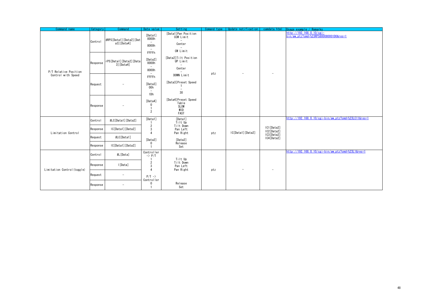<span id="page-47-2"></span><span id="page-47-1"></span><span id="page-47-0"></span>

| Command name                                | Category | Command                                  | Data value                                                                                             | Setting                                                                | Comand type | Update notification | camdata, html            | Usage example / Remarks                                           |
|---------------------------------------------|----------|------------------------------------------|--------------------------------------------------------------------------------------------------------|------------------------------------------------------------------------|-------------|---------------------|--------------------------|-------------------------------------------------------------------|
|                                             | Control  | #RPS[Data1][Data2][Dat<br>$a3$ ] [Data4] | [Data1]<br>0000h<br>$\overline{\phantom{a}}$<br>8000h<br>$\overline{\phantom{a}}$                      | [Data1]Pan Position<br>CCW Limit<br>$\sim$<br>Center<br>CW Limit       |             |                     |                          | http://192.168.0.10/cgi-<br>bin/awptz?cmd=%23RPS800080001D0&res=1 |
| P/T Relative Position<br>Control with Speed | Response | rPS[Data1][Data2][Data<br>$3$ ] [Data4]  | FFFFh<br>[Data2]<br>0000h<br>$\overline{\phantom{a}}$<br>8000h                                         | [Data2]Tilt Position<br>UP Limit<br>$\overline{\phantom{a}}$<br>Center |             |                     |                          |                                                                   |
|                                             | Request  |                                          | FFFFh<br>[Data3]<br>00h<br>$\overline{\phantom{a}}$<br>1Dh<br>[Data4]<br>$\mathbf 0$<br>$\overline{2}$ | DOWN Limit<br>[Data3]Preset Speed<br>$\overline{\phantom{a}}$<br>30    | ptz         |                     | $\overline{\phantom{a}}$ |                                                                   |
|                                             | Response |                                          |                                                                                                        | [Data4]Preset Speed<br>Table<br>SLOW<br>MID<br>FAST                    |             |                     |                          |                                                                   |
|                                             | Control  | #LC[Data1][Data2]                        | [Data1]                                                                                                | [Data1]<br>Tilt Up<br>Tilt Down<br>Pan Left<br>Pan Right               | ptz         | IC[Data1][Data2]    |                          | http://192.168.0.10/cgi-bin/aw_ptz?cmd=%23LC11&res=1              |
| Limitation Control                          | Response | IC[Data1][Data2]                         | $\overline{2}$<br>3<br>$\overline{4}$                                                                  |                                                                        |             |                     | IC1[Data2]<br>IC2[Data2] |                                                                   |
|                                             | Request  | #LC[Data1]                               | [Data2]                                                                                                | [Data2]                                                                |             |                     | IC3[Data2]<br>IC4[Data2] |                                                                   |
|                                             | Response | IC[Data1][Data2]                         | $\mathbf 0$                                                                                            | Release<br>Set                                                         |             |                     |                          |                                                                   |
|                                             | Control  | #L[Data]                                 | Controller<br>$\rightarrow$ P/T                                                                        | Tilt Up                                                                |             |                     |                          | http://192.168.0.10/cgi-bin/aw ptz?cmd=%23L1&res=1                |
| Limitation Control (toggle)                 | Response | I[Data]                                  | $\overline{2}$<br>3<br>$\Delta$                                                                        | Tilt Down<br>Pan Left<br>Pan Right                                     | ptz         |                     | $\overline{\phantom{a}}$ |                                                                   |
|                                             | Request  | $\overline{\phantom{a}}$                 | $P/T \rightarrow$                                                                                      |                                                                        |             |                     |                          |                                                                   |
|                                             | Response |                                          | Controller<br>$\mathbf 0$                                                                              | Release<br>Set                                                         |             |                     |                          |                                                                   |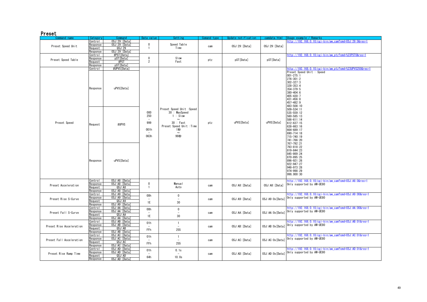#### Preset

<span id="page-48-8"></span><span id="page-48-7"></span><span id="page-48-6"></span><span id="page-48-5"></span><span id="page-48-4"></span><span id="page-48-3"></span><span id="page-48-2"></span><span id="page-48-1"></span><span id="page-48-0"></span>

| Command name             | Category | Command        | Data value                        | Setting                                                                                                                               | Comand type | Update notification | camdata, html   | Isage example / Remarks                                                                                                                                                                                                                                                                                                                             |
|--------------------------|----------|----------------|-----------------------------------|---------------------------------------------------------------------------------------------------------------------------------------|-------------|---------------------|-----------------|-----------------------------------------------------------------------------------------------------------------------------------------------------------------------------------------------------------------------------------------------------------------------------------------------------------------------------------------------------|
|                          | Control  | 0SJ:29: [Data] |                                   |                                                                                                                                       |             |                     |                 | ttp://192.168.0.10/cgi-bin/aw_cam?cmd=0SJ:29:0&res=1                                                                                                                                                                                                                                                                                                |
| Preset Speed Unit        | Response | OSJ:29: [Data] | $\mathbf{0}$                      | Speed Table                                                                                                                           | cam         | OSJ:29:[Data]       | 0SJ:29: [Data]  |                                                                                                                                                                                                                                                                                                                                                     |
|                          | Request  | QSJ:29         |                                   | Time                                                                                                                                  |             |                     |                 |                                                                                                                                                                                                                                                                                                                                                     |
|                          | Response | OSJ:29: [Data] |                                   |                                                                                                                                       |             |                     |                 |                                                                                                                                                                                                                                                                                                                                                     |
|                          | Control  | #PST[Data]     |                                   |                                                                                                                                       |             |                     |                 | http://192.168.0.10/cgi-bin/aw_ptz?cmd=%23PST0&res=1                                                                                                                                                                                                                                                                                                |
| Preset Speed Table       | Response | pST[Data]      | $\mathbf 0$                       | Slow                                                                                                                                  | ptz         | pST[Data]           | pST[Data]       |                                                                                                                                                                                                                                                                                                                                                     |
|                          | Reauest  | #PST           | $\overline{2}$                    | Fast                                                                                                                                  |             |                     |                 |                                                                                                                                                                                                                                                                                                                                                     |
|                          | Response | pST[Data]      |                                   |                                                                                                                                       |             |                     |                 |                                                                                                                                                                                                                                                                                                                                                     |
|                          | Control  | #UPVS[Data]    |                                   |                                                                                                                                       |             |                     |                 | <u>pttp://192.168.0.10/cgi-bin/aw_ptz?cmd=%23UPVS250&amp;res=1</u><br>Preset Speed Unit: Speed                                                                                                                                                                                                                                                      |
| Preset Speed             | Response | uPVS[Data]     | 000<br>250<br>999<br>001h<br>063h | Preset Speed Unit : Speed<br>30 : MaxSpeed<br>$1:$ Slow<br>$30$ : Fast<br>ptz<br>Preset Speed Unit : Time<br>1秒<br>$\thicksim$<br>99秒 |             |                     |                 | $001 - 275:1$<br>$276 - 301:2$<br>$302 - 327:3$<br>$328 - 353:4$<br>$354 - 379:5$<br>$380 - 404:6$<br>405-430:7<br>$431 - 456:8$<br>457-482:9<br>483-508:10<br>$509 - 534 : 11$<br>$535 - 559 : 12$<br>$560 - 585:13$<br>$586 - 611 : 14$<br>$612 - 637:15$<br>$638 - 663:16$<br>664-689:17<br>690-714:18<br>715-740:19<br>741-766:20<br>767-792:21 |
|                          | Request  | #UPVS          |                                   |                                                                                                                                       |             | uPVS[Data]          | uPVS[Data]      |                                                                                                                                                                                                                                                                                                                                                     |
|                          | Response | uPVS[Data]     |                                   |                                                                                                                                       |             |                     |                 | 793-818:22<br>819-844:23<br>845-869:24<br>870-895:25<br>896-921:26<br>922-947:27<br>948-973:28<br>974-998:29<br>999, 000:30                                                                                                                                                                                                                         |
|                          | Control  | OSJ:A8: [Data] |                                   |                                                                                                                                       |             |                     |                 | http://192.168.0.10/cgi-bin/aw_cam?cmd=0SJ:A8:0&res=1                                                                                                                                                                                                                                                                                               |
| Preset Acceleration      | Response | OSJ:A8: [Data] | $\mathbf{0}$                      | <b>Manual</b>                                                                                                                         | cam         | OSJ:AB:[Data]       | OSJ:A8: [Data]  | Only supported by AW-UE80                                                                                                                                                                                                                                                                                                                           |
|                          | Request  | QSJ:A8         |                                   | Auto                                                                                                                                  |             |                     |                 |                                                                                                                                                                                                                                                                                                                                                     |
|                          | Response | OSJ:A8: [Data] |                                   |                                                                                                                                       |             |                     |                 |                                                                                                                                                                                                                                                                                                                                                     |
|                          | Control  | OSJ:A9:[Data]  | 00h                               | $\mathbf 0$                                                                                                                           |             |                     |                 | http://192.168.0.10/cgi-bin/aw_cam?cmd=0SJ:A9:00&res=1                                                                                                                                                                                                                                                                                              |
| Preset Rise S-Curve      | Response | OSJ:A9:[Data]  |                                   |                                                                                                                                       | cam         | OSJ:A9:[Data]       | OSJ:A9:Ox[Data] | Only supported by AW-UE80                                                                                                                                                                                                                                                                                                                           |
|                          | Reauest  | QSJ: A9        | 1E                                | 30                                                                                                                                    |             |                     |                 |                                                                                                                                                                                                                                                                                                                                                     |
|                          | Response | OSJ:A9: [Data] |                                   |                                                                                                                                       |             |                     |                 |                                                                                                                                                                                                                                                                                                                                                     |
|                          | Control  | OSJ:AA: [Data] | 00h                               | $\mathbf 0$                                                                                                                           |             |                     |                 | http://192.168.0.10/cgi-bin/aw_cam?cmd=0SJ:AA:00&res=1                                                                                                                                                                                                                                                                                              |
| Preset Fall S-Curve      | Response | OSJ:AA: [Data] |                                   |                                                                                                                                       | cam         | OSJ:AA: [Data]      | OSJ:AA:Ox[Data] | Only supported by AW-UE80                                                                                                                                                                                                                                                                                                                           |
|                          | Request  | QSJ:AA         | 1E                                | 30                                                                                                                                    |             |                     |                 |                                                                                                                                                                                                                                                                                                                                                     |
|                          | Response | OSJ:AA: [Data] |                                   |                                                                                                                                       |             |                     |                 |                                                                                                                                                                                                                                                                                                                                                     |
|                          | Control  | OSJ:AB: [Data] | 01h                               | $\mathbf{1}$                                                                                                                          |             |                     |                 | http://192.168.0.10/cgi-bin/aw_cam?cmd=0SJ:AB:01&res=1                                                                                                                                                                                                                                                                                              |
| Preset Rise Acceleration | Response | OSJ:AB: [Data] |                                   | $\overline{\phantom{a}}$                                                                                                              | cam         | OSJ:AB: [Data]      | OSJ:AB:Ox[Data] | Only supported by AW-UE80                                                                                                                                                                                                                                                                                                                           |
|                          | Request  | QSJ:AB         | FFh                               | 255                                                                                                                                   |             |                     |                 |                                                                                                                                                                                                                                                                                                                                                     |
|                          | Response | OSJ:AB: [Data] |                                   |                                                                                                                                       |             |                     |                 |                                                                                                                                                                                                                                                                                                                                                     |
|                          | Control  | OSJ:AC: [Data] | 01h                               | $\mathbf{1}$                                                                                                                          |             |                     |                 | http://192.168.0.10/cgi-bin/aw_cam?cmd=0SJ:AC:01&res=1                                                                                                                                                                                                                                                                                              |
| Preset Fall Acceleration | Response | OSJ:AC: [Data] |                                   |                                                                                                                                       | cam         | OSJ:AC: [Data]      |                 | 0SJ:AC:0x[Data] 0nly supported by AW-UE80                                                                                                                                                                                                                                                                                                           |
|                          | Request  | QSJ:AC         | FFh                               | 255                                                                                                                                   |             |                     |                 |                                                                                                                                                                                                                                                                                                                                                     |
|                          | Response | OSJ:AC: [Data] |                                   |                                                                                                                                       |             |                     |                 |                                                                                                                                                                                                                                                                                                                                                     |
|                          | Control  | OSJ:AD: [Data] | 01h                               | 0.1s                                                                                                                                  |             |                     |                 | nttp://192.168.0.10/cgi-bin/aw_cam?cmd=0SJ:AD:01&res=1                                                                                                                                                                                                                                                                                              |
| Preset Rise Ramp Time    | Response | OSJ:AD: [Data] |                                   |                                                                                                                                       | cam         | OSJ:AD: [Data]      | OSJ:AD:Ox[Data] | Only supported by AW-UE80                                                                                                                                                                                                                                                                                                                           |
|                          | Request  | QSJ:AD         | 64h                               | 10.0s                                                                                                                                 |             |                     |                 |                                                                                                                                                                                                                                                                                                                                                     |
|                          | Response | OSJ:AD: [Data] |                                   |                                                                                                                                       |             |                     |                 |                                                                                                                                                                                                                                                                                                                                                     |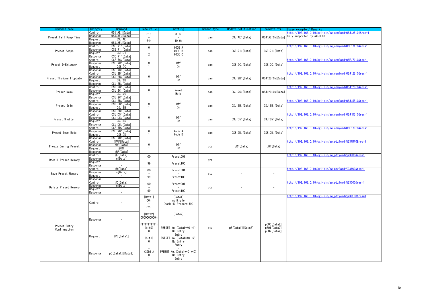<span id="page-49-12"></span><span id="page-49-11"></span><span id="page-49-10"></span><span id="page-49-9"></span><span id="page-49-8"></span><span id="page-49-7"></span><span id="page-49-6"></span><span id="page-49-5"></span><span id="page-49-4"></span><span id="page-49-3"></span><span id="page-49-2"></span><span id="page-49-1"></span><span id="page-49-0"></span>

| Command name                 | Category         | Command                  | Data value                     | Setting                                 | Comand type | Jpdate notification      | camdata.html             | sage example<br>Remarks                                |
|------------------------------|------------------|--------------------------|--------------------------------|-----------------------------------------|-------------|--------------------------|--------------------------|--------------------------------------------------------|
|                              | Control          | OSJ: AE: [Data]          | 01h                            | 0.1s                                    |             |                          |                          | nttp://192.168.0.10/cgi-bin/aw_cam?cmd=0SJ:AE:01&res=1 |
|                              | Response         | OSJ:AE: [Data]           |                                |                                         |             | OSJ:AE: [Data]           |                          | Only supported by AW-UE80                              |
| Preset Fall Ramp Time        | Request          | QSJ:AE                   |                                |                                         | cam         |                          | OSJ: AE: Ox [Data]       |                                                        |
|                              | Response         | OSJ: AE: [Data]          | 64h                            | 10.0s                                   |             |                          |                          |                                                        |
|                              | Control          | 0SE:71: [Data]           |                                |                                         |             |                          |                          | http://192.168.0.10/cgi-bin/aw_cam?cmd=0SE:71:0&res=1  |
|                              | Response         | OSE: 71: [Data]          | $\mathbf 0$                    | MODE A                                  |             |                          |                          |                                                        |
| Preset Scope                 | Request          | QSE:71                   | 1                              | MODE B                                  | cam         | OSE: 71: [Data]          | OSE: 71: [Data]          |                                                        |
|                              | Response         | OSE: 71: [Data]          | $\overline{2}$                 | MODE C                                  |             |                          |                          |                                                        |
|                              | Control          | OSE: 7C: [Data]          |                                |                                         |             |                          |                          | http://192.168.0.10/cgi-bin/aw_cam?cmd=0SE:7C:0&res=1  |
|                              | Response         | OSE: 7C: [Data]          | $\bf{0}$                       | 0ff                                     |             |                          |                          |                                                        |
| Preset D-Extender            | Request          | QSE:7C                   | 1                              | 0n                                      | cam         | OSE: 7C: [Data]          | 0SE:7C: [Data]           |                                                        |
|                              | Response         | OSE: 7C: [Data]          |                                |                                         |             |                          |                          |                                                        |
|                              | Control          | OSJ:2B: [Data]           |                                |                                         |             |                          |                          | nttp://192.168.0.10/cgi-bin/aw_cam?cmd=0SJ:2B:0&res=1  |
|                              |                  | OSJ:2B: [Data]           | $\bf{0}$                       | 0ff                                     |             |                          |                          |                                                        |
| Preset Thumbnail Update      | Response         |                          | 1                              | 0n                                      | cam         | OSJ:2B: [Data]           | OSJ:2B:0x[Data]          |                                                        |
|                              | Request          | QSJ:2B                   |                                |                                         |             |                          |                          |                                                        |
|                              | Response         | OSJ:2B: [Data]           |                                |                                         |             |                          |                          |                                                        |
|                              | Control          | OSJ:2C: [Data]           | $\mathbf 0$                    | Reset                                   |             |                          |                          | nttp://192.168.0.10/cgi-bin/aw_cam?cmd=0SJ:2C:0&res=1  |
| Preset Name                  | Response         | OSJ:2C: [Data]           | 1                              | Hold                                    | cam         | OSJ:2C:[Data]            | OSJ:2C:0x[Data]          |                                                        |
|                              | Request          | QSJ:2C                   |                                |                                         |             |                          |                          |                                                        |
|                              | Response         | OSJ:2C: [Data]           |                                |                                         |             |                          |                          |                                                        |
|                              | $\text{Control}$ | OSJ:5B: [Data]           |                                |                                         |             |                          |                          | http://192.168.0.10/cgi-bin/aw_cam?cmd=0SJ:5B:0&res=1  |
| Preset Iris                  | Response         | OSJ:5B: [Data]           | $\bf{0}$                       | 0ff<br>0n                               | cam         | OSJ:5B:[Data]            | OSJ:5B: [Data]           |                                                        |
|                              | Request          | QSJ:5B                   | -1                             |                                         |             |                          |                          |                                                        |
|                              | Response         | OSJ:5B: [Data]           |                                |                                         |             |                          |                          |                                                        |
|                              | Control          | OSJ:D5: [Data]           |                                |                                         |             |                          |                          | http://192.168.0.10/cgi-bin/aw_cam?cmd=0SJ:D5:0&res=1  |
| Preset Shutter               | Response         | OSJ:D5: [Data]           | $\pmb{0}$                      | 0ff                                     | cam         | OSJ:D5:[Data]            | OSJ:D5:[Data]            |                                                        |
|                              | Request          | QSJ:D5                   | 1                              | 0n                                      |             |                          |                          |                                                        |
|                              | Response         | OSJ:D5: [Data]           |                                |                                         |             |                          |                          |                                                        |
|                              | Control          | OSE: 7D: [Data]          |                                |                                         |             |                          |                          | http://192.168.0.10/cgi-bin/aw cam?cmd=0SE:7D:0&res=1  |
| Preset Zoom Mode             | Response         | OSE: 7D: [Data]          | $\mathbf 0$                    | Mode A                                  | cam         | OSE: 7D: [Data]          | OSE: 7D: [Data]          |                                                        |
|                              | Request          | QSE:7D                   | 1                              | Mode B                                  |             |                          |                          |                                                        |
|                              | Response         | OSE: 7D: [Data]          |                                |                                         |             |                          |                          |                                                        |
|                              | Control          | #PRF[Data]               |                                |                                         |             |                          |                          | nttp://192.168.0.10/cgi-bin/aw_ptz?cmd=%23PRF0&res=1   |
| Freeze During Preset         | Response         | pRF[Data]                | $\mathbf 0$                    | 0ff                                     | ptz         | pRF[Data]                | pRF[Data]                |                                                        |
|                              | Request          | #PRF                     | 1                              | 0n                                      |             |                          |                          |                                                        |
|                              | Response         | pRFTData                 |                                |                                         |             |                          |                          |                                                        |
|                              | Control          | #R[Data]                 | $00\,$                         | Preset001                               |             |                          |                          | http://192.168.0.10/cgi-bin/aw_ptz?cmd=%23R00&res=1    |
| Recall Preset Memory         | Response         | s[Data]                  | $\overline{\phantom{a}}$<br>99 |                                         | ptz         |                          | $\overline{a}$           |                                                        |
|                              | Request          | $\overline{\phantom{a}}$ |                                | Preset100                               |             |                          |                          |                                                        |
|                              | Response         | $\sim$                   |                                |                                         |             |                          |                          |                                                        |
|                              | Control          | #M <sub>Data</sub>       | $00\,$                         | Preset001                               |             |                          |                          | http://192.168.0.10/cgi-bin/aw_ptz?cmd=%23M00&res=1    |
| Save Preset Memory           | Response         | s[Data]                  | 99                             |                                         | ptz         |                          | $\overline{a}$           |                                                        |
|                              | Request          | $\sim$                   |                                | Preset100                               |             |                          |                          |                                                        |
|                              | Response         | $\overline{a}$           |                                |                                         |             |                          |                          |                                                        |
|                              | Control          | #C[Data]                 | $00\,$                         | Preset001                               |             |                          |                          | http://192.168.0.10/cgi-bin/aw_ptz?cmd=%23C00&res=1    |
| Delete Preset Memory         | Response         | s[Data]                  |                                |                                         | ptz         | $\overline{\phantom{a}}$ | $\overline{\phantom{a}}$ |                                                        |
|                              | Request          | $\sim$                   | 99                             | Preset100                               |             |                          |                          |                                                        |
|                              | Response         | $\sim$                   |                                |                                         |             |                          |                          |                                                        |
|                              |                  |                          | [Data1]                        | [Data1]                                 |             |                          |                          | http://192.168.0.10/cgi-bin/aw_ptz?cmd=%23PE00&res=1   |
|                              |                  |                          | 00h                            | multiple                                |             |                          |                          |                                                        |
|                              | Control          |                          |                                | (each 40 Presert No)                    |             |                          |                          |                                                        |
|                              |                  |                          | 02h                            |                                         |             |                          |                          |                                                        |
|                              |                  |                          |                                |                                         |             |                          |                          |                                                        |
|                              |                  |                          | [Data2]                        | [Data2]                                 |             |                          |                          |                                                        |
|                              |                  |                          | 0000000000h                    |                                         |             |                          |                          |                                                        |
|                              | Response         |                          |                                |                                         |             |                          |                          |                                                        |
| Preset Entry<br>Confirmation |                  |                          | <b>FFFFFFFFFFFh</b>            |                                         |             |                          | pE00[Data2]              |                                                        |
|                              |                  |                          | (bit0)                         | PRESET No. (Data1*40 +1)                | ptz         | pE[Data1][Data2]         | pE01[Data2]              |                                                        |
|                              | Reauest          |                          | $\mathbf 0$                    | No Entry                                |             |                          | pE02[Data2]              |                                                        |
|                              |                  |                          |                                |                                         |             |                          |                          |                                                        |
|                              |                  | #PE [Data1]              | (bit)                          | Entry<br>-1<br>PRESET No. (Data1*40 +2) |             |                          |                          |                                                        |
|                              |                  |                          | $\mathbf 0$                    | No Entry                                |             |                          |                          |                                                        |
|                              |                  |                          | -1                             | Entry                                   |             |                          |                          |                                                        |
|                              |                  |                          |                                |                                         |             |                          |                          |                                                        |
|                              |                  |                          | $(39b)$ it)                    | PRESET No. (Data1*40 +40)               |             |                          |                          |                                                        |
|                              | Response         | pE[Data1][Data2]         | $\mathbf{0}$                   |                                         |             |                          |                          |                                                        |
|                              |                  |                          | 1                              | No Entry                                |             |                          |                          |                                                        |
|                              |                  |                          |                                | Entry                                   |             |                          |                          |                                                        |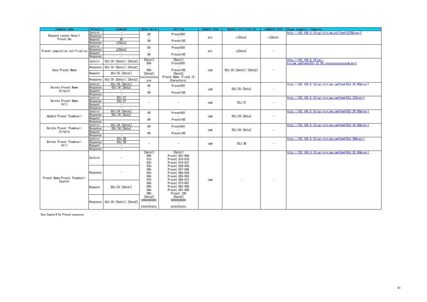| Command name                     | Category                   | Command                                    | Data value                      | Setting                          | Comand type | Update notification      | camdata.html             | Usage example / Remarks                                                    |
|----------------------------------|----------------------------|--------------------------------------------|---------------------------------|----------------------------------|-------------|--------------------------|--------------------------|----------------------------------------------------------------------------|
|                                  | Control                    | $\overline{\phantom{a}}$                   | 00                              | Preset001                        |             |                          |                          | http://192.168.0.10/cgi-bin/aw_ptz?cmd=%23S&res=1                          |
| Request Latest Recall            | Response                   | $\sim$                                     | $\overline{a}$                  |                                  | ptz         | s[Data]                  | s[Data]                  |                                                                            |
| Preset No.                       | <b>Reauest</b>             | # $S$                                      | 99                              | Preset100                        |             |                          |                          |                                                                            |
|                                  | <b>Response</b><br>Control | s[Data]<br>$\overline{\phantom{a}}$        |                                 |                                  |             |                          |                          |                                                                            |
|                                  | <b>Response</b>            | q[Data]                                    | $00\,$                          | Preset001                        |             |                          |                          |                                                                            |
| Preset completion notification   | Reauest                    | $\sim$                                     | -                               |                                  | ptz         | q[Data]                  | $\overline{\phantom{a}}$ |                                                                            |
|                                  | Response                   | $\overline{\phantom{a}}$                   | 99                              | Preset100                        |             |                          |                          |                                                                            |
|                                  | Control                    | OSJ:35: [Data1]: [Data2]                   | [Data1]<br>00h                  | [Data1]<br>Preset001             |             | OSJ:35: [Data1]: [Data2] |                          | nttp://192.168.0.10/cgi-<br>oin/aw_cam?cmd=OSJ:35:00:xxxxxxxxxxxxxxx&res=1 |
| Save Preset Name                 | Response                   | OSJ:35: [Data1]: [Data2]                   | $\overline{\phantom{a}}$<br>99h | Preset100                        | cam         |                          |                          |                                                                            |
|                                  | Request                    | QSJ:35: [Data1]                            | [Data2]                         | [Data2]<br>Preset Name (Fixed 15 |             |                          |                          |                                                                            |
|                                  | Response                   | OSJ:35: [Data1]: [Data2]                   | xxxxxxxxxxx<br><b>XXX</b>       | Charactors)                      |             |                          |                          |                                                                            |
|                                  | Control                    | OSJ:36: [Data1]                            | $00\,$                          | Preset001                        |             |                          |                          | http://192.168.0.10/cgi-bin/aw cam?cmd=0SJ:36:00&res=1                     |
| Delete Preset Name<br>(Single)   | <b>Response</b><br>Request | OSJ:36: [Data]<br>$\overline{\phantom{a}}$ | $\overline{\phantom{a}}$        |                                  | cam         | OSJ:36:[Data]            | $\overline{\phantom{a}}$ |                                                                            |
|                                  | <b>Response</b>            | $\sim$                                     | 99                              | Preset100                        |             |                          |                          |                                                                            |
|                                  | Control                    | OSJ:37                                     |                                 |                                  |             |                          |                          | http://192.168.0.10/cgi-bin/aw cam?cmd=0SJ:37&res=1                        |
| Delete Preset Name               | esponse?                   | OSJ:37                                     | $\overline{\phantom{0}}$        |                                  |             | OSJ:37                   | $\overline{\phantom{0}}$ |                                                                            |
| (All)                            | equest?                    | $\overline{\phantom{a}}$                   |                                 |                                  | cam         |                          |                          |                                                                            |
|                                  | <b>₹esponse</b>            | $\sim$                                     |                                 |                                  |             |                          |                          |                                                                            |
|                                  | Control                    | OSJ:39: [Data1]                            | $00\,$                          | Preset001                        |             |                          |                          | http://192.168.0.10/cgi-bin/aw_cam?cmd=0SJ:39:00&res=1                     |
| Update Preset Thumbnail          | <b>Response</b>            | OSJ:39: [Data]                             | $\overline{a}$                  |                                  | cam         | OSJ:39: [Data]           | $\overline{a}$           |                                                                            |
|                                  | Request<br><b>Response</b> |                                            | 99                              | Preset100                        |             |                          |                          |                                                                            |
|                                  | Control                    | OSJ:3A: [Data1]                            |                                 |                                  |             |                          |                          | http://192.168.0.10/cgi-bin/aw_cam?cmd=0SJ:3A:00&res=1                     |
| Delete Preset Thumbnail          | esponse?                   | OSJ:3A: [Data]                             | $00\,$                          | Preset001                        | cam         | OSJ:3A: [Data]           |                          |                                                                            |
| (Single)                         | <b>Request</b>             | $\overline{\phantom{a}}$                   | 99                              | Preset100                        |             |                          |                          |                                                                            |
|                                  | <b>Response</b>            | $\overline{\phantom{a}}$                   |                                 |                                  |             |                          |                          |                                                                            |
|                                  | Control                    | OSJ:3B                                     |                                 |                                  |             |                          |                          | http://192.168.0.10/cgi-bin/aw_cam?cmd=0SJ:3B&res=1                        |
| Delete Preset Thumbnail<br>(A  ) | Response                   | OSJ:3B                                     | $\overline{\phantom{0}}$        | $\overline{a}$                   | cam         | OSJ:3B                   |                          |                                                                            |
|                                  | Request<br>Response        | $\sim$<br>$\overline{\phantom{a}}$         |                                 |                                  |             |                          |                          |                                                                            |
|                                  |                            |                                            | [Data1]                         | [Data1]                          |             |                          |                          | http://192.168.0.10/cgi-bin/aw cam?cmd=QSJ:3C:00&res=1                     |
|                                  | Control                    |                                            | 00h<br>01h                      | Preset 001-009<br>Preset 010-018 |             |                          |                          |                                                                            |
|                                  |                            |                                            | 02h                             | Preset 019-027<br>Preset 028-036 |             |                          |                          |                                                                            |
|                                  |                            |                                            | 03h<br>04h                      | Preset 037-045                   |             |                          |                          |                                                                            |
|                                  | Response                   |                                            | 05h<br>06h                      | Preset 046-054<br>Preset 055-063 |             |                          |                          |                                                                            |
| Preset Name/Preset Thumbnail     |                            |                                            | 07h                             | Preset 064-072                   | cam         |                          |                          |                                                                            |
| Counter                          |                            |                                            | 08h                             | Preset 073-081                   |             |                          |                          |                                                                            |
|                                  | Request                    | QSJ:3C: [Data1]                            | 09h                             | Preset 082-090                   |             |                          |                          |                                                                            |
|                                  |                            |                                            | 0Ah                             | Preset 091-099                   |             |                          |                          |                                                                            |
|                                  |                            |                                            | 0Bh                             | Preset 100<br>[Data2]            |             |                          |                          |                                                                            |
|                                  |                            |                                            | [Data2]<br>000000000h           | 000000000h                       |             |                          |                          |                                                                            |
|                                  |                            | Response 0SJ:3C: [Data1]: [Data2]          |                                 |                                  |             |                          |                          |                                                                            |
|                                  |                            |                                            | <b>FFFFFFFFFh</b>               | <b>FFFFFFFFFh</b>                |             |                          |                          |                                                                            |

<span id="page-50-8"></span><span id="page-50-7"></span><span id="page-50-6"></span><span id="page-50-5"></span><span id="page-50-4"></span><span id="page-50-3"></span><span id="page-50-2"></span><span id="page-50-1"></span><span id="page-50-0"></span>[See Capter.6 for Preset sequence](#page-15-0)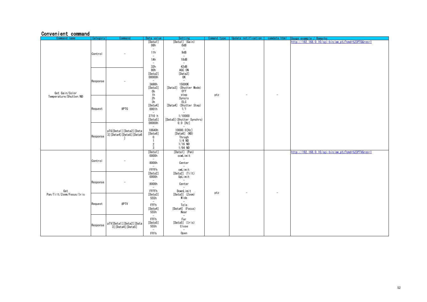#### Convenient command

<span id="page-51-1"></span><span id="page-51-0"></span>

| Command name                    | Category | Command                                             | Data value                                                    | Setting                                                              | Comand type | Update notification | camdata.html             | Jsage example / Remarks                             |
|---------------------------------|----------|-----------------------------------------------------|---------------------------------------------------------------|----------------------------------------------------------------------|-------------|---------------------|--------------------------|-----------------------------------------------------|
|                                 |          |                                                     | [Data1]<br>08h                                                | [Data1] (Gain)<br>0dB                                                |             |                     |                          | http://192.168.0.10/cgi-bin/aw_ptz?cmd=%23PTG&res=1 |
|                                 | Control  |                                                     | $\overline{\phantom{a}}$<br>11h<br>$\sim$                     | $\sim$<br>9dB<br>$\overline{\phantom{a}}$                            |             |                     |                          |                                                     |
|                                 |          |                                                     | 1Ah                                                           | 18dB<br>$\sim$                                                       |             |                     |                          |                                                     |
|                                 |          |                                                     | $\overline{\phantom{a}}$<br>32h                               | 42dB                                                                 |             |                     |                          |                                                     |
| Get Gain/Color                  | Response |                                                     | 80h<br>[Data2]<br>00000h<br>$\overline{\phantom{a}}$          | AGC ON<br>[Data2]<br>0K<br>$\overline{\phantom{a}}$                  |             |                     |                          |                                                     |
|                                 |          |                                                     | 3A98h<br>[Data3]<br>0h                                        | 15000K<br>[Data3] (Shutter Mode)<br>0ff                              |             |                     |                          |                                                     |
| Temperature/Shutter/ND          |          |                                                     | 1h<br>2h                                                      | step<br>Syncro                                                       | ptz         |                     | $\overline{\phantom{a}}$ |                                                     |
|                                 | Request  | #PTG                                                | 3h<br>[Data4]<br>0001h<br>$\sim$                              | ELC<br>[Data4] (Shutter Step)<br>1/1<br>$\sim$                       |             |                     |                          |                                                     |
|                                 |          |                                                     | 2710 h<br>[Data5]<br>00000h                                   | 1/10000<br>[Data5] (Shutter Synchro)<br>$0.0$ [Hz]                   |             |                     |                          |                                                     |
|                                 | Response | pTG[Data1][Data2][Data<br>3] [Data4] [Data5] [Data6 | $\sim$<br>186A0h<br>[Data6]<br>$\boldsymbol{0}$               | 10000.0[Hz]<br>$[Data6]$ (ND)<br>Throgh                              |             |                     |                          |                                                     |
|                                 |          |                                                     | $\mathbf{1}$<br>$\overline{2}$<br>$\mathbf{3}$                | $1/4$ ND<br>$1/16$ ND<br>$1/64$ ND                                   |             |                     |                          |                                                     |
|                                 |          |                                                     | [Data1]<br>0000h                                              | [Data1] (Pan)<br>ccwLimit                                            |             |                     |                          | http://192.168.0.10/cgi-bin/aw ptz?cmd=%23PTV&res=1 |
|                                 | Control  |                                                     | $\sim$<br>8000h                                               | $\sim$<br>Center                                                     |             |                     |                          |                                                     |
|                                 |          |                                                     | $\sim$<br>FFFFh                                               | cwLimit                                                              |             |                     |                          |                                                     |
|                                 |          |                                                     | [Data2]<br>0000h<br>$\sim$                                    | [Data2] (Tilt)<br>UpLimit<br>$\sim$                                  |             |                     |                          |                                                     |
|                                 | Response |                                                     | 8000h<br>$\overline{\phantom{a}}$                             | Center                                                               |             |                     |                          |                                                     |
| Get<br>Pan/Tilt/Zoom/Focus/Iris |          |                                                     | FFFFh<br>[Data3]<br>555h                                      | DownLimit<br>[Data3] (Zoom)<br>Wide                                  | ptz         |                     | $\overline{\phantom{a}}$ |                                                     |
|                                 | Request  | #PTV                                                | $\overline{\phantom{a}}$<br>FFFh<br>[Data4]<br>555h           | $\overline{\phantom{a}}$<br>Tele<br>[Data4] (Focus)<br>Near          |             |                     |                          |                                                     |
|                                 | Response | pTV[Data1][Data2][Data<br>3] [Data4] [Data5]        | $\overline{\phantom{a}}$<br>FFFh<br>[Data5]<br>555h<br>$\sim$ | $\sim$<br>Far<br>[Data5] (Iris)<br>Close<br>$\overline{\phantom{a}}$ |             |                     |                          |                                                     |
|                                 |          |                                                     | FFFh                                                          | Open                                                                 |             |                     |                          |                                                     |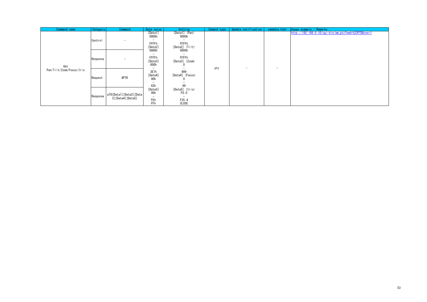| Command name             | Category | Command                                      | Data value                                                                                                                                                             | Setting                                               | Comand type | Update notification      | camdata.html | Usage example / Remarks                             |
|--------------------------|----------|----------------------------------------------|------------------------------------------------------------------------------------------------------------------------------------------------------------------------|-------------------------------------------------------|-------------|--------------------------|--------------|-----------------------------------------------------|
| Get                      | Control  |                                              | [Data1]<br>0000h<br>-<br><b>FFFFh</b><br>[Data2]                                                                                                                       | [Data1] (Pan)<br>0000h<br>FFFFh<br>$[Data2]$ $(Ti t)$ |             |                          |              | http://192.168.0.10/cgi-bin/aw_ptz?cmd=%23PTD&res=1 |
|                          | Response | $\sim$                                       | 0000h<br>۰<br>FFFFh<br>[Data3]<br>000h<br>3E7h<br>[Data4]<br>00h<br>$\overline{\phantom{a}}$<br>63h<br>[Data5]<br>00h<br>$\overline{\phantom{a}}$<br>FEh<br><b>FFh</b> | 0000h<br><b>FFFFh</b><br>[Data3] (Zoom)               | ptz         | $\overline{\phantom{a}}$ | ۰            |                                                     |
| Pan/Tilt/Zoom/Focus/Iris | Request  | #PTD                                         |                                                                                                                                                                        | 999<br>[Data4] (Focus)<br>99                          |             |                          |              |                                                     |
|                          | Response | pTD[Data1][Data2][Data<br>3] [Data4] [Data5] |                                                                                                                                                                        | [Data5] (Iris)<br>F0.0<br>F25.4<br>CLOSE              |             |                          |              |                                                     |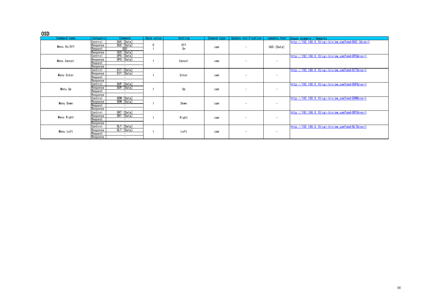#### OSD

<span id="page-53-6"></span><span id="page-53-5"></span><span id="page-53-4"></span><span id="page-53-3"></span><span id="page-53-2"></span><span id="page-53-1"></span><span id="page-53-0"></span>

| Command name | Category | Command                  | Data value | Setting        | Comand type | Update notification      | camdata, html            | Usage example / Remarks                            |
|--------------|----------|--------------------------|------------|----------------|-------------|--------------------------|--------------------------|----------------------------------------------------|
|              | Control  | DUS: [Data]              |            |                |             |                          |                          | http://192.168.0.10/cgi-bin/aw_cam?cmd=DUS:1&res=1 |
| Menu On/Off  | Response | DUS: [Data]              | 0          | 0ff            | cam         | -                        | OUS: [Data]              |                                                    |
|              | Request  | QUS                      |            | 0 <sub>n</sub> |             |                          |                          |                                                    |
|              | Response | OUS: [Data]              |            |                |             |                          |                          |                                                    |
|              | Control  | DPG: [Data]              |            |                |             |                          |                          | http://192.168.0.10/cgi-bin/aw_cam?cmd=DPG&res=1   |
| Menu Cancel  | Response | DPG: [Data]              |            | Cancel         | cam         | -                        | $\overline{\phantom{a}}$ |                                                    |
|              | Request  | $\sim$                   |            |                |             |                          |                          |                                                    |
|              | Response | $\overline{\phantom{a}}$ |            |                |             |                          |                          |                                                    |
|              | Control  | DIT: [Data]              |            |                |             |                          |                          | http://192.168.0.10/cgi-bin/aw_cam?cmd=DIT&res=1   |
| Menu Enter   | Response | DIT: [Data]              |            | Enter          | cam         | $\equiv$                 | -                        |                                                    |
|              | Request  | $\overline{\phantom{a}}$ |            |                |             |                          |                          |                                                    |
|              | Response | $\overline{\phantom{a}}$ |            |                |             |                          |                          |                                                    |
|              | Control  | DUP: [Data]              |            |                |             |                          |                          | http://192.168.0.10/cgi-bin/aw cam?cmd=DUP&res=1   |
| Menu Up      | Response | DUP: [Data]              |            | Up             | cam         | -                        | $\overline{\phantom{a}}$ |                                                    |
|              | Request  | $\overline{\phantom{a}}$ |            |                |             |                          |                          |                                                    |
|              | Response | $\overline{\phantom{a}}$ |            |                |             |                          |                          |                                                    |
|              | Control  | DDW: [Data]              |            |                |             |                          |                          | http://192.168.0.10/cgi-bin/aw_cam?cmd=DDW&res=1   |
| Menu Down    | Response | DDW: [Data]              |            | Down           | cam         | $\overline{\phantom{a}}$ | $\overline{\phantom{a}}$ |                                                    |
|              | Request  | $\overline{\phantom{a}}$ |            |                |             |                          |                          |                                                    |
|              | Response | $\overline{\phantom{a}}$ |            |                |             |                          |                          |                                                    |
|              | Control  | DRT: [Data]              |            |                |             |                          |                          | http://192.168.0.10/cgi-bin/aw_cam?cmd=DRT&res=1   |
| Menu Right   | Response | DRT: [Data]              |            | Right          | cam         | -                        | $\overline{\phantom{a}}$ |                                                    |
|              | Request  | $\overline{\phantom{a}}$ |            |                |             |                          |                          |                                                    |
|              | Response | $\overline{\phantom{a}}$ |            |                |             |                          |                          |                                                    |
|              | Control  | DLT: [Data]              |            |                |             |                          |                          | http://192.168.0.10/cgi-bin/aw cam?cmd=DLT&res=1   |
| Menu Left    | Response | DLT: [Data]              |            | Left           | cam         | ۰                        | $\overline{\phantom{a}}$ |                                                    |
|              | Request  | $\overline{\phantom{a}}$ |            |                |             |                          |                          |                                                    |
|              | Response | $\overline{\phantom{a}}$ |            |                |             |                          |                          |                                                    |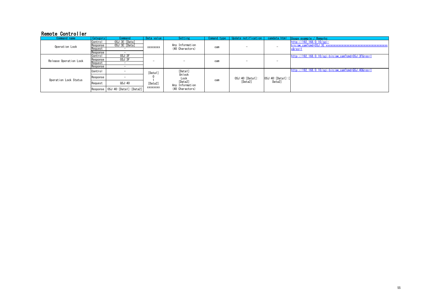#### Remote Controller

<span id="page-54-2"></span><span id="page-54-1"></span><span id="page-54-0"></span>

| Command name           | Category | Command                             | Data value                     | Setting                                                                    | Comand type | Update notification         | camdata.html                 | Usage example / Remarks                             |
|------------------------|----------|-------------------------------------|--------------------------------|----------------------------------------------------------------------------|-------------|-----------------------------|------------------------------|-----------------------------------------------------|
|                        | Control  | OSJ:3E: [Data]                      |                                |                                                                            |             |                             |                              | $http://192.168.0.10/cei-$                          |
| Operation Lock         | Response | OSJ:3E:[Data]                       | XXXXXXXX                       | Any Information                                                            | cam         | $\sim$                      |                              |                                                     |
|                        | Request  |                                     |                                | (40 Charactors)                                                            |             |                             |                              | x&res=1                                             |
|                        | Response |                                     |                                |                                                                            |             |                             |                              |                                                     |
| Release Operation Lock | Control  | OSJ:3F                              |                                |                                                                            |             |                             |                              | http://192.168.0.10/cgi-bin/aw_cam?cmd=0SJ:3F&res=1 |
|                        | Response | 0SJ:3F                              | -                              |                                                                            | cam         | $\sim$                      |                              |                                                     |
|                        | Request  |                                     |                                |                                                                            |             |                             |                              |                                                     |
|                        | Response | $\sim$                              |                                |                                                                            |             |                             |                              |                                                     |
|                        | Control  |                                     | [Data1]<br>[Data2]<br>XXXXXXXX | [Data1]<br>Unlock<br>Lock<br>[Data2]<br>Any Information<br>(40 Charactors) |             | OSJ:40: [Data1]:<br>[Data2] | OSJ:40: [Data1]: [<br>Data2] | http://192.168.0.10/cgi-bin/aw_cam?cmd=QSJ:40&res=1 |
| Operation Lock Status  | Response |                                     |                                |                                                                            | cam         |                             |                              |                                                     |
|                        | Request  | QSJ:40                              |                                |                                                                            |             |                             |                              |                                                     |
|                        |          | Response   OSJ:40: [Data1]: [Data2] |                                |                                                                            |             |                             |                              |                                                     |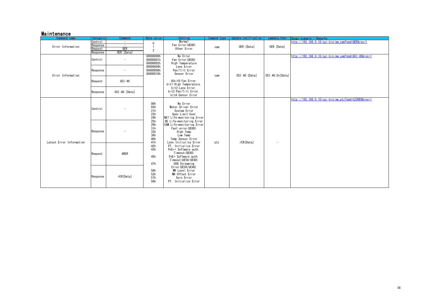#### Maintenance

<span id="page-55-3"></span><span id="page-55-2"></span><span id="page-55-1"></span><span id="page-55-0"></span>

|  | Command name             | Category | Command                  | Data value                                                                                                                               | Setting                                                                                                                                                                                                                                                                                                                                                                                                                                                                              | Comand type | Update notification | camdata, html   | Usage example / Remarks                               |
|--|--------------------------|----------|--------------------------|------------------------------------------------------------------------------------------------------------------------------------------|--------------------------------------------------------------------------------------------------------------------------------------------------------------------------------------------------------------------------------------------------------------------------------------------------------------------------------------------------------------------------------------------------------------------------------------------------------------------------------------|-------------|---------------------|-----------------|-------------------------------------------------------|
|  |                          | Control  | $\sim$                   | $\mathbf 0$                                                                                                                              | Normal                                                                                                                                                                                                                                                                                                                                                                                                                                                                               |             |                     |                 | http://192.168.0.10/cgi-bin/aw cam?cmd=QER&res=1      |
|  | Error Information        | Response | $\overline{\phantom{a}}$ |                                                                                                                                          | Fan Error (UE80)                                                                                                                                                                                                                                                                                                                                                                                                                                                                     | cam         | OER: [Data]         | OER: [Data]     |                                                       |
|  |                          | Request  | QER                      | $\overline{2}$                                                                                                                           | Other Error                                                                                                                                                                                                                                                                                                                                                                                                                                                                          |             |                     |                 |                                                       |
|  |                          | Response | OER: [Data]              |                                                                                                                                          |                                                                                                                                                                                                                                                                                                                                                                                                                                                                                      |             |                     |                 |                                                       |
|  |                          | Control  | $\overline{\phantom{a}}$ | 00000000h<br>00000001h<br>00000002h                                                                                                      | No Error<br>Fan Error (UE80)<br>High Temperature                                                                                                                                                                                                                                                                                                                                                                                                                                     |             |                     |                 | http://192.168.0.10/cgi-bin/aw_cam?cmd=QSI:46&res=1   |
|  | Error Information        | Response | $\overline{\phantom{a}}$ | 00000004h<br>00000008h<br>00000010h                                                                                                      | Lens Error<br>Pan/Tilt Error<br>Sensor Error                                                                                                                                                                                                                                                                                                                                                                                                                                         | cam         | OSI:46:[Data]       | OSI:46:0x[Data] |                                                       |
|  |                          | Request  | QSI:46                   |                                                                                                                                          | XbitO:Fan Error,<br>bit1:High Temperature,                                                                                                                                                                                                                                                                                                                                                                                                                                           |             |                     |                 |                                                       |
|  |                          | Response | OSI:46:[Data]            |                                                                                                                                          | bit2:Lens Error,<br>bit3:Pan/Tilt Error.<br>bit4:Sensor Error                                                                                                                                                                                                                                                                                                                                                                                                                        |             |                     |                 |                                                       |
|  |                          | Control  |                          | 00h<br>03h<br>21h<br>22h<br>24h<br>25h<br>29h<br>31h<br>33h<br>36h<br>40h<br>41h<br>42h<br>43h<br>45h<br>47h<br>50h<br>52h<br>57h<br>58h | No Error<br>Motor Driver Error<br>System Error<br>Spec Limit Over<br>NET Life-monitoring Error<br>BE Life-monitoring Error<br>CAM Life-monitoring Error<br>Fan1 error (UE80)<br>High Temp<br>Low Temp<br>Temp Sensor Error<br>Lens Initialize Error<br>PT. Initialize Error<br>PoE++ Software auth.<br>Timeout (UE80)<br>PoE+ Software auth.<br>Timeout (UE50/UE40)<br>USB Streaming<br>Error (UE50/UE40)<br>MR Level Error<br>MR Offset Error<br>Gyro Error<br>PT. Initialize Error | ptz         | rER[Data]           |                 | $http://192.168.0.10/cei-bin/aw_ptz?cmd=%23RER&res=1$ |
|  | Latest Error Information | Response |                          |                                                                                                                                          |                                                                                                                                                                                                                                                                                                                                                                                                                                                                                      |             |                     | ۰               |                                                       |
|  |                          | Request  | #RER                     |                                                                                                                                          |                                                                                                                                                                                                                                                                                                                                                                                                                                                                                      |             |                     |                 |                                                       |
|  |                          | Response | rER[Data]                |                                                                                                                                          |                                                                                                                                                                                                                                                                                                                                                                                                                                                                                      |             |                     |                 |                                                       |